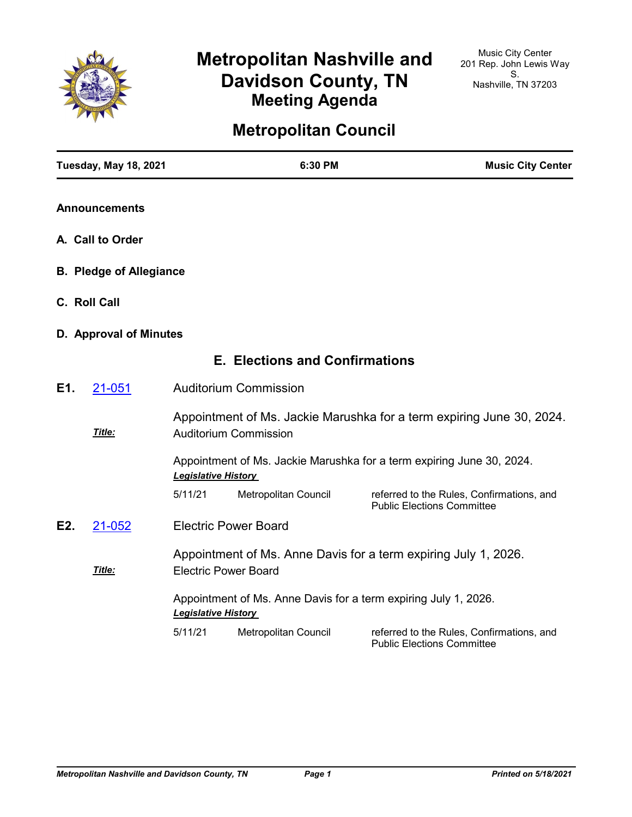

# **Metropolitan Nashville and Davidson County, TN Meeting Agenda**

## **Metropolitan Council**

|                  | <b>Tuesday, May 18, 2021</b>   |                             | 6:30 PM                                                         | <b>Music City Center</b>                                                       |
|------------------|--------------------------------|-----------------------------|-----------------------------------------------------------------|--------------------------------------------------------------------------------|
|                  | <b>Announcements</b>           |                             |                                                                 |                                                                                |
| A. Call to Order |                                |                             |                                                                 |                                                                                |
|                  | <b>B. Pledge of Allegiance</b> |                             |                                                                 |                                                                                |
|                  | C. Roll Call                   |                             |                                                                 |                                                                                |
|                  | D. Approval of Minutes         |                             |                                                                 |                                                                                |
|                  |                                |                             | <b>E. Elections and Confirmations</b>                           |                                                                                |
| E1.              | 21-051                         |                             | <b>Auditorium Commission</b>                                    |                                                                                |
|                  | Title:                         |                             | <b>Auditorium Commission</b>                                    | Appointment of Ms. Jackie Marushka for a term expiring June 30, 2024.          |
|                  |                                | <b>Legislative History</b>  |                                                                 | Appointment of Ms. Jackie Marushka for a term expiring June 30, 2024.          |
|                  |                                | 5/11/21                     | Metropolitan Council                                            | referred to the Rules, Confirmations, and<br><b>Public Elections Committee</b> |
| E2.              | 21-052                         |                             | <b>Electric Power Board</b>                                     |                                                                                |
|                  | Title:                         | <b>Electric Power Board</b> |                                                                 | Appointment of Ms. Anne Davis for a term expiring July 1, 2026.                |
|                  |                                | <b>Legislative History</b>  | Appointment of Ms. Anne Davis for a term expiring July 1, 2026. |                                                                                |
|                  |                                | 5/11/21                     | Metropolitan Council                                            | referred to the Rules, Confirmations, and<br><b>Public Elections Committee</b> |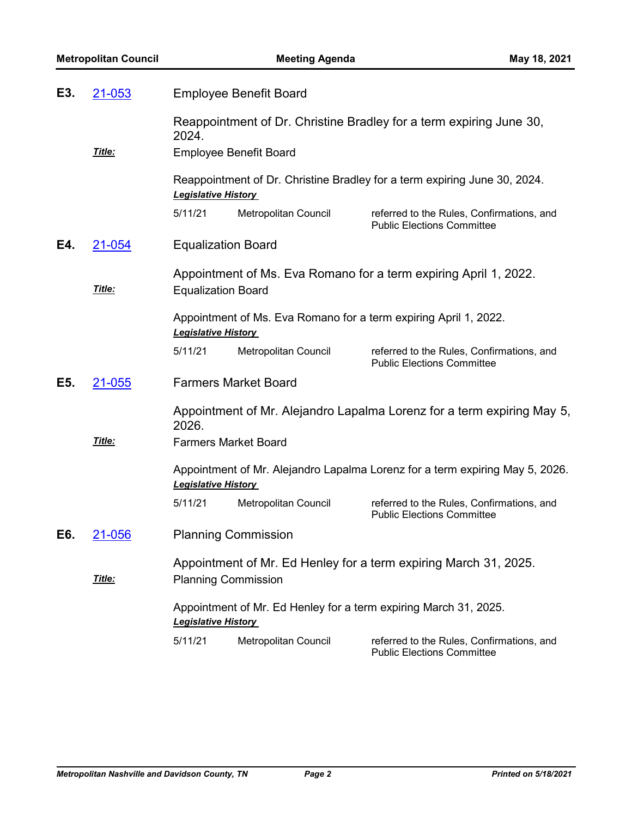| E3. | <b>Employee Benefit Board</b><br>21-053 |                                                                                                |                               |                                                                                |
|-----|-----------------------------------------|------------------------------------------------------------------------------------------------|-------------------------------|--------------------------------------------------------------------------------|
|     | Title:                                  | 2024.                                                                                          | <b>Employee Benefit Board</b> | Reappointment of Dr. Christine Bradley for a term expiring June 30,            |
|     |                                         | <b>Legislative History</b>                                                                     |                               | Reappointment of Dr. Christine Bradley for a term expiring June 30, 2024.      |
|     |                                         | 5/11/21                                                                                        | Metropolitan Council          | referred to the Rules, Confirmations, and<br><b>Public Elections Committee</b> |
| E4. | 21-054                                  | <b>Equalization Board</b>                                                                      |                               |                                                                                |
|     | Title:                                  | <b>Equalization Board</b>                                                                      |                               | Appointment of Ms. Eva Romano for a term expiring April 1, 2022.               |
|     |                                         | Appointment of Ms. Eva Romano for a term expiring April 1, 2022.<br><b>Legislative History</b> |                               |                                                                                |
|     |                                         | 5/11/21                                                                                        | Metropolitan Council          | referred to the Rules, Confirmations, and<br><b>Public Elections Committee</b> |
| E5. | 21-055                                  |                                                                                                | <b>Farmers Market Board</b>   |                                                                                |
|     |                                         | 2026.                                                                                          |                               | Appointment of Mr. Alejandro Lapalma Lorenz for a term expiring May 5,         |
|     | Title:                                  | <b>Farmers Market Board</b>                                                                    |                               |                                                                                |
|     |                                         | <b>Legislative History</b>                                                                     |                               | Appointment of Mr. Alejandro Lapalma Lorenz for a term expiring May 5, 2026.   |
|     |                                         | 5/11/21                                                                                        | Metropolitan Council          | referred to the Rules, Confirmations, and<br><b>Public Elections Committee</b> |
| E6. | 21-056                                  |                                                                                                | <b>Planning Commission</b>    |                                                                                |
|     | Title:                                  | <b>Planning Commission</b>                                                                     |                               | Appointment of Mr. Ed Henley for a term expiring March 31, 2025.               |
|     |                                         | <b>Legislative History</b>                                                                     |                               | Appointment of Mr. Ed Henley for a term expiring March 31, 2025.               |
|     |                                         | 5/11/21                                                                                        | Metropolitan Council          | referred to the Rules, Confirmations, and<br><b>Public Elections Committee</b> |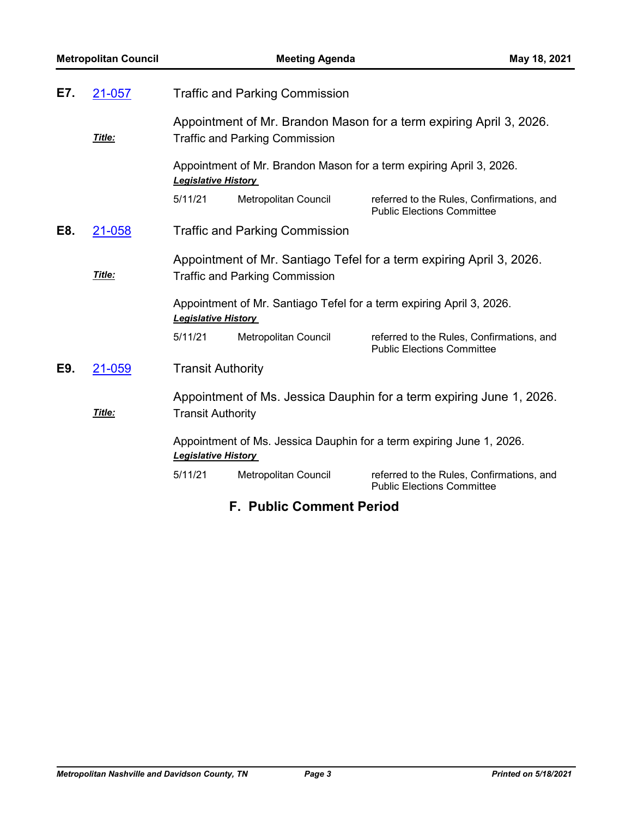| E7.<br>21-057<br><b>Traffic and Parking Commission</b>                                             |                                                                                            |                      |                                                                                                                                                                                                                                                                                                                                                                                                                                      |
|----------------------------------------------------------------------------------------------------|--------------------------------------------------------------------------------------------|----------------------|--------------------------------------------------------------------------------------------------------------------------------------------------------------------------------------------------------------------------------------------------------------------------------------------------------------------------------------------------------------------------------------------------------------------------------------|
|                                                                                                    |                                                                                            |                      |                                                                                                                                                                                                                                                                                                                                                                                                                                      |
|                                                                                                    |                                                                                            |                      |                                                                                                                                                                                                                                                                                                                                                                                                                                      |
|                                                                                                    | Appointment of Mr. Brandon Mason for a term expiring April 3, 2026.<br>Legislative History |                      |                                                                                                                                                                                                                                                                                                                                                                                                                                      |
|                                                                                                    | 5/11/21                                                                                    | Metropolitan Council | referred to the Rules, Confirmations, and<br><b>Public Elections Committee</b>                                                                                                                                                                                                                                                                                                                                                       |
| 21-058                                                                                             |                                                                                            |                      |                                                                                                                                                                                                                                                                                                                                                                                                                                      |
|                                                                                                    |                                                                                            |                      |                                                                                                                                                                                                                                                                                                                                                                                                                                      |
| Title:                                                                                             |                                                                                            |                      |                                                                                                                                                                                                                                                                                                                                                                                                                                      |
|                                                                                                    |                                                                                            |                      |                                                                                                                                                                                                                                                                                                                                                                                                                                      |
|                                                                                                    | 5/11/21                                                                                    | Metropolitan Council | referred to the Rules, Confirmations, and<br><b>Public Elections Committee</b>                                                                                                                                                                                                                                                                                                                                                       |
| 21-059                                                                                             |                                                                                            |                      |                                                                                                                                                                                                                                                                                                                                                                                                                                      |
|                                                                                                    | Appointment of Ms. Jessica Dauphin for a term expiring June 1, 2026.                       |                      |                                                                                                                                                                                                                                                                                                                                                                                                                                      |
| Title:                                                                                             |                                                                                            |                      |                                                                                                                                                                                                                                                                                                                                                                                                                                      |
| Appointment of Ms. Jessica Dauphin for a term expiring June 1, 2026.<br><b>Legislative History</b> |                                                                                            |                      |                                                                                                                                                                                                                                                                                                                                                                                                                                      |
|                                                                                                    | 5/11/21                                                                                    | Metropolitan Council | referred to the Rules, Confirmations, and<br><b>Public Elections Committee</b>                                                                                                                                                                                                                                                                                                                                                       |
| <b>F. Public Comment Period</b>                                                                    |                                                                                            |                      |                                                                                                                                                                                                                                                                                                                                                                                                                                      |
|                                                                                                    | Title:                                                                                     |                      | Appointment of Mr. Brandon Mason for a term expiring April 3, 2026.<br><b>Traffic and Parking Commission</b><br><b>Traffic and Parking Commission</b><br>Appointment of Mr. Santiago Tefel for a term expiring April 3, 2026.<br><b>Traffic and Parking Commission</b><br>Appointment of Mr. Santiago Tefel for a term expiring April 3, 2026.<br><b>Legislative History</b><br><b>Transit Authority</b><br><b>Transit Authority</b> |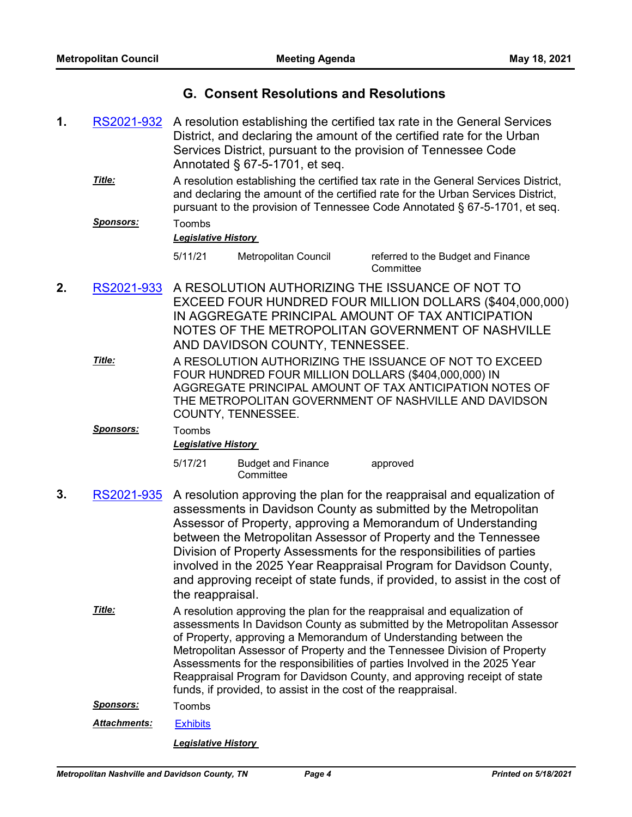## **G. Consent Resolutions and Resolutions**

A resolution establishing the certified tax rate in the General Services District, and declaring the amount of the certified rate for the Urban Services District, pursuant to the provision of Tennessee Code Annotated § 67-5-1701, et seq. **1.** [RS2021-932](http://nashville.legistar.com/gateway.aspx?m=l&id=/matter.aspx?key=2221) A resolution establishing the certified tax rate in the General Services District, and declaring the amount of the certified rate for the Urban Services District, pursuant to the provision of Tennessee Code Annotated § 67-5-1701, et seq. *Title: Sponsors:* Toombs *Legislative History*  5/11/21 Metropolitan Council referred to the Budget and Finance **Committee** A RESOLUTION AUTHORIZING THE ISSUANCE OF NOT TO EXCEED FOUR HUNDRED FOUR MILLION DOLLARS (\$404,000,000) IN AGGREGATE PRINCIPAL AMOUNT OF TAX ANTICIPATION NOTES OF THE METROPOLITAN GOVERNMENT OF NASHVILLE AND DAVIDSON COUNTY, TENNESSEE. **2.** [RS2021-933](http://nashville.legistar.com/gateway.aspx?m=l&id=/matter.aspx?key=2223) A RESOLUTION AUTHORIZING THE ISSUANCE OF NOT TO EXCEED FOUR HUNDRED FOUR MILLION DOLLARS (\$404,000,000) IN AGGREGATE PRINCIPAL AMOUNT OF TAX ANTICIPATION NOTES OF THE METROPOLITAN GOVERNMENT OF NASHVILLE AND DAVIDSON COUNTY, TENNESSEE. *Title: Sponsors:* Toombs *Legislative History*  5/17/21 Budget and Finance **Committee** approved A resolution approving the plan for the reappraisal and equalization of assessments in Davidson County as submitted by the Metropolitan Assessor of Property, approving a Memorandum of Understanding **3.** [RS2021-935](http://nashville.legistar.com/gateway.aspx?m=l&id=/matter.aspx?key=2227)

between the Metropolitan Assessor of Property and the Tennessee Division of Property Assessments for the responsibilities of parties involved in the 2025 Year Reappraisal Program for Davidson County, and approving receipt of state funds, if provided, to assist in the cost of the reappraisal.

A resolution approving the plan for the reappraisal and equalization of assessments In Davidson County as submitted by the Metropolitan Assessor of Property, approving a Memorandum of Understanding between the Metropolitan Assessor of Property and the Tennessee Division of Property Assessments for the responsibilities of parties Involved in the 2025 Year Reappraisal Program for Davidson County, and approving receipt of state funds, if provided, to assist in the cost of the reappraisal. *Title:*

*Sponsors:* Toombs

*Attachments:* [Exhibits](http://nashville.legistar.com/gateway.aspx?M=F&ID=73339629-4787-4295-99b1-d83291543f2a.pdf)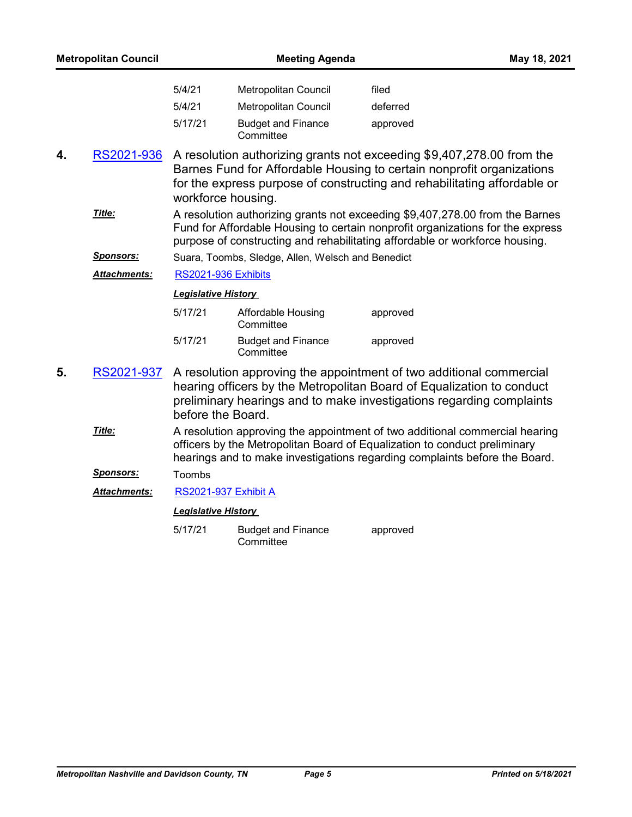| <b>Metropolitan Council</b> |                     | <b>Meeting Agenda</b>      |                                                   | May 18, 2021                                                                                                                                                                                                                                  |
|-----------------------------|---------------------|----------------------------|---------------------------------------------------|-----------------------------------------------------------------------------------------------------------------------------------------------------------------------------------------------------------------------------------------------|
|                             |                     | 5/4/21                     | Metropolitan Council                              | filed                                                                                                                                                                                                                                         |
|                             |                     | 5/4/21                     | Metropolitan Council                              | deferred                                                                                                                                                                                                                                      |
|                             |                     | 5/17/21                    | <b>Budget and Finance</b><br>Committee            | approved                                                                                                                                                                                                                                      |
| 4.                          | RS2021-936          | workforce housing.         |                                                   | A resolution authorizing grants not exceeding \$9,407,278.00 from the<br>Barnes Fund for Affordable Housing to certain nonprofit organizations<br>for the express purpose of constructing and rehabilitating affordable or                    |
|                             | Title:              |                            |                                                   | A resolution authorizing grants not exceeding \$9,407,278.00 from the Barnes<br>Fund for Affordable Housing to certain nonprofit organizations for the express<br>purpose of constructing and rehabilitating affordable or workforce housing. |
|                             | <u>Sponsors:</u>    |                            | Suara, Toombs, Sledge, Allen, Welsch and Benedict |                                                                                                                                                                                                                                               |
|                             | <b>Attachments:</b> | RS2021-936 Exhibits        |                                                   |                                                                                                                                                                                                                                               |
|                             |                     | <b>Legislative History</b> |                                                   |                                                                                                                                                                                                                                               |
|                             |                     | 5/17/21                    | Affordable Housing<br>Committee                   | approved                                                                                                                                                                                                                                      |
|                             |                     | 5/17/21                    | <b>Budget and Finance</b><br>Committee            | approved                                                                                                                                                                                                                                      |
| 5.                          | RS2021-937          | before the Board.          |                                                   | A resolution approving the appointment of two additional commercial<br>hearing officers by the Metropolitan Board of Equalization to conduct<br>preliminary hearings and to make investigations regarding complaints                          |
|                             | Title:              |                            |                                                   | A resolution approving the appointment of two additional commercial hearing<br>officers by the Metropolitan Board of Equalization to conduct preliminary<br>hearings and to make investigations regarding complaints before the Board.        |
|                             | <u>Sponsors:</u>    | Toombs                     |                                                   |                                                                                                                                                                                                                                               |
|                             | Attachments:        | RS2021-937 Exhibit A       |                                                   |                                                                                                                                                                                                                                               |
|                             |                     | <b>Legislative History</b> |                                                   |                                                                                                                                                                                                                                               |
|                             |                     | 5/17/21                    | <b>Budget and Finance</b><br>Committee            | approved                                                                                                                                                                                                                                      |
|                             |                     |                            |                                                   |                                                                                                                                                                                                                                               |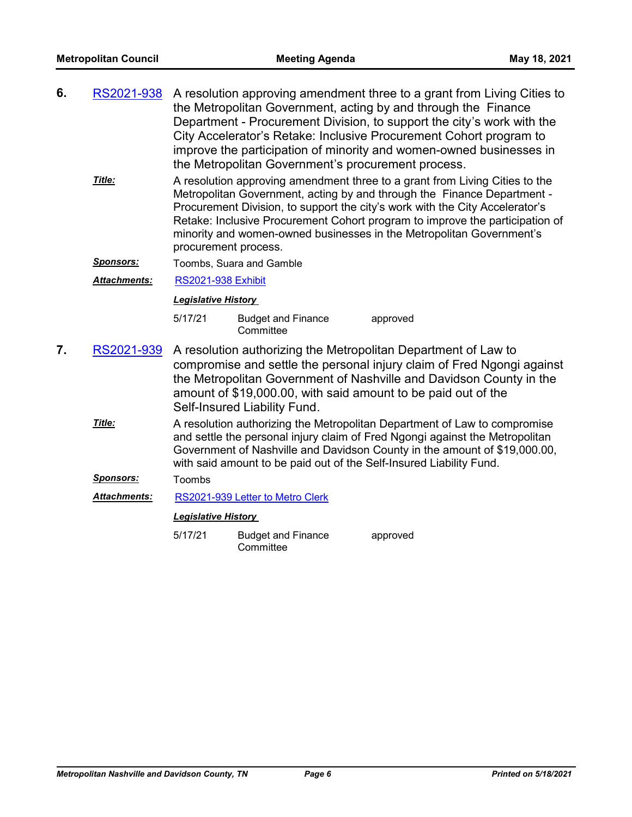| 6. | RS2021-938 A resolution approving amendment three to a grant from Living Cities to<br>the Metropolitan Government, acting by and through the Finance<br>Department - Procurement Division, to support the city's work with the<br>City Accelerator's Retake: Inclusive Procurement Cohort program to |
|----|------------------------------------------------------------------------------------------------------------------------------------------------------------------------------------------------------------------------------------------------------------------------------------------------------|
|    | improve the participation of minority and women-owned businesses in<br>the Metropolitan Government's procurement process.                                                                                                                                                                            |

- A resolution approving amendment three to a grant from Living Cities to the Metropolitan Government, acting by and through the Finance Department - Procurement Division, to support the city's work with the City Accelerator's Retake: Inclusive Procurement Cohort program to improve the participation of minority and women-owned businesses in the Metropolitan Government's procurement process. *Title:*
- **Sponsors:** Toombs, Suara and Gamble

*Attachments:* [RS2021-938 Exhibit](http://nashville.legistar.com/gateway.aspx?M=F&ID=8ef53851-67b2-4711-8a74-782e7c3c53bb.pdf)

#### *Legislative History*

- 5/17/21 Budget and Finance **Committee** approved
- A resolution authorizing the Metropolitan Department of Law to compromise and settle the personal injury claim of Fred Ngongi against the Metropolitan Government of Nashville and Davidson County in the amount of \$19,000.00, with said amount to be paid out of the Self-Insured Liability Fund. **7.** [RS2021-939](http://nashville.legistar.com/gateway.aspx?m=l&id=/matter.aspx?key=2262)
	- A resolution authorizing the Metropolitan Department of Law to compromise and settle the personal injury claim of Fred Ngongi against the Metropolitan Government of Nashville and Davidson County in the amount of \$19,000.00, with said amount to be paid out of the Self-Insured Liability Fund. *Title:*

#### *Sponsors:* Toombs

*Attachments:* [RS2021-939 Letter to Metro Clerk](http://nashville.legistar.com/gateway.aspx?M=F&ID=73c44b75-741d-4f11-8e5c-966d5497dae6.PDF)

#### *Legislative History*

5/17/21 Budget and Finance **Committee** approved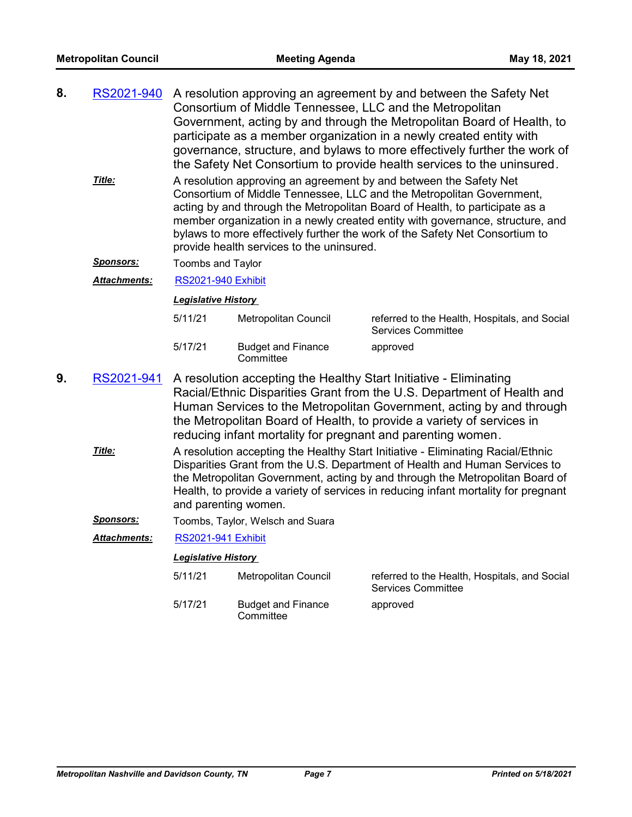| 8. | RS2021-940 A resolution approving an agreement by and between the Safety Net |
|----|------------------------------------------------------------------------------|
|    | Consortium of Middle Tennessee, LLC and the Metropolitan                     |
|    | Government, acting by and through the Metropolitan Board of Health, to       |
|    | participate as a member organization in a newly created entity with          |
|    | governance, structure, and bylaws to more effectively further the work of    |
|    | the Safety Net Consortium to provide health services to the uninsured.       |

A resolution approving an agreement by and between the Safety Net Consortium of Middle Tennessee, LLC and the Metropolitan Government, acting by and through the Metropolitan Board of Health, to participate as a member organization in a newly created entity with governance, structure, and bylaws to more effectively further the work of the Safety Net Consortium to provide health services to the uninsured. *Title:*

*Sponsors:* Toombs and Taylor

*Attachments:* [RS2021-940 Exhibit](http://nashville.legistar.com/gateway.aspx?M=F&ID=f85c27b6-eabd-45de-8978-4b87d702c0db.pdf)

#### *Legislative History*

| 5/11/21 | Metropolitan Council                   | referred to the Health, Hospitals, and Social<br>Services Committee |
|---------|----------------------------------------|---------------------------------------------------------------------|
| 5/17/21 | <b>Budget and Finance</b><br>Committee | approved                                                            |

- A resolution accepting the Healthy Start Initiative Eliminating Racial/Ethnic Disparities Grant from the U.S. Department of Health and Human Services to the Metropolitan Government, acting by and through the Metropolitan Board of Health, to provide a variety of services in reducing infant mortality for pregnant and parenting women. **9.** [RS2021-941](http://nashville.legistar.com/gateway.aspx?m=l&id=/matter.aspx?key=2254)
	- A resolution accepting the Healthy Start Initiative Eliminating Racial/Ethnic Disparities Grant from the U.S. Department of Health and Human Services to the Metropolitan Government, acting by and through the Metropolitan Board of Health, to provide a variety of services in reducing infant mortality for pregnant and parenting women. *Title:*
	- **Sponsors:** Toombs, Taylor, Welsch and Suara
	- *Attachments:* [RS2021-941 Exhibit](http://nashville.legistar.com/gateway.aspx?M=F&ID=4c68ef65-6b87-48ce-a4af-6f14a35a76bb.pdf)

| 5/11/21 | Metropolitan Council                   | referred to the Health, Hospitals, and Social<br><b>Services Committee</b> |
|---------|----------------------------------------|----------------------------------------------------------------------------|
| 5/17/21 | <b>Budget and Finance</b><br>Committee | approved                                                                   |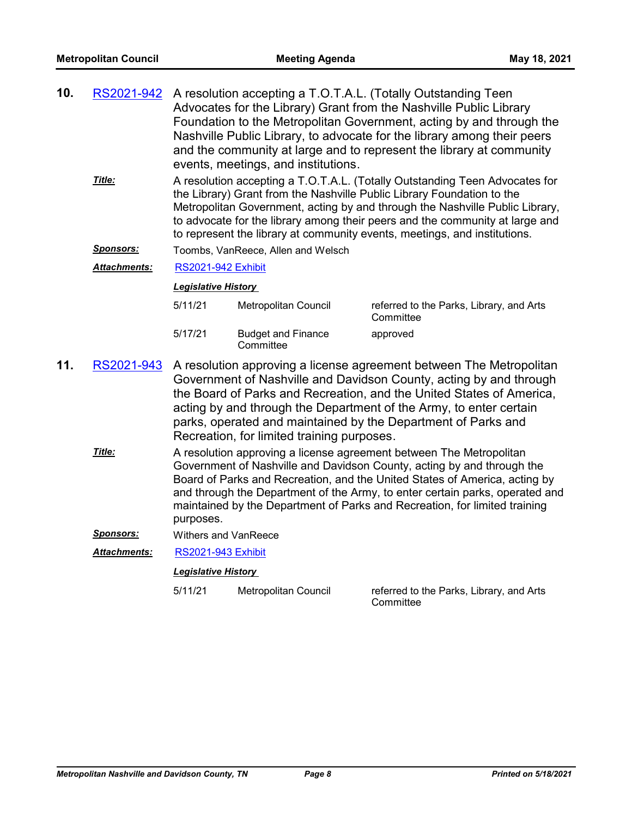| 10.                                                                                                                                                                                                                                                                                                                 | RS2021-942 A resolution accepting a T.O.T.A.L. (Totally Outstanding Teen<br>Advocates for the Library) Grant from the Nashville Public Library<br>Foundation to the Metropolitan Government, acting by and through the<br>Nashville Public Library, to advocate for the library among their peers<br>and the community at large and to represent the library at community<br>events, meetings, and institutions.<br>Title:<br>A resolution accepting a T.O.T.A.L. (Totally Outstanding Teen Advocates for |                                                                                                                                                                                                                                                                                                                                                                                                                   |                                        |                                                       |
|---------------------------------------------------------------------------------------------------------------------------------------------------------------------------------------------------------------------------------------------------------------------------------------------------------------------|-----------------------------------------------------------------------------------------------------------------------------------------------------------------------------------------------------------------------------------------------------------------------------------------------------------------------------------------------------------------------------------------------------------------------------------------------------------------------------------------------------------|-------------------------------------------------------------------------------------------------------------------------------------------------------------------------------------------------------------------------------------------------------------------------------------------------------------------------------------------------------------------------------------------------------------------|----------------------------------------|-------------------------------------------------------|
| the Library) Grant from the Nashville Public Library Foundation to the<br>Metropolitan Government, acting by and through the Nashville Public Library,<br>to advocate for the library among their peers and the community at large and<br>to represent the library at community events, meetings, and institutions. |                                                                                                                                                                                                                                                                                                                                                                                                                                                                                                           |                                                                                                                                                                                                                                                                                                                                                                                                                   |                                        |                                                       |
|                                                                                                                                                                                                                                                                                                                     | <u> Sponsors:</u>                                                                                                                                                                                                                                                                                                                                                                                                                                                                                         |                                                                                                                                                                                                                                                                                                                                                                                                                   | Toombs, VanReece, Allen and Welsch     |                                                       |
|                                                                                                                                                                                                                                                                                                                     | <u> Attachments:</u>                                                                                                                                                                                                                                                                                                                                                                                                                                                                                      | <b>RS2021-942 Exhibit</b>                                                                                                                                                                                                                                                                                                                                                                                         |                                        |                                                       |
|                                                                                                                                                                                                                                                                                                                     |                                                                                                                                                                                                                                                                                                                                                                                                                                                                                                           | <b>Legislative History</b>                                                                                                                                                                                                                                                                                                                                                                                        |                                        |                                                       |
|                                                                                                                                                                                                                                                                                                                     |                                                                                                                                                                                                                                                                                                                                                                                                                                                                                                           | 5/11/21                                                                                                                                                                                                                                                                                                                                                                                                           | Metropolitan Council                   | referred to the Parks, Library, and Arts<br>Committee |
|                                                                                                                                                                                                                                                                                                                     |                                                                                                                                                                                                                                                                                                                                                                                                                                                                                                           | 5/17/21                                                                                                                                                                                                                                                                                                                                                                                                           | <b>Budget and Finance</b><br>Committee | approved                                              |
| 11.                                                                                                                                                                                                                                                                                                                 |                                                                                                                                                                                                                                                                                                                                                                                                                                                                                                           | RS2021-943 A resolution approving a license agreement between The Metropolitan<br>Government of Nashville and Davidson County, acting by and through<br>the Board of Parks and Recreation, and the United States of America,<br>acting by and through the Department of the Army, to enter certain<br>parks, operated and maintained by the Department of Parks and<br>Recreation, for limited training purposes. |                                        |                                                       |
|                                                                                                                                                                                                                                                                                                                     | Title:                                                                                                                                                                                                                                                                                                                                                                                                                                                                                                    | A resolution approving a license agreement between The Metropolitan<br>Government of Nashville and Davidson County, acting by and through the<br>Board of Parks and Recreation, and the United States of America, acting by<br>and through the Department of the Army, to enter certain parks, operated and<br>maintained by the Department of Parks and Recreation, for limited training<br>purposes.            |                                        |                                                       |
|                                                                                                                                                                                                                                                                                                                     | <b>Sponsors:</b>                                                                                                                                                                                                                                                                                                                                                                                                                                                                                          | <b>Withers and VanReece</b>                                                                                                                                                                                                                                                                                                                                                                                       |                                        |                                                       |
|                                                                                                                                                                                                                                                                                                                     | Attachments:                                                                                                                                                                                                                                                                                                                                                                                                                                                                                              | <b>RS2021-943 Exhibit</b>                                                                                                                                                                                                                                                                                                                                                                                         |                                        |                                                       |
|                                                                                                                                                                                                                                                                                                                     |                                                                                                                                                                                                                                                                                                                                                                                                                                                                                                           | <b>Legislative History</b>                                                                                                                                                                                                                                                                                                                                                                                        |                                        |                                                       |
|                                                                                                                                                                                                                                                                                                                     |                                                                                                                                                                                                                                                                                                                                                                                                                                                                                                           | 5/11/21                                                                                                                                                                                                                                                                                                                                                                                                           | Metropolitan Council                   | referred to the Parks, Library, and Arts<br>Committee |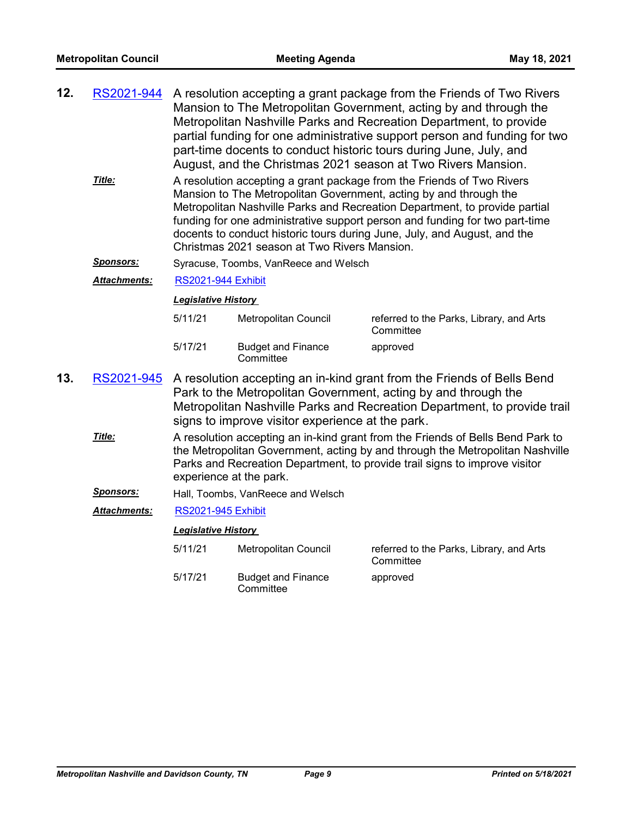| 12. |  | RS2021-944 A resolution accepting a grant package from the Friends of Two Rivers |
|-----|--|----------------------------------------------------------------------------------|
|     |  | Mansion to The Metropolitan Government, acting by and through the                |
|     |  | Metropolitan Nashville Parks and Recreation Department, to provide               |
|     |  | partial funding for one administrative support person and funding for two        |
|     |  | part-time docents to conduct historic tours during June, July, and               |
|     |  | August, and the Christmas 2021 season at Two Rivers Mansion.                     |

- A resolution accepting a grant package from the Friends of Two Rivers Mansion to The Metropolitan Government, acting by and through the Metropolitan Nashville Parks and Recreation Department, to provide partial funding for one administrative support person and funding for two part-time docents to conduct historic tours during June, July, and August, and the Christmas 2021 season at Two Rivers Mansion. *Title:*
- *Sponsors:* Syracuse, Toombs, VanReece and Welsch

*Attachments:* [RS2021-944 Exhibit](http://nashville.legistar.com/gateway.aspx?M=F&ID=998d4579-8525-419e-9f1c-e5607430c910.pdf)

#### *Legislative History*

| 5/11/21 | Metropolitan Council                   | referred to the Parks, Library, and Arts<br>Committee |
|---------|----------------------------------------|-------------------------------------------------------|
| 5/17/21 | <b>Budget and Finance</b><br>Committee | approved                                              |

- A resolution accepting an in-kind grant from the Friends of Bells Bend Park to the Metropolitan Government, acting by and through the Metropolitan Nashville Parks and Recreation Department, to provide trail signs to improve visitor experience at the park. **13.** [RS2021-945](http://nashville.legistar.com/gateway.aspx?m=l&id=/matter.aspx?key=2250)
	- A resolution accepting an in-kind grant from the Friends of Bells Bend Park to the Metropolitan Government, acting by and through the Metropolitan Nashville Parks and Recreation Department, to provide trail signs to improve visitor experience at the park. *Title:*
	- *Sponsors:* Hall, Toombs, VanReece and Welsch
	- *Attachments:* [RS2021-945 Exhibit](http://nashville.legistar.com/gateway.aspx?M=F&ID=c6521de4-26a8-4024-9f3e-59936eb9bb4d.pdf)

| 5/11/21 | Metropolitan Council                   | referred to the Parks, Library, and Arts<br>Committee |
|---------|----------------------------------------|-------------------------------------------------------|
| 5/17/21 | <b>Budget and Finance</b><br>Committee | approved                                              |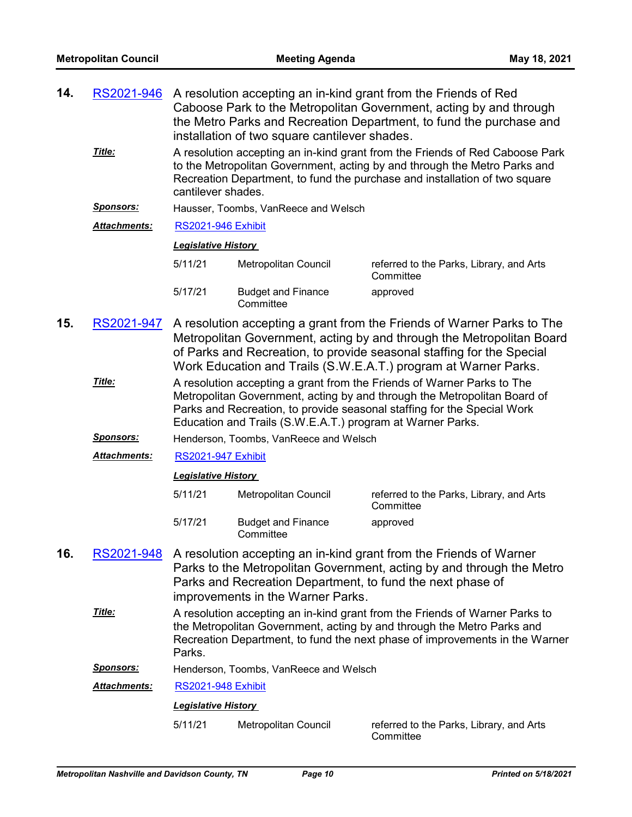| 14.                                                                                                                                                                                                                                                                                                   | RS2021-946          | A resolution accepting an in-kind grant from the Friends of Red<br>Caboose Park to the Metropolitan Government, acting by and through<br>the Metro Parks and Recreation Department, to fund the purchase and<br>installation of two square cantilever shades.                               |                                                                                                                                                                                                                                      |                                                                                                                                                                                                                                         |  |  |  |
|-------------------------------------------------------------------------------------------------------------------------------------------------------------------------------------------------------------------------------------------------------------------------------------------------------|---------------------|---------------------------------------------------------------------------------------------------------------------------------------------------------------------------------------------------------------------------------------------------------------------------------------------|--------------------------------------------------------------------------------------------------------------------------------------------------------------------------------------------------------------------------------------|-----------------------------------------------------------------------------------------------------------------------------------------------------------------------------------------------------------------------------------------|--|--|--|
|                                                                                                                                                                                                                                                                                                       | Title:              | cantilever shades.                                                                                                                                                                                                                                                                          |                                                                                                                                                                                                                                      | A resolution accepting an in-kind grant from the Friends of Red Caboose Park<br>to the Metropolitan Government, acting by and through the Metro Parks and<br>Recreation Department, to fund the purchase and installation of two square |  |  |  |
|                                                                                                                                                                                                                                                                                                       | <b>Sponsors:</b>    |                                                                                                                                                                                                                                                                                             | Hausser, Toombs, VanReece and Welsch                                                                                                                                                                                                 |                                                                                                                                                                                                                                         |  |  |  |
|                                                                                                                                                                                                                                                                                                       | Attachments:        | <b>RS2021-946 Exhibit</b>                                                                                                                                                                                                                                                                   |                                                                                                                                                                                                                                      |                                                                                                                                                                                                                                         |  |  |  |
|                                                                                                                                                                                                                                                                                                       |                     | <b>Legislative History</b>                                                                                                                                                                                                                                                                  |                                                                                                                                                                                                                                      |                                                                                                                                                                                                                                         |  |  |  |
|                                                                                                                                                                                                                                                                                                       |                     | 5/11/21                                                                                                                                                                                                                                                                                     | Metropolitan Council                                                                                                                                                                                                                 | referred to the Parks, Library, and Arts<br>Committee                                                                                                                                                                                   |  |  |  |
|                                                                                                                                                                                                                                                                                                       |                     | 5/17/21                                                                                                                                                                                                                                                                                     | <b>Budget and Finance</b><br>Committee                                                                                                                                                                                               | approved                                                                                                                                                                                                                                |  |  |  |
| 15.                                                                                                                                                                                                                                                                                                   | RS2021-947          | A resolution accepting a grant from the Friends of Warner Parks to The<br>Metropolitan Government, acting by and through the Metropolitan Board<br>of Parks and Recreation, to provide seasonal staffing for the Special<br>Work Education and Trails (S.W.E.A.T.) program at Warner Parks. |                                                                                                                                                                                                                                      |                                                                                                                                                                                                                                         |  |  |  |
| Title:<br>A resolution accepting a grant from the Friends of Warner Parks to The<br>Metropolitan Government, acting by and through the Metropolitan Board of<br>Parks and Recreation, to provide seasonal staffing for the Special Work<br>Education and Trails (S.W.E.A.T.) program at Warner Parks. |                     |                                                                                                                                                                                                                                                                                             |                                                                                                                                                                                                                                      |                                                                                                                                                                                                                                         |  |  |  |
|                                                                                                                                                                                                                                                                                                       | <u>Sponsors:</u>    |                                                                                                                                                                                                                                                                                             | Henderson, Toombs, VanReece and Welsch                                                                                                                                                                                               |                                                                                                                                                                                                                                         |  |  |  |
|                                                                                                                                                                                                                                                                                                       | <b>Attachments:</b> | <b>RS2021-947 Exhibit</b>                                                                                                                                                                                                                                                                   |                                                                                                                                                                                                                                      |                                                                                                                                                                                                                                         |  |  |  |
|                                                                                                                                                                                                                                                                                                       |                     | <b>Legislative History</b>                                                                                                                                                                                                                                                                  |                                                                                                                                                                                                                                      |                                                                                                                                                                                                                                         |  |  |  |
|                                                                                                                                                                                                                                                                                                       |                     | 5/11/21                                                                                                                                                                                                                                                                                     | Metropolitan Council                                                                                                                                                                                                                 | referred to the Parks, Library, and Arts<br>Committee                                                                                                                                                                                   |  |  |  |
|                                                                                                                                                                                                                                                                                                       |                     | 5/17/21                                                                                                                                                                                                                                                                                     | <b>Budget and Finance</b><br>Committee                                                                                                                                                                                               | approved                                                                                                                                                                                                                                |  |  |  |
| 16.                                                                                                                                                                                                                                                                                                   | RS2021-948          | A resolution accepting an in-kind grant from the Friends of Warner<br>Parks to the Metropolitan Government, acting by and through the Metro<br>Parks and Recreation Department, to fund the next phase of<br>improvements in the Warner Parks.                                              |                                                                                                                                                                                                                                      |                                                                                                                                                                                                                                         |  |  |  |
|                                                                                                                                                                                                                                                                                                       | Title:              | Parks.                                                                                                                                                                                                                                                                                      | A resolution accepting an in-kind grant from the Friends of Warner Parks to<br>the Metropolitan Government, acting by and through the Metro Parks and<br>Recreation Department, to fund the next phase of improvements in the Warner |                                                                                                                                                                                                                                         |  |  |  |
|                                                                                                                                                                                                                                                                                                       | <u>Sponsors:</u>    |                                                                                                                                                                                                                                                                                             | Henderson, Toombs, VanReece and Welsch                                                                                                                                                                                               |                                                                                                                                                                                                                                         |  |  |  |
|                                                                                                                                                                                                                                                                                                       | <b>Attachments:</b> | <b>RS2021-948 Exhibit</b>                                                                                                                                                                                                                                                                   |                                                                                                                                                                                                                                      |                                                                                                                                                                                                                                         |  |  |  |
|                                                                                                                                                                                                                                                                                                       |                     | <b>Legislative History</b>                                                                                                                                                                                                                                                                  |                                                                                                                                                                                                                                      |                                                                                                                                                                                                                                         |  |  |  |
|                                                                                                                                                                                                                                                                                                       |                     | 5/11/21                                                                                                                                                                                                                                                                                     | Metropolitan Council                                                                                                                                                                                                                 | referred to the Parks, Library, and Arts<br>Committee                                                                                                                                                                                   |  |  |  |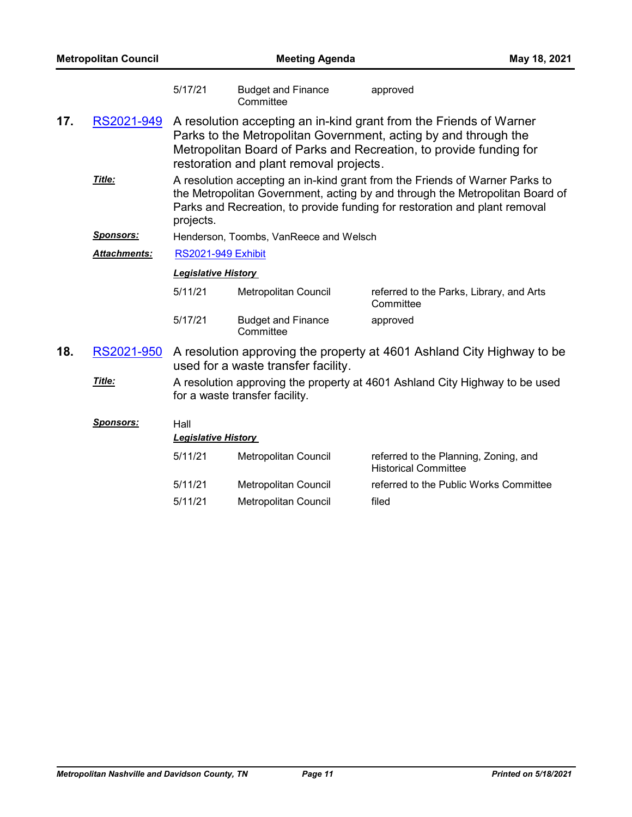| <b>Metropolitan Council</b>                                                                                                        |                  |                                                                                                                                                                                                                                                        | <b>Meeting Agenda</b>                  |                                                                      | May 18, 2021 |  |
|------------------------------------------------------------------------------------------------------------------------------------|------------------|--------------------------------------------------------------------------------------------------------------------------------------------------------------------------------------------------------------------------------------------------------|----------------------------------------|----------------------------------------------------------------------|--------------|--|
|                                                                                                                                    |                  | 5/17/21                                                                                                                                                                                                                                                | <b>Budget and Finance</b><br>Committee | approved                                                             |              |  |
| 17.                                                                                                                                | RS2021-949       | A resolution accepting an in-kind grant from the Friends of Warner<br>Parks to the Metropolitan Government, acting by and through the<br>Metropolitan Board of Parks and Recreation, to provide funding for<br>restoration and plant removal projects. |                                        |                                                                      |              |  |
|                                                                                                                                    | Title:           | A resolution accepting an in-kind grant from the Friends of Warner Parks to<br>the Metropolitan Government, acting by and through the Metropolitan Board of<br>Parks and Recreation, to provide funding for restoration and plant removal<br>projects. |                                        |                                                                      |              |  |
|                                                                                                                                    | <u>Sponsors:</u> |                                                                                                                                                                                                                                                        | Henderson, Toombs, VanReece and Welsch |                                                                      |              |  |
|                                                                                                                                    | Attachments:     | <b>RS2021-949 Exhibit</b>                                                                                                                                                                                                                              |                                        |                                                                      |              |  |
|                                                                                                                                    |                  | <b>Legislative History</b>                                                                                                                                                                                                                             |                                        |                                                                      |              |  |
|                                                                                                                                    |                  | 5/11/21                                                                                                                                                                                                                                                | Metropolitan Council                   | referred to the Parks, Library, and Arts<br>Committee                |              |  |
|                                                                                                                                    |                  | 5/17/21                                                                                                                                                                                                                                                | <b>Budget and Finance</b><br>Committee | approved                                                             |              |  |
| 18.<br>RS2021-950<br>A resolution approving the property at 4601 Ashland City Highway to be<br>used for a waste transfer facility. |                  |                                                                                                                                                                                                                                                        |                                        |                                                                      |              |  |
|                                                                                                                                    | Title:           | A resolution approving the property at 4601 Ashland City Highway to be used<br>for a waste transfer facility.                                                                                                                                          |                                        |                                                                      |              |  |
|                                                                                                                                    | <u>Sponsors:</u> | Hall<br><b>Legislative History</b>                                                                                                                                                                                                                     |                                        |                                                                      |              |  |
|                                                                                                                                    |                  | 5/11/21                                                                                                                                                                                                                                                | Metropolitan Council                   | referred to the Planning, Zoning, and<br><b>Historical Committee</b> |              |  |

5/11/21 Metropolitan Council filed

5/11/21 Metropolitan Council referred to the Public Works Committee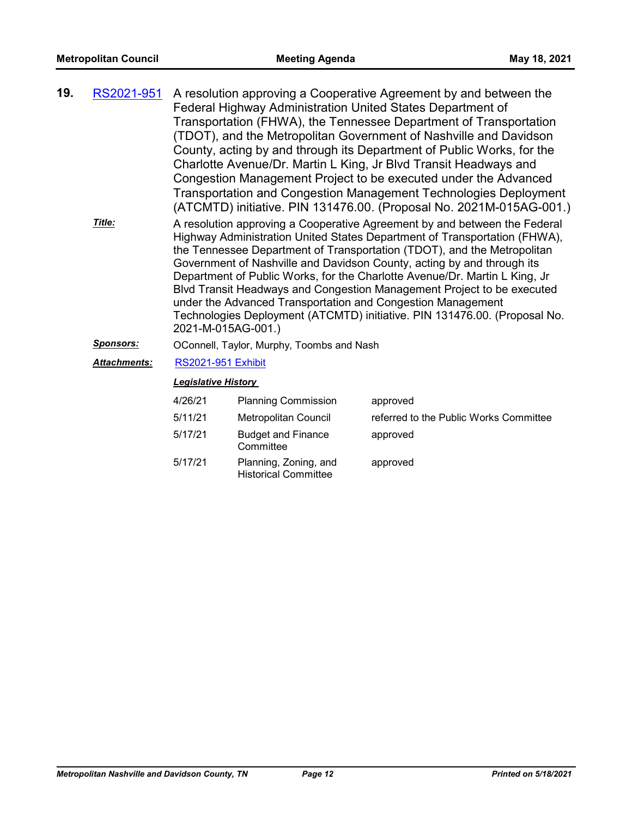| 19. | RS2021-951          | A resolution approving a Cooperative Agreement by and between the<br>Federal Highway Administration United States Department of<br>Transportation (FHWA), the Tennessee Department of Transportation<br>(TDOT), and the Metropolitan Government of Nashville and Davidson<br>County, acting by and through its Department of Public Works, for the<br>Charlotte Avenue/Dr. Martin L King, Jr Blvd Transit Headways and<br>Congestion Management Project to be executed under the Advanced<br>Transportation and Congestion Management Technologies Deployment<br>(ATCMTD) initiative. PIN 131476.00. (Proposal No. 2021M-015AG-001.)  |                                        |                                        |  |  |
|-----|---------------------|---------------------------------------------------------------------------------------------------------------------------------------------------------------------------------------------------------------------------------------------------------------------------------------------------------------------------------------------------------------------------------------------------------------------------------------------------------------------------------------------------------------------------------------------------------------------------------------------------------------------------------------|----------------------------------------|----------------------------------------|--|--|
|     | Title:              | A resolution approving a Cooperative Agreement by and between the Federal<br>Highway Administration United States Department of Transportation (FHWA),<br>the Tennessee Department of Transportation (TDOT), and the Metropolitan<br>Government of Nashville and Davidson County, acting by and through its<br>Department of Public Works, for the Charlotte Avenue/Dr. Martin L King, Jr<br>Blvd Transit Headways and Congestion Management Project to be executed<br>under the Advanced Transportation and Congestion Management<br>Technologies Deployment (ATCMTD) initiative. PIN 131476.00. (Proposal No.<br>2021-M-015AG-001.) |                                        |                                        |  |  |
|     | <u>Sponsors:</u>    | OConnell, Taylor, Murphy, Toombs and Nash                                                                                                                                                                                                                                                                                                                                                                                                                                                                                                                                                                                             |                                        |                                        |  |  |
|     | <b>Attachments:</b> | <b>RS2021-951 Exhibit</b>                                                                                                                                                                                                                                                                                                                                                                                                                                                                                                                                                                                                             |                                        |                                        |  |  |
|     |                     | <b>Legislative History</b>                                                                                                                                                                                                                                                                                                                                                                                                                                                                                                                                                                                                            |                                        |                                        |  |  |
|     |                     | 4/26/21                                                                                                                                                                                                                                                                                                                                                                                                                                                                                                                                                                                                                               | <b>Planning Commission</b>             | approved                               |  |  |
|     |                     | 5/11/21                                                                                                                                                                                                                                                                                                                                                                                                                                                                                                                                                                                                                               | Metropolitan Council                   | referred to the Public Works Committee |  |  |
|     |                     | 5/17/21                                                                                                                                                                                                                                                                                                                                                                                                                                                                                                                                                                                                                               | <b>Budget and Finance</b><br>Committee | approved                               |  |  |

5/17/21 Planning, Zoning, and Historical Committee approved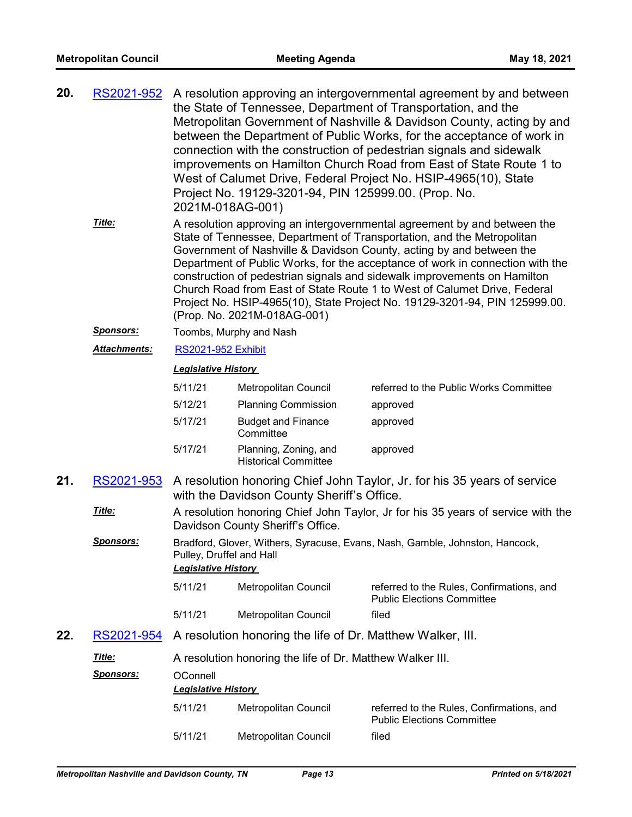| 20. | <u>RS2021-952</u>   | A resolution approving an intergovernmental agreement by and between<br>the State of Tennessee, Department of Transportation, and the<br>Metropolitan Government of Nashville & Davidson County, acting by and<br>between the Department of Public Works, for the acceptance of work in<br>connection with the construction of pedestrian signals and sidewalk<br>improvements on Hamilton Church Road from East of State Route 1 to<br>West of Calumet Drive, Federal Project No. HSIP-4965(10), State<br>Project No. 19129-3201-94, PIN 125999.00. (Prop. No.<br>2021M-018AG-001) |                                                            |                                                                                                                                                                                                                                                                                                                                                                                                                                                                                                                                                   |  |  |
|-----|---------------------|-------------------------------------------------------------------------------------------------------------------------------------------------------------------------------------------------------------------------------------------------------------------------------------------------------------------------------------------------------------------------------------------------------------------------------------------------------------------------------------------------------------------------------------------------------------------------------------|------------------------------------------------------------|---------------------------------------------------------------------------------------------------------------------------------------------------------------------------------------------------------------------------------------------------------------------------------------------------------------------------------------------------------------------------------------------------------------------------------------------------------------------------------------------------------------------------------------------------|--|--|
|     | Title:              |                                                                                                                                                                                                                                                                                                                                                                                                                                                                                                                                                                                     | (Prop. No. 2021M-018AG-001)                                | A resolution approving an intergovernmental agreement by and between the<br>State of Tennessee, Department of Transportation, and the Metropolitan<br>Government of Nashville & Davidson County, acting by and between the<br>Department of Public Works, for the acceptance of work in connection with the<br>construction of pedestrian signals and sidewalk improvements on Hamilton<br>Church Road from East of State Route 1 to West of Calumet Drive, Federal<br>Project No. HSIP-4965(10), State Project No. 19129-3201-94, PIN 125999.00. |  |  |
|     | <u>Sponsors:</u>    | Toombs, Murphy and Nash                                                                                                                                                                                                                                                                                                                                                                                                                                                                                                                                                             |                                                            |                                                                                                                                                                                                                                                                                                                                                                                                                                                                                                                                                   |  |  |
|     | <b>Attachments:</b> | <b>RS2021-952 Exhibit</b>                                                                                                                                                                                                                                                                                                                                                                                                                                                                                                                                                           |                                                            |                                                                                                                                                                                                                                                                                                                                                                                                                                                                                                                                                   |  |  |
|     |                     | <b>Legislative History</b>                                                                                                                                                                                                                                                                                                                                                                                                                                                                                                                                                          |                                                            |                                                                                                                                                                                                                                                                                                                                                                                                                                                                                                                                                   |  |  |
|     |                     | 5/11/21                                                                                                                                                                                                                                                                                                                                                                                                                                                                                                                                                                             | Metropolitan Council                                       | referred to the Public Works Committee                                                                                                                                                                                                                                                                                                                                                                                                                                                                                                            |  |  |
|     |                     | 5/12/21                                                                                                                                                                                                                                                                                                                                                                                                                                                                                                                                                                             | <b>Planning Commission</b>                                 | approved                                                                                                                                                                                                                                                                                                                                                                                                                                                                                                                                          |  |  |
|     |                     | 5/17/21                                                                                                                                                                                                                                                                                                                                                                                                                                                                                                                                                                             | <b>Budget and Finance</b><br>Committee                     | approved                                                                                                                                                                                                                                                                                                                                                                                                                                                                                                                                          |  |  |
|     |                     | 5/17/21                                                                                                                                                                                                                                                                                                                                                                                                                                                                                                                                                                             | Planning, Zoning, and<br><b>Historical Committee</b>       | approved                                                                                                                                                                                                                                                                                                                                                                                                                                                                                                                                          |  |  |
| 21. | RS2021-953          | A resolution honoring Chief John Taylor, Jr. for his 35 years of service<br>with the Davidson County Sheriff's Office.                                                                                                                                                                                                                                                                                                                                                                                                                                                              |                                                            |                                                                                                                                                                                                                                                                                                                                                                                                                                                                                                                                                   |  |  |
|     | Title:              | A resolution honoring Chief John Taylor, Jr for his 35 years of service with the<br>Davidson County Sheriff's Office.                                                                                                                                                                                                                                                                                                                                                                                                                                                               |                                                            |                                                                                                                                                                                                                                                                                                                                                                                                                                                                                                                                                   |  |  |
|     | <u>Sponsors:</u>    | Pulley, Druffel and Hall<br>Legislative History                                                                                                                                                                                                                                                                                                                                                                                                                                                                                                                                     |                                                            | Bradford, Glover, Withers, Syracuse, Evans, Nash, Gamble, Johnston, Hancock,                                                                                                                                                                                                                                                                                                                                                                                                                                                                      |  |  |
|     |                     | 5/11/21                                                                                                                                                                                                                                                                                                                                                                                                                                                                                                                                                                             | Metropolitan Council                                       | referred to the Rules, Confirmations, and<br><b>Public Elections Committee</b>                                                                                                                                                                                                                                                                                                                                                                                                                                                                    |  |  |
|     |                     | 5/11/21                                                                                                                                                                                                                                                                                                                                                                                                                                                                                                                                                                             | Metropolitan Council                                       | filed                                                                                                                                                                                                                                                                                                                                                                                                                                                                                                                                             |  |  |
| 22. | RS2021-954          |                                                                                                                                                                                                                                                                                                                                                                                                                                                                                                                                                                                     | A resolution honoring the life of Dr. Matthew Walker, III. |                                                                                                                                                                                                                                                                                                                                                                                                                                                                                                                                                   |  |  |
|     | <u>Title:</u>       |                                                                                                                                                                                                                                                                                                                                                                                                                                                                                                                                                                                     | A resolution honoring the life of Dr. Matthew Walker III.  |                                                                                                                                                                                                                                                                                                                                                                                                                                                                                                                                                   |  |  |
|     | Sponsors:           | OConnell<br><b>Legislative History</b>                                                                                                                                                                                                                                                                                                                                                                                                                                                                                                                                              |                                                            |                                                                                                                                                                                                                                                                                                                                                                                                                                                                                                                                                   |  |  |
|     |                     | 5/11/21                                                                                                                                                                                                                                                                                                                                                                                                                                                                                                                                                                             | Metropolitan Council                                       | referred to the Rules, Confirmations, and<br><b>Public Elections Committee</b>                                                                                                                                                                                                                                                                                                                                                                                                                                                                    |  |  |
|     |                     | 5/11/21                                                                                                                                                                                                                                                                                                                                                                                                                                                                                                                                                                             | Metropolitan Council                                       | filed                                                                                                                                                                                                                                                                                                                                                                                                                                                                                                                                             |  |  |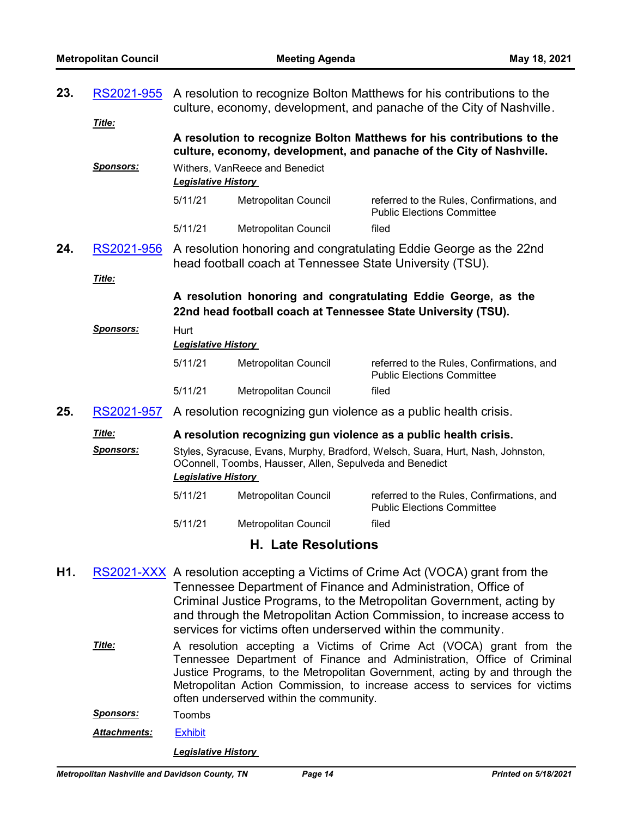| 23. | RS2021-955                 | A resolution to recognize Bolton Matthews for his contributions to the<br>culture, economy, development, and panache of the City of Nashville.                            |                                                          |                                                                                                                                                |  |
|-----|----------------------------|---------------------------------------------------------------------------------------------------------------------------------------------------------------------------|----------------------------------------------------------|------------------------------------------------------------------------------------------------------------------------------------------------|--|
|     | Title:                     |                                                                                                                                                                           |                                                          | A resolution to recognize Bolton Matthews for his contributions to the<br>culture, economy, development, and panache of the City of Nashville. |  |
|     | <b>Sponsors:</b>           | <b>Legislative History</b>                                                                                                                                                | Withers, VanReece and Benedict                           |                                                                                                                                                |  |
|     |                            | 5/11/21                                                                                                                                                                   | Metropolitan Council                                     | referred to the Rules, Confirmations, and<br><b>Public Elections Committee</b>                                                                 |  |
|     |                            | 5/11/21                                                                                                                                                                   | <b>Metropolitan Council</b>                              | filed                                                                                                                                          |  |
| 24. | RS2021-956                 |                                                                                                                                                                           | head football coach at Tennessee State University (TSU). | A resolution honoring and congratulating Eddie George as the 22nd                                                                              |  |
|     | Title:                     |                                                                                                                                                                           |                                                          |                                                                                                                                                |  |
|     |                            | A resolution honoring and congratulating Eddie George, as the<br>22nd head football coach at Tennessee State University (TSU).                                            |                                                          |                                                                                                                                                |  |
|     | Sponsors:                  | Hurt<br><b>Legislative History</b>                                                                                                                                        |                                                          |                                                                                                                                                |  |
|     |                            | 5/11/21                                                                                                                                                                   | Metropolitan Council                                     | referred to the Rules, Confirmations, and<br><b>Public Elections Committee</b>                                                                 |  |
|     |                            | 5/11/21                                                                                                                                                                   | <b>Metropolitan Council</b>                              | filed                                                                                                                                          |  |
| 25. | RS2021-957                 |                                                                                                                                                                           |                                                          | A resolution recognizing gun violence as a public health crisis.                                                                               |  |
|     | Title:                     |                                                                                                                                                                           |                                                          | A resolution recognizing gun violence as a public health crisis.                                                                               |  |
|     | Sponsors:                  | Styles, Syracuse, Evans, Murphy, Bradford, Welsch, Suara, Hurt, Nash, Johnston,<br>OConnell, Toombs, Hausser, Allen, Sepulveda and Benedict<br><b>Legislative History</b> |                                                          |                                                                                                                                                |  |
|     |                            | 5/11/21                                                                                                                                                                   | Metropolitan Council                                     | referred to the Rules, Confirmations, and<br><b>Public Elections Committee</b>                                                                 |  |
|     |                            | 5/11/21                                                                                                                                                                   | Metropolitan Council                                     | filed                                                                                                                                          |  |
|     | <b>H. Late Resolutions</b> |                                                                                                                                                                           |                                                          |                                                                                                                                                |  |

- H1. [RS2021-XXX](http://nashville.legistar.com/gateway.aspx?m=l&id=/matter.aspx?key=2277) A resolution accepting a Victims of Crime Act (VOCA) grant from the Tennessee Department of Finance and Administration, Office of Criminal Justice Programs, to the Metropolitan Government, acting by and through the Metropolitan Action Commission, to increase access to services for victims often underserved within the community.
	- A resolution accepting a Victims of Crime Act (VOCA) grant from the Tennessee Department of Finance and Administration, Office of Criminal Justice Programs, to the Metropolitan Government, acting by and through the Metropolitan Action Commission, to increase access to services for victims often underserved within the community. *Title:*
	- *Sponsors:* Toombs
	- *Attachments:* [Exhibit](http://nashville.legistar.com/gateway.aspx?M=F&ID=6ba9ca60-d99f-4bb7-885d-0f4c8fd7726a.pdf)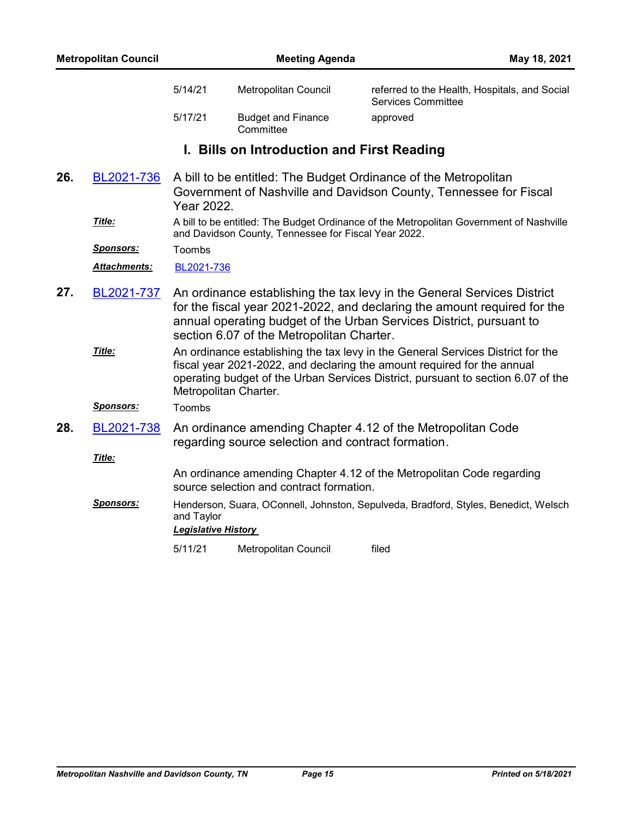| <b>Metropolitan Council</b> |                  |                                                                                                                                 | <b>Meeting Agenda</b><br>May 18, 2021                |                                                                                                                                                                                                                                                |  |
|-----------------------------|------------------|---------------------------------------------------------------------------------------------------------------------------------|------------------------------------------------------|------------------------------------------------------------------------------------------------------------------------------------------------------------------------------------------------------------------------------------------------|--|
|                             |                  | 5/14/21                                                                                                                         | Metropolitan Council                                 | referred to the Health, Hospitals, and Social<br><b>Services Committee</b>                                                                                                                                                                     |  |
|                             |                  | 5/17/21                                                                                                                         | <b>Budget and Finance</b><br>Committee               | approved                                                                                                                                                                                                                                       |  |
|                             |                  |                                                                                                                                 | I. Bills on Introduction and First Reading           |                                                                                                                                                                                                                                                |  |
| 26.                         | BL2021-736       | Year 2022.                                                                                                                      |                                                      | A bill to be entitled: The Budget Ordinance of the Metropolitan<br>Government of Nashville and Davidson County, Tennessee for Fiscal                                                                                                           |  |
|                             | Title:           |                                                                                                                                 | and Davidson County, Tennessee for Fiscal Year 2022. | A bill to be entitled: The Budget Ordinance of the Metropolitan Government of Nashville                                                                                                                                                        |  |
|                             | <u>Sponsors:</u> | Toombs                                                                                                                          |                                                      |                                                                                                                                                                                                                                                |  |
|                             | Attachments:     | BL2021-736                                                                                                                      |                                                      |                                                                                                                                                                                                                                                |  |
| 27.                         | BL2021-737       |                                                                                                                                 | section 6.07 of the Metropolitan Charter.            | An ordinance establishing the tax levy in the General Services District<br>for the fiscal year 2021-2022, and declaring the amount required for the<br>annual operating budget of the Urban Services District, pursuant to                     |  |
|                             | Title:           | Metropolitan Charter.                                                                                                           |                                                      | An ordinance establishing the tax levy in the General Services District for the<br>fiscal year 2021-2022, and declaring the amount required for the annual<br>operating budget of the Urban Services District, pursuant to section 6.07 of the |  |
|                             | <b>Sponsors:</b> | Toombs                                                                                                                          |                                                      |                                                                                                                                                                                                                                                |  |
| 28.                         | BL2021-738       |                                                                                                                                 | regarding source selection and contract formation.   | An ordinance amending Chapter 4.12 of the Metropolitan Code                                                                                                                                                                                    |  |
|                             | Title:           |                                                                                                                                 |                                                      |                                                                                                                                                                                                                                                |  |
|                             |                  | An ordinance amending Chapter 4.12 of the Metropolitan Code regarding<br>source selection and contract formation.               |                                                      |                                                                                                                                                                                                                                                |  |
|                             | <b>Sponsors:</b> | Henderson, Suara, OConnell, Johnston, Sepulveda, Bradford, Styles, Benedict, Welsch<br>and Taylor<br><b>Legislative History</b> |                                                      |                                                                                                                                                                                                                                                |  |
|                             |                  | 5/11/21                                                                                                                         | Metropolitan Council                                 | filed                                                                                                                                                                                                                                          |  |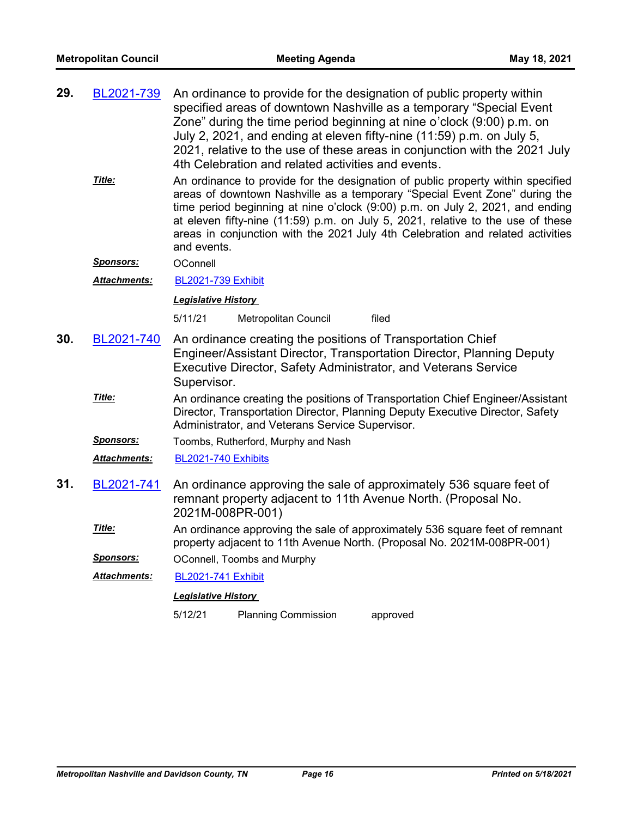| 29. | BL2021-739 | An ordinance to provide for the designation of public property within<br>specified areas of downtown Nashville as a temporary "Special Event<br>Zone" during the time period beginning at nine o'clock (9:00) p.m. on<br>July 2, 2021, and ending at eleven fifty-nine (11:59) p.m. on July 5,<br>2021, relative to the use of these areas in conjunction with the 2021 July<br>4th Celebration and related activities and events. |
|-----|------------|------------------------------------------------------------------------------------------------------------------------------------------------------------------------------------------------------------------------------------------------------------------------------------------------------------------------------------------------------------------------------------------------------------------------------------|
|     | Title:     | An ordinance to provide for the designation of public property within specified<br>areas of downtown Nashville as a temporary "Special Event Zone" during the<br>time period beginning at nine o'clock (9:00) p.m. on July 2, 2021, and ending<br>at eleven fifty-nine (11:59) p.m. on July 5, 2021, relative to the use of these<br>areas in conjunction with the 2021 July 4th Celebration and related activities<br>and events. |

*Sponsors:* OConnell

*Attachments:* [BL2021-739 Exhibit](http://nashville.legistar.com/gateway.aspx?M=F&ID=91290d44-17d5-48ea-8743-b4b84a7c435a.pdf)

### *Legislative History*

5/11/21 Metropolitan Council filed

- An ordinance creating the positions of Transportation Chief Engineer/Assistant Director, Transportation Director, Planning Deputy Executive Director, Safety Administrator, and Veterans Service Supervisor. **30.** [BL2021-740](http://nashville.legistar.com/gateway.aspx?m=l&id=/matter.aspx?key=2230)
	- An ordinance creating the positions of Transportation Chief Engineer/Assistant Director, Transportation Director, Planning Deputy Executive Director, Safety Administrator, and Veterans Service Supervisor. *Title:*

*Sponsors:* Toombs, Rutherford, Murphy and Nash

*Attachments:* [BL2021-740 Exhibits](http://nashville.legistar.com/gateway.aspx?M=F&ID=db613b6f-bdf3-4aa7-b50f-2c9d74a30db9.pdf)

- An ordinance approving the sale of approximately 536 square feet of remnant property adjacent to 11th Avenue North. (Proposal No. 2021M-008PR-001) **31.** [BL2021-741](http://nashville.legistar.com/gateway.aspx?m=l&id=/matter.aspx?key=2263)
	- An ordinance approving the sale of approximately 536 square feet of remnant property adjacent to 11th Avenue North. (Proposal No. 2021M-008PR-001) *Title:*

*Sponsors:* OConnell, Toombs and Murphy

*Attachments:* [BL2021-741 Exhibit](http://nashville.legistar.com/gateway.aspx?M=F&ID=3cbff90e-6453-465a-8bd1-8768ad91da74.pdf)

#### *Legislative History*

5/12/21 Planning Commission approved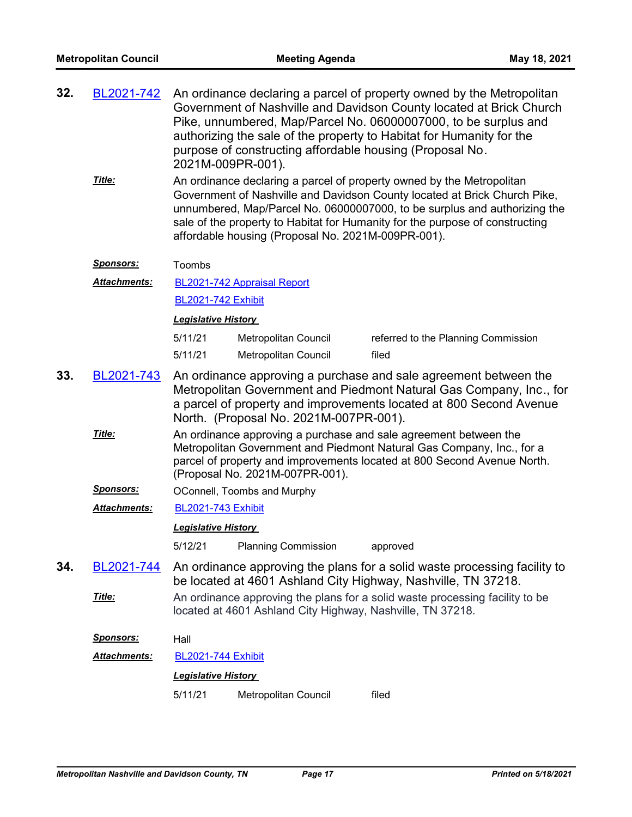| 32. | BL2021-742 An ordinance declaring a parcel of property owned by the Metropolitan |
|-----|----------------------------------------------------------------------------------|
|     | Government of Nashville and Davidson County located at Brick Church              |
|     | Pike, unnumbered, Map/Parcel No. 06000007000, to be surplus and                  |
|     | authorizing the sale of the property to Habitat for Humanity for the             |
|     | purpose of constructing affordable housing (Proposal No.                         |
|     | 2021M-009PR-001).                                                                |

An ordinance declaring a parcel of property owned by the Metropolitan Government of Nashville and Davidson County located at Brick Church Pike, unnumbered, Map/Parcel No. 06000007000, to be surplus and authorizing the sale of the property to Habitat for Humanity for the purpose of constructing affordable housing (Proposal No. 2021M-009PR-001). *Title:*

#### **Sponsors:** Toombs

[BL2021-742 Appraisal Report](http://nashville.legistar.com/gateway.aspx?M=F&ID=19072c7f-0610-450b-88a7-5ca1065895c9.pdf) [BL2021-742 Exhibit](http://nashville.legistar.com/gateway.aspx?M=F&ID=8afb80fb-b336-4ff9-98a3-cef61e6e5cb6.pdf) *Attachments:*

#### *Legislative History*

| 5/11/21 | Metropolitan Council | referred to the Planning Commission |
|---------|----------------------|-------------------------------------|
| 5/11/21 | Metropolitan Council | filed                               |

- An ordinance approving a purchase and sale agreement between the Metropolitan Government and Piedmont Natural Gas Company, Inc., for a parcel of property and improvements located at 800 Second Avenue North. (Proposal No. 2021M-007PR-001). **33.** [BL2021-743](http://nashville.legistar.com/gateway.aspx?m=l&id=/matter.aspx?key=2264)
	- An ordinance approving a purchase and sale agreement between the Metropolitan Government and Piedmont Natural Gas Company, Inc., for a parcel of property and improvements located at 800 Second Avenue North. (Proposal No. 2021M-007PR-001). *Title:*
	- **Sponsors: OConnell, Toombs and Murphy**
	- *Attachments:* [BL2021-743 Exhibit](http://nashville.legistar.com/gateway.aspx?M=F&ID=0ebcb540-f278-4495-bef4-63cf41a83aa0.pdf)

#### *Legislative History*

5/12/21 Planning Commission approved

- An ordinance approving the plans for a solid waste processing facility to be located at 4601 Ashland City Highway, Nashville, TN 37218. **34.** [BL2021-744](http://nashville.legistar.com/gateway.aspx?m=l&id=/matter.aspx?key=2270)
	- An ordinance approving the plans for a solid waste processing facility to be located at 4601 Ashland City Highway, Nashville, TN 37218. *Title:*
	- *Sponsors:* Hall

## *Attachments:* [BL2021-744 Exhibit](http://nashville.legistar.com/gateway.aspx?M=F&ID=49c0c28d-7aac-4343-b253-8e1a30313264.pdf) *Legislative History*  5/11/21 Metropolitan Council filed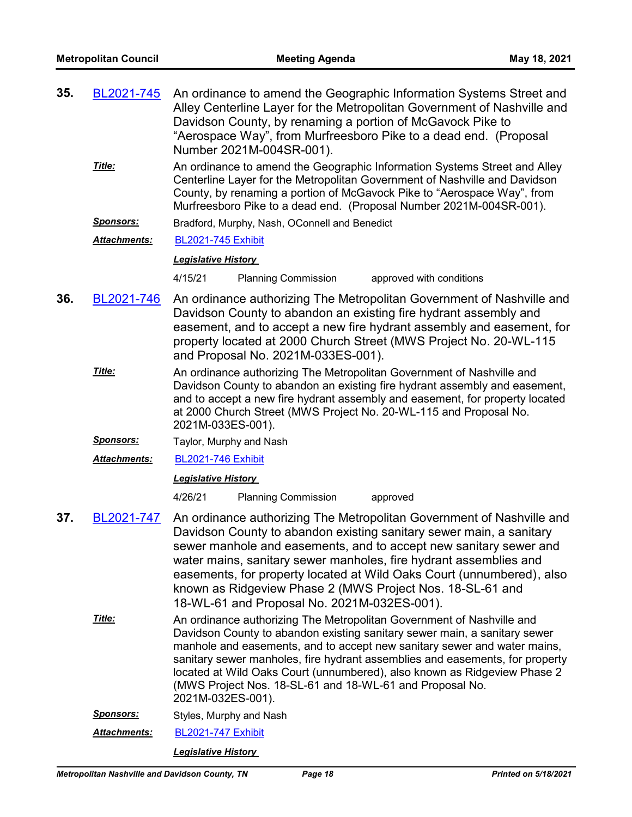| 35. | BL2021-745                                     | An ordinance to amend the Geographic Information Systems Street and<br>Alley Centerline Layer for the Metropolitan Government of Nashville and<br>Davidson County, by renaming a portion of McGavock Pike to<br>"Aerospace Way", from Murfreesboro Pike to a dead end. (Proposal                                                                                                                                                                                            |  |  |  |  |
|-----|------------------------------------------------|-----------------------------------------------------------------------------------------------------------------------------------------------------------------------------------------------------------------------------------------------------------------------------------------------------------------------------------------------------------------------------------------------------------------------------------------------------------------------------|--|--|--|--|
|     |                                                | Number 2021M-004SR-001).                                                                                                                                                                                                                                                                                                                                                                                                                                                    |  |  |  |  |
|     | Title:                                         | An ordinance to amend the Geographic Information Systems Street and Alley<br>Centerline Layer for the Metropolitan Government of Nashville and Davidson<br>County, by renaming a portion of McGavock Pike to "Aerospace Way", from<br>Murfreesboro Pike to a dead end. (Proposal Number 2021M-004SR-001).                                                                                                                                                                   |  |  |  |  |
|     | <u>Sponsors:</u>                               | Bradford, Murphy, Nash, OConnell and Benedict                                                                                                                                                                                                                                                                                                                                                                                                                               |  |  |  |  |
|     | Attachments:                                   | <b>BL2021-745 Exhibit</b>                                                                                                                                                                                                                                                                                                                                                                                                                                                   |  |  |  |  |
|     |                                                | <b>Legislative History</b>                                                                                                                                                                                                                                                                                                                                                                                                                                                  |  |  |  |  |
|     |                                                | 4/15/21<br><b>Planning Commission</b><br>approved with conditions                                                                                                                                                                                                                                                                                                                                                                                                           |  |  |  |  |
| 36. | BL2021-746                                     | An ordinance authorizing The Metropolitan Government of Nashville and<br>Davidson County to abandon an existing fire hydrant assembly and<br>easement, and to accept a new fire hydrant assembly and easement, for<br>property located at 2000 Church Street (MWS Project No. 20-WL-115<br>and Proposal No. 2021M-033ES-001).                                                                                                                                               |  |  |  |  |
|     | Title:                                         | An ordinance authorizing The Metropolitan Government of Nashville and<br>Davidson County to abandon an existing fire hydrant assembly and easement,<br>and to accept a new fire hydrant assembly and easement, for property located<br>at 2000 Church Street (MWS Project No. 20-WL-115 and Proposal No.<br>2021M-033ES-001).                                                                                                                                               |  |  |  |  |
|     | <u>Sponsors:</u>                               | Taylor, Murphy and Nash                                                                                                                                                                                                                                                                                                                                                                                                                                                     |  |  |  |  |
|     | Attachments:                                   | <b>BL2021-746 Exhibit</b>                                                                                                                                                                                                                                                                                                                                                                                                                                                   |  |  |  |  |
|     |                                                | <b>Legislative History</b>                                                                                                                                                                                                                                                                                                                                                                                                                                                  |  |  |  |  |
|     |                                                | 4/26/21<br><b>Planning Commission</b><br>approved                                                                                                                                                                                                                                                                                                                                                                                                                           |  |  |  |  |
| 37. | BL2021-747                                     | An ordinance authorizing The Metropolitan Government of Nashville and<br>Davidson County to abandon existing sanitary sewer main, a sanitary<br>sewer manhole and easements, and to accept new sanitary sewer and<br>water mains, sanitary sewer manholes, fire hydrant assemblies and<br>easements, for property located at Wild Oaks Court (unnumbered), also<br>known as Ridgeview Phase 2 (MWS Project Nos. 18-SL-61 and<br>18-WL-61 and Proposal No. 2021M-032ES-001). |  |  |  |  |
|     | Title:                                         | An ordinance authorizing The Metropolitan Government of Nashville and<br>Davidson County to abandon existing sanitary sewer main, a sanitary sewer<br>manhole and easements, and to accept new sanitary sewer and water mains,<br>sanitary sewer manholes, fire hydrant assemblies and easements, for property<br>located at Wild Oaks Court (unnumbered), also known as Ridgeview Phase 2<br>(MWS Project Nos. 18-SL-61 and 18-WL-61 and Proposal No.<br>2021M-032ES-001). |  |  |  |  |
|     | <b>Sponsors:</b>                               | Styles, Murphy and Nash                                                                                                                                                                                                                                                                                                                                                                                                                                                     |  |  |  |  |
|     | <u> Attachments:</u>                           | <b>BL2021-747 Exhibit</b>                                                                                                                                                                                                                                                                                                                                                                                                                                                   |  |  |  |  |
|     |                                                | <b>Legislative History</b>                                                                                                                                                                                                                                                                                                                                                                                                                                                  |  |  |  |  |
|     | Metropolitan Nashville and Davidson County, TN | Page 18<br><b>Printed on 5/18/2021</b>                                                                                                                                                                                                                                                                                                                                                                                                                                      |  |  |  |  |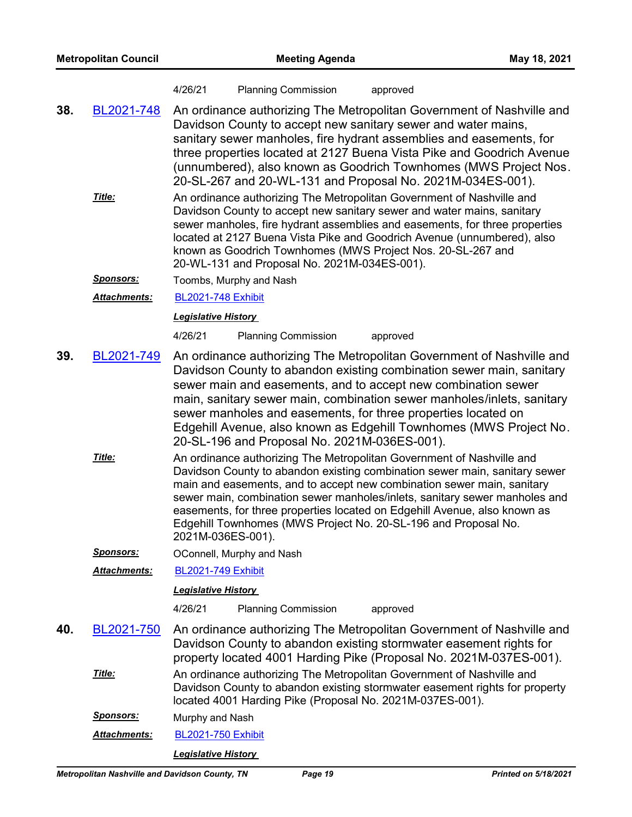#### 4/26/21 Planning Commission approved

- An ordinance authorizing The Metropolitan Government of Nashville and Davidson County to accept new sanitary sewer and water mains, sanitary sewer manholes, fire hydrant assemblies and easements, for three properties located at 2127 Buena Vista Pike and Goodrich Avenue (unnumbered), also known as Goodrich Townhomes (MWS Project Nos. 20-SL-267 and 20-WL-131 and Proposal No. 2021M-034ES-001). **38.** [BL2021-748](http://nashville.legistar.com/gateway.aspx?m=l&id=/matter.aspx?key=2255)
	- An ordinance authorizing The Metropolitan Government of Nashville and Davidson County to accept new sanitary sewer and water mains, sanitary sewer manholes, fire hydrant assemblies and easements, for three properties located at 2127 Buena Vista Pike and Goodrich Avenue (unnumbered), also known as Goodrich Townhomes (MWS Project Nos. 20-SL-267 and 20-WL-131 and Proposal No. 2021M-034ES-001). *Title:*

*Sponsors:* Toombs, Murphy and Nash

*Attachments:* [BL2021-748 Exhibit](http://nashville.legistar.com/gateway.aspx?M=F&ID=2b35ec94-a658-41de-a7ba-7fdd9b9bd46a.pdf)

#### *Legislative History*

4/26/21 Planning Commission approved

- An ordinance authorizing The Metropolitan Government of Nashville and Davidson County to abandon existing combination sewer main, sanitary sewer main and easements, and to accept new combination sewer main, sanitary sewer main, combination sewer manholes/inlets, sanitary sewer manholes and easements, for three properties located on Edgehill Avenue, also known as Edgehill Townhomes (MWS Project No. 20-SL-196 and Proposal No. 2021M-036ES-001). **39.** [BL2021-749](http://nashville.legistar.com/gateway.aspx?m=l&id=/matter.aspx?key=2258)
	- An ordinance authorizing The Metropolitan Government of Nashville and Davidson County to abandon existing combination sewer main, sanitary sewer main and easements, and to accept new combination sewer main, sanitary sewer main, combination sewer manholes/inlets, sanitary sewer manholes and easements, for three properties located on Edgehill Avenue, also known as Edgehill Townhomes (MWS Project No. 20-SL-196 and Proposal No. 2021M-036ES-001). *Title:*

**Sponsors: OConnell, Murphy and Nash** 

*Attachments:* [BL2021-749 Exhibit](http://nashville.legistar.com/gateway.aspx?M=F&ID=e9fd0f31-7b9b-41ca-936c-82f28a455ac8.pdf)

#### *Legislative History*

4/26/21 Planning Commission approved

An ordinance authorizing The Metropolitan Government of Nashville and Davidson County to abandon existing stormwater easement rights for property located 4001 Harding Pike (Proposal No. 2021M-037ES-001). **40.** [BL2021-750](http://nashville.legistar.com/gateway.aspx?m=l&id=/matter.aspx?key=2249) An ordinance authorizing The Metropolitan Government of Nashville and Davidson County to abandon existing stormwater easement rights for property located 4001 Harding Pike (Proposal No. 2021M-037ES-001). *Title: Sponsors:* Murphy and Nash *Attachments:* [BL2021-750 Exhibit](http://nashville.legistar.com/gateway.aspx?M=F&ID=913a7b74-02c6-4b82-ad7d-5c5f986fe52b.pdf)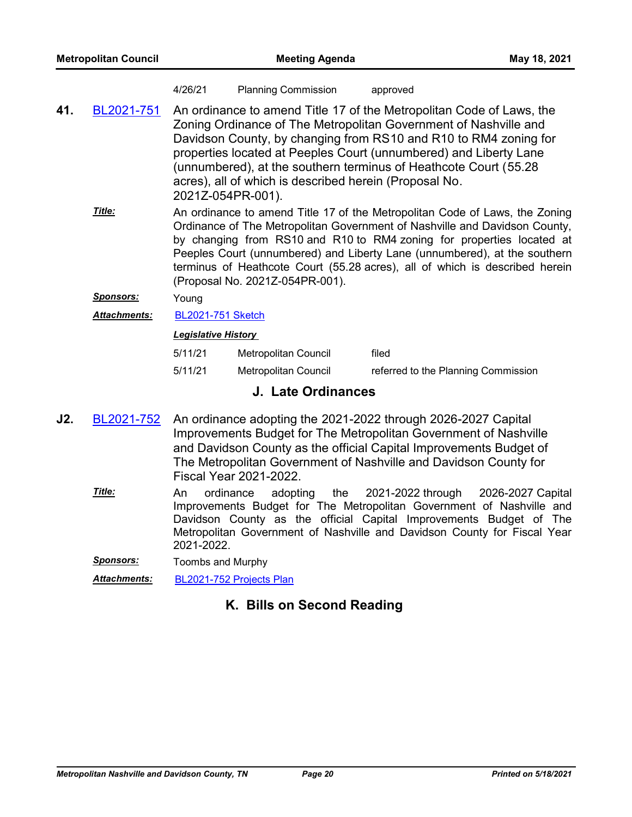#### 4/26/21 Planning Commission approved

- An ordinance to amend Title 17 of the Metropolitan Code of Laws, the Zoning Ordinance of The Metropolitan Government of Nashville and Davidson County, by changing from RS10 and R10 to RM4 zoning for properties located at Peeples Court (unnumbered) and Liberty Lane (unnumbered), at the southern terminus of Heathcote Court (55.28 acres), all of which is described herein (Proposal No. 2021Z-054PR-001). **41.** [BL2021-751](http://nashville.legistar.com/gateway.aspx?m=l&id=/matter.aspx?key=2267)
	- An ordinance to amend Title 17 of the Metropolitan Code of Laws, the Zoning Ordinance of The Metropolitan Government of Nashville and Davidson County, by changing from RS10 and R10 to RM4 zoning for properties located at Peeples Court (unnumbered) and Liberty Lane (unnumbered), at the southern terminus of Heathcote Court (55.28 acres), all of which is described herein (Proposal No. 2021Z-054PR-001). *Title:*
	- *Sponsors:* Young
	- *Attachments:* [BL2021-751 Sketch](http://nashville.legistar.com/gateway.aspx?M=F&ID=e6709146-6ee9-48b0-8bbf-06c7611f9bc9.docx)

#### *Legislative History*

| 5/11/21 | Metropolitan Council | filed                               |
|---------|----------------------|-------------------------------------|
| 5/11/21 | Metropolitan Council | referred to the Planning Commission |

## **J. Late Ordinances**

- An ordinance adopting the 2021-2022 through 2026-2027 Capital Improvements Budget for The Metropolitan Government of Nashville and Davidson County as the official Capital Improvements Budget of The Metropolitan Government of Nashville and Davidson County for Fiscal Year 2021-2022. **J2.** [BL2021-752](http://nashville.legistar.com/gateway.aspx?m=l&id=/matter.aspx?key=2278)
	- An ordinance adopting the 2021-2022 through 2026-2027 Capital Improvements Budget for The Metropolitan Government of Nashville and Davidson County as the official Capital Improvements Budget of The Metropolitan Government of Nashville and Davidson County for Fiscal Year 2021-2022. *Title:*
	- *Sponsors:* Toombs and Murphy

*Attachments:* [BL2021-752 Projects Plan](http://nashville.legistar.com/gateway.aspx?M=F&ID=15797a48-472f-4410-9e4b-4e18a1a86600.pdf)

## **K. Bills on Second Reading**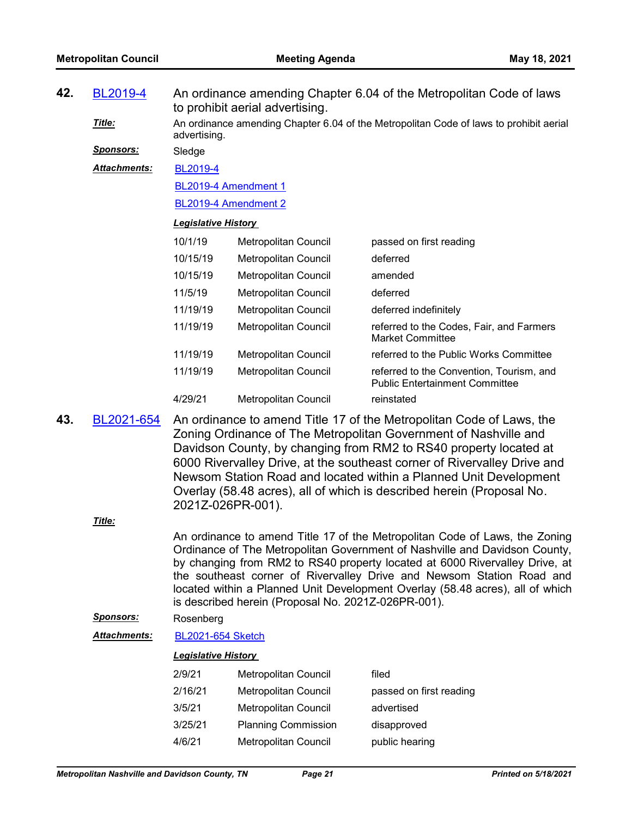| 42. | BL2019-4            | An ordinance amending Chapter 6.04 of the Metropolitan Code of laws<br>to prohibit aerial advertising. |                                                                                                                                          |                                                                                   |  |  |
|-----|---------------------|--------------------------------------------------------------------------------------------------------|------------------------------------------------------------------------------------------------------------------------------------------|-----------------------------------------------------------------------------------|--|--|
|     | Title:              | An ordinance amending Chapter 6.04 of the Metropolitan Code of laws to prohibit aerial<br>advertising. |                                                                                                                                          |                                                                                   |  |  |
|     | <b>Sponsors:</b>    | Sledge                                                                                                 |                                                                                                                                          |                                                                                   |  |  |
|     | <b>Attachments:</b> | BL2019-4                                                                                               |                                                                                                                                          |                                                                                   |  |  |
|     |                     | BL2019-4 Amendment 1                                                                                   |                                                                                                                                          |                                                                                   |  |  |
|     |                     | BL2019-4 Amendment 2                                                                                   |                                                                                                                                          |                                                                                   |  |  |
|     |                     | <b>Legislative History</b>                                                                             |                                                                                                                                          |                                                                                   |  |  |
|     |                     | 10/1/19                                                                                                | Metropolitan Council                                                                                                                     | passed on first reading                                                           |  |  |
|     |                     | 10/15/19                                                                                               | <b>Metropolitan Council</b>                                                                                                              | deferred                                                                          |  |  |
|     |                     | 10/15/19                                                                                               | Metropolitan Council                                                                                                                     | amended                                                                           |  |  |
|     |                     | 11/5/19                                                                                                | Metropolitan Council                                                                                                                     | deferred                                                                          |  |  |
|     |                     | 11/19/19                                                                                               | Metropolitan Council                                                                                                                     | deferred indefinitely                                                             |  |  |
|     |                     | 11/19/19                                                                                               | Metropolitan Council                                                                                                                     | referred to the Codes, Fair, and Farmers<br>Market Committee                      |  |  |
|     |                     | 11/19/19                                                                                               | <b>Metropolitan Council</b>                                                                                                              | referred to the Public Works Committee                                            |  |  |
|     |                     | 11/19/19                                                                                               | Metropolitan Council                                                                                                                     | referred to the Convention, Tourism, and<br><b>Public Entertainment Committee</b> |  |  |
|     |                     | 4/29/21                                                                                                | <b>Metropolitan Council</b>                                                                                                              | reinstated                                                                        |  |  |
| 43. | BL2021-654          |                                                                                                        | An ordinance to amend Title 17 of the Metropolitan Code of Laws, the<br>Zoning Ordinance of The Metropolitan Government of Nashville and |                                                                                   |  |  |

Zoning Ordinance of The Metropolitan Government of Nashville and Davidson County, by changing from RM2 to RS40 property located at 6000 Rivervalley Drive, at the southeast corner of Rivervalley Drive and Newsom Station Road and located within a Planned Unit Development Overlay (58.48 acres), all of which is described herein (Proposal No. 2021Z-026PR-001).

*Title:*

An ordinance to amend Title 17 of the Metropolitan Code of Laws, the Zoning Ordinance of The Metropolitan Government of Nashville and Davidson County, by changing from RM2 to RS40 property located at 6000 Rivervalley Drive, at the southeast corner of Rivervalley Drive and Newsom Station Road and located within a Planned Unit Development Overlay (58.48 acres), all of which is described herein (Proposal No. 2021Z-026PR-001).

#### *Sponsors:* Rosenberg

*Attachments:* [BL2021-654 Sketch](http://nashville.legistar.com/gateway.aspx?M=F&ID=aa454243-fb84-4881-9b94-d0e120d6b2b0.docx)

| 2/9/21  | <b>Metropolitan Council</b> | filed                   |
|---------|-----------------------------|-------------------------|
| 2/16/21 | <b>Metropolitan Council</b> | passed on first reading |
| 3/5/21  | Metropolitan Council        | advertised              |
| 3/25/21 | <b>Planning Commission</b>  | disapproved             |
| 4/6/21  | <b>Metropolitan Council</b> | public hearing          |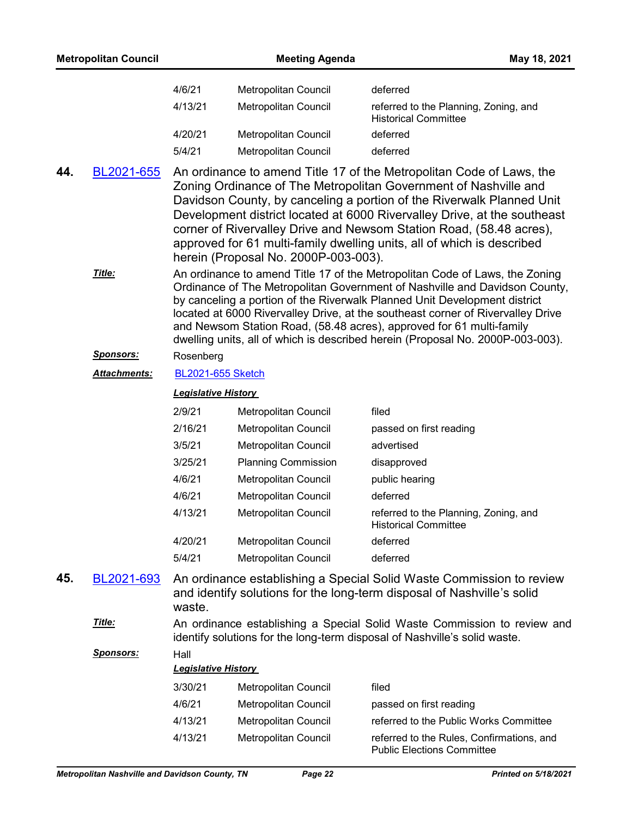|     | <b>Metropolitan Council</b>                    |                            | <b>Meeting Agenda</b>                | May 18, 2021                                                                                                                                                                                                                                                                                                                                                                                                                                                                        |
|-----|------------------------------------------------|----------------------------|--------------------------------------|-------------------------------------------------------------------------------------------------------------------------------------------------------------------------------------------------------------------------------------------------------------------------------------------------------------------------------------------------------------------------------------------------------------------------------------------------------------------------------------|
|     |                                                | 4/6/21                     | Metropolitan Council                 | deferred                                                                                                                                                                                                                                                                                                                                                                                                                                                                            |
|     |                                                | 4/13/21                    | Metropolitan Council                 | referred to the Planning, Zoning, and<br><b>Historical Committee</b>                                                                                                                                                                                                                                                                                                                                                                                                                |
|     |                                                | 4/20/21                    | Metropolitan Council                 | deferred                                                                                                                                                                                                                                                                                                                                                                                                                                                                            |
|     |                                                | 5/4/21                     | <b>Metropolitan Council</b>          | deferred                                                                                                                                                                                                                                                                                                                                                                                                                                                                            |
| 44. | BL2021-655                                     |                            | herein (Proposal No. 2000P-003-003). | An ordinance to amend Title 17 of the Metropolitan Code of Laws, the<br>Zoning Ordinance of The Metropolitan Government of Nashville and<br>Davidson County, by canceling a portion of the Riverwalk Planned Unit<br>Development district located at 6000 Rivervalley Drive, at the southeast<br>corner of Rivervalley Drive and Newsom Station Road, (58.48 acres),<br>approved for 61 multi-family dwelling units, all of which is described                                      |
|     | Title:                                         |                            |                                      | An ordinance to amend Title 17 of the Metropolitan Code of Laws, the Zoning<br>Ordinance of The Metropolitan Government of Nashville and Davidson County,<br>by canceling a portion of the Riverwalk Planned Unit Development district<br>located at 6000 Rivervalley Drive, at the southeast corner of Rivervalley Drive<br>and Newsom Station Road, (58.48 acres), approved for 61 multi-family<br>dwelling units, all of which is described herein (Proposal No. 2000P-003-003). |
|     | <u>Sponsors:</u>                               | Rosenberg                  |                                      |                                                                                                                                                                                                                                                                                                                                                                                                                                                                                     |
|     | <b>Attachments:</b>                            | <b>BL2021-655 Sketch</b>   |                                      |                                                                                                                                                                                                                                                                                                                                                                                                                                                                                     |
|     |                                                | <b>Legislative History</b> |                                      |                                                                                                                                                                                                                                                                                                                                                                                                                                                                                     |
|     |                                                | 2/9/21                     | Metropolitan Council                 | filed                                                                                                                                                                                                                                                                                                                                                                                                                                                                               |
|     |                                                | 2/16/21                    | Metropolitan Council                 | passed on first reading                                                                                                                                                                                                                                                                                                                                                                                                                                                             |
|     |                                                | 3/5/21                     | Metropolitan Council                 | advertised                                                                                                                                                                                                                                                                                                                                                                                                                                                                          |
|     |                                                | 3/25/21                    | <b>Planning Commission</b>           | disapproved                                                                                                                                                                                                                                                                                                                                                                                                                                                                         |
|     |                                                | 4/6/21                     | Metropolitan Council                 | public hearing                                                                                                                                                                                                                                                                                                                                                                                                                                                                      |
|     |                                                | 4/6/21                     | Metropolitan Council                 | deferred                                                                                                                                                                                                                                                                                                                                                                                                                                                                            |
|     |                                                | 4/13/21                    | Metropolitan Council                 | referred to the Planning, Zoning, and<br><b>Historical Committee</b>                                                                                                                                                                                                                                                                                                                                                                                                                |
|     |                                                | 4/20/21                    | Metropolitan Council                 | deferred                                                                                                                                                                                                                                                                                                                                                                                                                                                                            |
|     |                                                | 5/4/21                     | <b>Metropolitan Council</b>          | deferred                                                                                                                                                                                                                                                                                                                                                                                                                                                                            |
| 45. | BL2021-693                                     | waste.                     |                                      | An ordinance establishing a Special Solid Waste Commission to review<br>and identify solutions for the long-term disposal of Nashville's solid                                                                                                                                                                                                                                                                                                                                      |
|     | Title:                                         |                            |                                      | An ordinance establishing a Special Solid Waste Commission to review and<br>identify solutions for the long-term disposal of Nashville's solid waste.                                                                                                                                                                                                                                                                                                                               |
|     | <u>Sponsors:</u>                               | Hall                       |                                      |                                                                                                                                                                                                                                                                                                                                                                                                                                                                                     |
|     |                                                | <b>Legislative History</b> |                                      |                                                                                                                                                                                                                                                                                                                                                                                                                                                                                     |
|     |                                                | 3/30/21                    | Metropolitan Council                 | filed                                                                                                                                                                                                                                                                                                                                                                                                                                                                               |
|     |                                                | 4/6/21                     | Metropolitan Council                 | passed on first reading                                                                                                                                                                                                                                                                                                                                                                                                                                                             |
|     |                                                | 4/13/21                    | Metropolitan Council                 | referred to the Public Works Committee                                                                                                                                                                                                                                                                                                                                                                                                                                              |
|     |                                                | 4/13/21                    | Metropolitan Council                 | referred to the Rules, Confirmations, and<br><b>Public Elections Committee</b>                                                                                                                                                                                                                                                                                                                                                                                                      |
|     | Metropolitan Nashville and Davidson County, TN |                            | Page 22                              | Printed on 5/18/2021                                                                                                                                                                                                                                                                                                                                                                                                                                                                |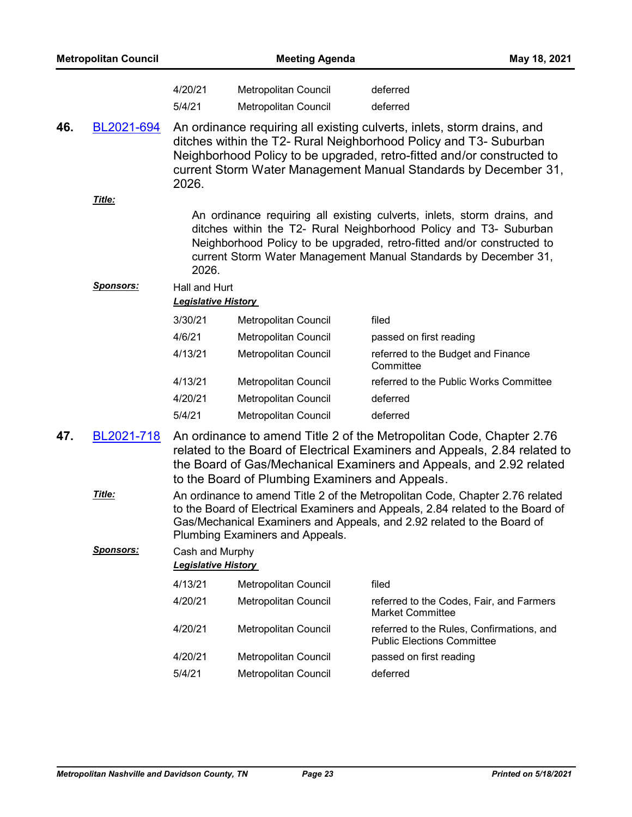|     | <b>Metropolitan Council</b> |                                               | <b>Meeting Agenda</b>                           |                                                                                                                                                                                                                                                                                           | May 18, 2021 |
|-----|-----------------------------|-----------------------------------------------|-------------------------------------------------|-------------------------------------------------------------------------------------------------------------------------------------------------------------------------------------------------------------------------------------------------------------------------------------------|--------------|
|     |                             | 4/20/21<br>5/4/21                             | Metropolitan Council<br>Metropolitan Council    | deferred<br>deferred                                                                                                                                                                                                                                                                      |              |
| 46. | BL2021-694                  | 2026.                                         |                                                 | An ordinance requiring all existing culverts, inlets, storm drains, and<br>ditches within the T2- Rural Neighborhood Policy and T3- Suburban<br>Neighborhood Policy to be upgraded, retro-fitted and/or constructed to<br>current Storm Water Management Manual Standards by December 31, |              |
|     | Title:                      |                                               |                                                 |                                                                                                                                                                                                                                                                                           |              |
|     |                             | 2026.                                         |                                                 | An ordinance requiring all existing culverts, inlets, storm drains, and<br>ditches within the T2- Rural Neighborhood Policy and T3- Suburban<br>Neighborhood Policy to be upgraded, retro-fitted and/or constructed to<br>current Storm Water Management Manual Standards by December 31, |              |
|     | <b>Sponsors:</b>            | Hall and Hurt                                 |                                                 |                                                                                                                                                                                                                                                                                           |              |
|     |                             | <b>Legislative History</b>                    |                                                 |                                                                                                                                                                                                                                                                                           |              |
|     |                             | 3/30/21                                       | Metropolitan Council                            | filed                                                                                                                                                                                                                                                                                     |              |
|     |                             | 4/6/21                                        | Metropolitan Council                            | passed on first reading                                                                                                                                                                                                                                                                   |              |
|     |                             | 4/13/21                                       | Metropolitan Council                            | referred to the Budget and Finance<br>Committee                                                                                                                                                                                                                                           |              |
|     |                             | 4/13/21                                       | Metropolitan Council                            | referred to the Public Works Committee                                                                                                                                                                                                                                                    |              |
|     |                             | 4/20/21                                       | Metropolitan Council                            | deferred                                                                                                                                                                                                                                                                                  |              |
|     |                             | 5/4/21                                        | Metropolitan Council                            | deferred                                                                                                                                                                                                                                                                                  |              |
| 47. | BL2021-718                  |                                               | to the Board of Plumbing Examiners and Appeals. | An ordinance to amend Title 2 of the Metropolitan Code, Chapter 2.76<br>related to the Board of Electrical Examiners and Appeals, 2.84 related to<br>the Board of Gas/Mechanical Examiners and Appeals, and 2.92 related                                                                  |              |
|     | Title:                      |                                               | Plumbing Examiners and Appeals.                 | An ordinance to amend Title 2 of the Metropolitan Code, Chapter 2.76 related<br>to the Board of Electrical Examiners and Appeals, 2.84 related to the Board of<br>Gas/Mechanical Examiners and Appeals, and 2.92 related to the Board of                                                  |              |
|     | <u>Sponsors:</u>            | Cash and Murphy<br><b>Legislative History</b> |                                                 |                                                                                                                                                                                                                                                                                           |              |
|     |                             | 4/13/21                                       | Metropolitan Council                            | filed                                                                                                                                                                                                                                                                                     |              |
|     |                             | 4/20/21                                       | Metropolitan Council                            | referred to the Codes, Fair, and Farmers<br><b>Market Committee</b>                                                                                                                                                                                                                       |              |
|     |                             | 4/20/21                                       | Metropolitan Council                            | referred to the Rules, Confirmations, and<br><b>Public Elections Committee</b>                                                                                                                                                                                                            |              |
|     |                             | 4/20/21                                       | Metropolitan Council                            | passed on first reading                                                                                                                                                                                                                                                                   |              |
|     |                             | 5/4/21                                        | Metropolitan Council                            | deferred                                                                                                                                                                                                                                                                                  |              |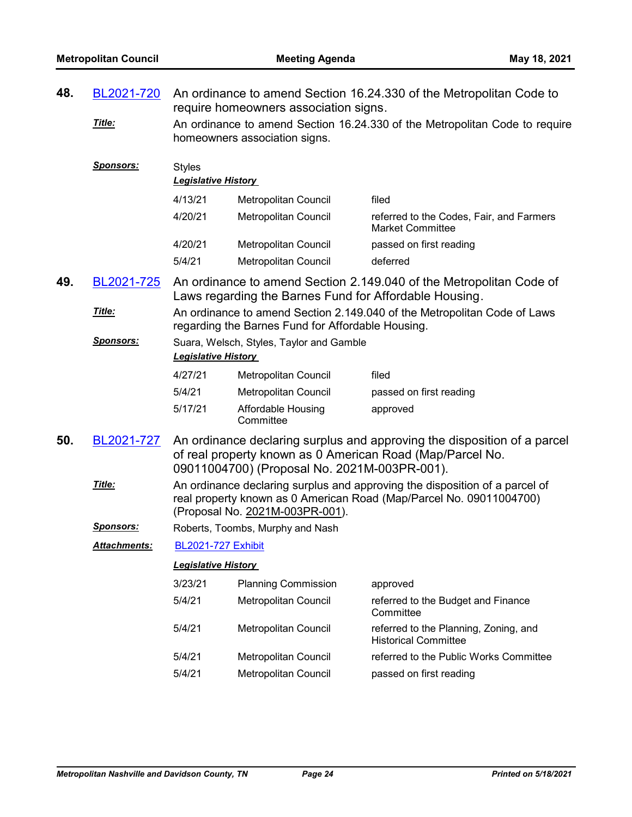| 48. | BL2021-720       | An ordinance to amend Section 16.24.330 of the Metropolitan Code to<br>require homeowners association signs.                                                                          |                                                        |                                                                                                                                       |
|-----|------------------|---------------------------------------------------------------------------------------------------------------------------------------------------------------------------------------|--------------------------------------------------------|---------------------------------------------------------------------------------------------------------------------------------------|
|     | Title:           | An ordinance to amend Section 16.24.330 of the Metropolitan Code to require<br>homeowners association signs.                                                                          |                                                        |                                                                                                                                       |
|     | <u>Sponsors:</u> | <b>Styles</b><br><b>Legislative History</b>                                                                                                                                           |                                                        |                                                                                                                                       |
|     |                  | 4/13/21                                                                                                                                                                               | Metropolitan Council                                   | filed                                                                                                                                 |
|     |                  | 4/20/21                                                                                                                                                                               | <b>Metropolitan Council</b>                            | referred to the Codes, Fair, and Farmers<br><b>Market Committee</b>                                                                   |
|     |                  | 4/20/21                                                                                                                                                                               | Metropolitan Council                                   | passed on first reading                                                                                                               |
|     |                  | 5/4/21                                                                                                                                                                                | Metropolitan Council                                   | deferred                                                                                                                              |
| 49. | BL2021-725       |                                                                                                                                                                                       | Laws regarding the Barnes Fund for Affordable Housing. | An ordinance to amend Section 2.149.040 of the Metropolitan Code of                                                                   |
|     | Title:           |                                                                                                                                                                                       | regarding the Barnes Fund for Affordable Housing.      | An ordinance to amend Section 2.149.040 of the Metropolitan Code of Laws                                                              |
|     | Sponsors:        | Suara, Welsch, Styles, Taylor and Gamble<br><b>Legislative History</b>                                                                                                                |                                                        |                                                                                                                                       |
|     |                  | 4/27/21                                                                                                                                                                               | <b>Metropolitan Council</b>                            | filed                                                                                                                                 |
|     |                  | 5/4/21                                                                                                                                                                                | Metropolitan Council                                   | passed on first reading                                                                                                               |
|     |                  | 5/17/21                                                                                                                                                                               | Affordable Housing<br>Committee                        | approved                                                                                                                              |
| 50. | BL2021-727       |                                                                                                                                                                                       | 09011004700) (Proposal No. 2021M-003PR-001).           | An ordinance declaring surplus and approving the disposition of a parcel<br>of real property known as 0 American Road (Map/Parcel No. |
|     | Title:           | An ordinance declaring surplus and approving the disposition of a parcel of<br>real property known as 0 American Road (Map/Parcel No. 09011004700)<br>(Proposal No. 2021M-003PR-001). |                                                        |                                                                                                                                       |
|     | <b>Sponsors:</b> |                                                                                                                                                                                       | Roberts, Toombs, Murphy and Nash                       |                                                                                                                                       |
|     | Attachments:     | <b>BL2021-727 Exhibit</b>                                                                                                                                                             |                                                        |                                                                                                                                       |
|     |                  | <b>Legislative History</b>                                                                                                                                                            |                                                        |                                                                                                                                       |
|     |                  | 3/23/21                                                                                                                                                                               | <b>Planning Commission</b>                             | approved                                                                                                                              |
|     |                  | 5/4/21                                                                                                                                                                                | Metropolitan Council                                   | referred to the Budget and Finance<br>Committee                                                                                       |
|     |                  | 5/4/21                                                                                                                                                                                | Metropolitan Council                                   | referred to the Planning, Zoning, and<br><b>Historical Committee</b>                                                                  |
|     |                  | 5/4/21                                                                                                                                                                                | Metropolitan Council                                   | referred to the Public Works Committee                                                                                                |
|     |                  | 5/4/21                                                                                                                                                                                | <b>Metropolitan Council</b>                            | passed on first reading                                                                                                               |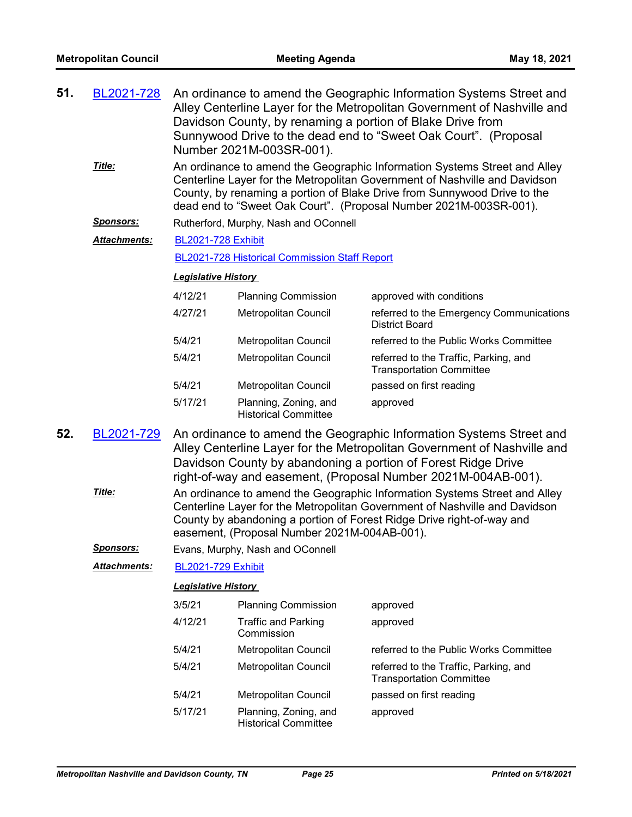| 51. | BL2021-728          | An ordinance to amend the Geographic Information Systems Street and<br>Alley Centerline Layer for the Metropolitan Government of Nashville and<br>Davidson County, by renaming a portion of Blake Drive from<br>Sunnywood Drive to the dead end to "Sweet Oak Court". (Proposal<br>Number 2021M-003SR-001).                                                                                                                                                                                                                                                          |                                                      |                                                                          |  |  |
|-----|---------------------|----------------------------------------------------------------------------------------------------------------------------------------------------------------------------------------------------------------------------------------------------------------------------------------------------------------------------------------------------------------------------------------------------------------------------------------------------------------------------------------------------------------------------------------------------------------------|------------------------------------------------------|--------------------------------------------------------------------------|--|--|
|     | Title:              | An ordinance to amend the Geographic Information Systems Street and Alley<br>Centerline Layer for the Metropolitan Government of Nashville and Davidson<br>County, by renaming a portion of Blake Drive from Sunnywood Drive to the<br>dead end to "Sweet Oak Court". (Proposal Number 2021M-003SR-001).                                                                                                                                                                                                                                                             |                                                      |                                                                          |  |  |
|     | <u>Sponsors:</u>    |                                                                                                                                                                                                                                                                                                                                                                                                                                                                                                                                                                      | Rutherford, Murphy, Nash and OConnell                |                                                                          |  |  |
|     | Attachments:        | <b>BL2021-728 Exhibit</b>                                                                                                                                                                                                                                                                                                                                                                                                                                                                                                                                            |                                                      |                                                                          |  |  |
|     |                     |                                                                                                                                                                                                                                                                                                                                                                                                                                                                                                                                                                      | BL2021-728 Historical Commission Staff Report        |                                                                          |  |  |
|     |                     | <b>Legislative History</b>                                                                                                                                                                                                                                                                                                                                                                                                                                                                                                                                           |                                                      |                                                                          |  |  |
|     |                     | 4/12/21                                                                                                                                                                                                                                                                                                                                                                                                                                                                                                                                                              | <b>Planning Commission</b>                           | approved with conditions                                                 |  |  |
|     |                     | 4/27/21                                                                                                                                                                                                                                                                                                                                                                                                                                                                                                                                                              | <b>Metropolitan Council</b>                          | referred to the Emergency Communications<br><b>District Board</b>        |  |  |
|     |                     | 5/4/21                                                                                                                                                                                                                                                                                                                                                                                                                                                                                                                                                               | Metropolitan Council                                 | referred to the Public Works Committee                                   |  |  |
|     |                     | 5/4/21                                                                                                                                                                                                                                                                                                                                                                                                                                                                                                                                                               | <b>Metropolitan Council</b>                          | referred to the Traffic, Parking, and<br><b>Transportation Committee</b> |  |  |
|     |                     | 5/4/21                                                                                                                                                                                                                                                                                                                                                                                                                                                                                                                                                               | Metropolitan Council                                 | passed on first reading                                                  |  |  |
|     |                     | 5/17/21                                                                                                                                                                                                                                                                                                                                                                                                                                                                                                                                                              | Planning, Zoning, and<br><b>Historical Committee</b> | approved                                                                 |  |  |
| 52. | BL2021-729          | An ordinance to amend the Geographic Information Systems Street and<br>Alley Centerline Layer for the Metropolitan Government of Nashville and<br>Davidson County by abandoning a portion of Forest Ridge Drive<br>right-of-way and easement, (Proposal Number 2021M-004AB-001).<br>An ordinance to amend the Geographic Information Systems Street and Alley<br>Centerline Layer for the Metropolitan Government of Nashville and Davidson<br>County by abandoning a portion of Forest Ridge Drive right-of-way and<br>easement, (Proposal Number 2021M-004AB-001). |                                                      |                                                                          |  |  |
|     | Title:              |                                                                                                                                                                                                                                                                                                                                                                                                                                                                                                                                                                      |                                                      |                                                                          |  |  |
|     | <u>Sponsors:</u>    |                                                                                                                                                                                                                                                                                                                                                                                                                                                                                                                                                                      | Evans, Murphy, Nash and OConnell                     |                                                                          |  |  |
|     | <b>Attachments:</b> | <b>BL2021-729 Exhibit</b>                                                                                                                                                                                                                                                                                                                                                                                                                                                                                                                                            |                                                      |                                                                          |  |  |
|     |                     | <b>Legislative History</b>                                                                                                                                                                                                                                                                                                                                                                                                                                                                                                                                           |                                                      |                                                                          |  |  |
|     |                     | 3/5/21                                                                                                                                                                                                                                                                                                                                                                                                                                                                                                                                                               | <b>Planning Commission</b>                           | approved                                                                 |  |  |
|     |                     | 4/12/21                                                                                                                                                                                                                                                                                                                                                                                                                                                                                                                                                              | <b>Traffic and Parking</b><br>Commission             | approved                                                                 |  |  |
|     |                     | 5/4/21                                                                                                                                                                                                                                                                                                                                                                                                                                                                                                                                                               | Metropolitan Council                                 | referred to the Public Works Committee                                   |  |  |
|     |                     | 5/4/21                                                                                                                                                                                                                                                                                                                                                                                                                                                                                                                                                               | Metropolitan Council                                 | referred to the Traffic, Parking, and<br><b>Transportation Committee</b> |  |  |
|     |                     | 5/4/21                                                                                                                                                                                                                                                                                                                                                                                                                                                                                                                                                               | Metropolitan Council                                 | passed on first reading                                                  |  |  |
|     |                     | 5/17/21                                                                                                                                                                                                                                                                                                                                                                                                                                                                                                                                                              | Planning, Zoning, and<br><b>Historical Committee</b> | approved                                                                 |  |  |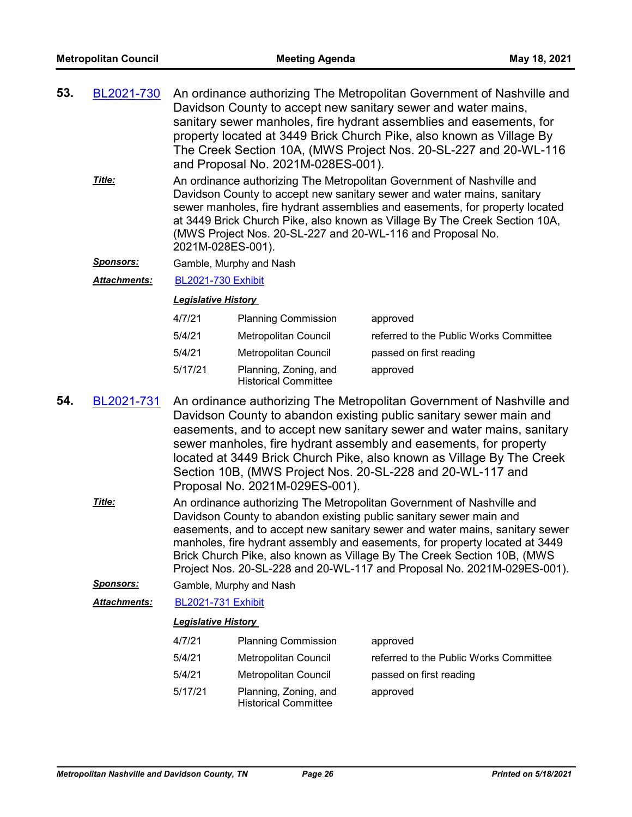- An ordinance authorizing The Metropolitan Government of Nashville and Davidson County to accept new sanitary sewer and water mains, sanitary sewer manholes, fire hydrant assemblies and easements, for property located at 3449 Brick Church Pike, also known as Village By The Creek Section 10A, (MWS Project Nos. 20-SL-227 and 20-WL-116 and Proposal No. 2021M-028ES-001). **53.** [BL2021-730](http://nashville.legistar.com/gateway.aspx?m=l&id=/matter.aspx?key=2171)
	- An ordinance authorizing The Metropolitan Government of Nashville and Davidson County to accept new sanitary sewer and water mains, sanitary sewer manholes, fire hydrant assemblies and easements, for property located at 3449 Brick Church Pike, also known as Village By The Creek Section 10A, (MWS Project Nos. 20-SL-227 and 20-WL-116 and Proposal No. 2021M-028ES-001). *Title:*

*Sponsors:* Gamble, Murphy and Nash

*Attachments:* [BL2021-730 Exhibit](http://nashville.legistar.com/gateway.aspx?M=F&ID=32e7ba93-0c30-46d3-bf5d-73934703be9b.pdf)

#### *Legislative History*

| 4/7/21  | <b>Planning Commission</b>                           | approved                               |
|---------|------------------------------------------------------|----------------------------------------|
| 5/4/21  | Metropolitan Council                                 | referred to the Public Works Committee |
| 5/4/21  | <b>Metropolitan Council</b>                          | passed on first reading                |
| 5/17/21 | Planning, Zoning, and<br><b>Historical Committee</b> | approved                               |

- An ordinance authorizing The Metropolitan Government of Nashville and Davidson County to abandon existing public sanitary sewer main and easements, and to accept new sanitary sewer and water mains, sanitary sewer manholes, fire hydrant assembly and easements, for property located at 3449 Brick Church Pike, also known as Village By The Creek Section 10B, (MWS Project Nos. 20-SL-228 and 20-WL-117 and Proposal No. 2021M-029ES-001). **54.** [BL2021-731](http://nashville.legistar.com/gateway.aspx?m=l&id=/matter.aspx?key=2173)
	- An ordinance authorizing The Metropolitan Government of Nashville and Davidson County to abandon existing public sanitary sewer main and easements, and to accept new sanitary sewer and water mains, sanitary sewer manholes, fire hydrant assembly and easements, for property located at 3449 Brick Church Pike, also known as Village By The Creek Section 10B, (MWS Project Nos. 20-SL-228 and 20-WL-117 and Proposal No. 2021M-029ES-001). *Title:*

*Sponsors:* Gamble, Murphy and Nash

*Attachments:* [BL2021-731 Exhibit](http://nashville.legistar.com/gateway.aspx?M=F&ID=d32a72a5-9fde-4e57-a604-c5b77f88803a.pdf)

| 4/7/21  | <b>Planning Commission</b>                           | approved                               |
|---------|------------------------------------------------------|----------------------------------------|
| 5/4/21  | Metropolitan Council                                 | referred to the Public Works Committee |
| 5/4/21  | Metropolitan Council                                 | passed on first reading                |
| 5/17/21 | Planning, Zoning, and<br><b>Historical Committee</b> | approved                               |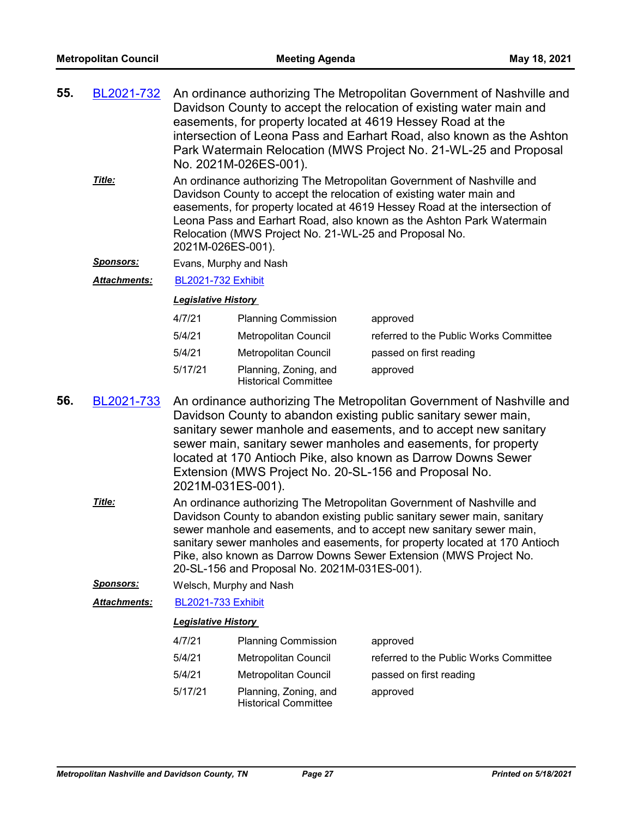| 55. | BL2021-732 An ordinance authorizing The Metropolitan Government of Nashville and |
|-----|----------------------------------------------------------------------------------|
|     | Davidson County to accept the relocation of existing water main and              |
|     | easements, for property located at 4619 Hessey Road at the                       |
|     | intersection of Leona Pass and Earhart Road, also known as the Ashton            |
|     | Park Watermain Relocation (MWS Project No. 21-WL-25 and Proposal                 |
|     | No. 2021M-026ES-001).                                                            |
|     |                                                                                  |

An ordinance authorizing The Metropolitan Government of Nashville and Davidson County to accept the relocation of existing water main and easements, for property located at 4619 Hessey Road at the intersection of Leona Pass and Earhart Road, also known as the Ashton Park Watermain Relocation (MWS Project No. 21-WL-25 and Proposal No. 2021M-026ES-001). *Title:*

*Sponsors:* Evans, Murphy and Nash

*Attachments:* [BL2021-732 Exhibit](http://nashville.legistar.com/gateway.aspx?M=F&ID=eb87285a-d153-46d5-925e-bd0b56293ea0.pdf)

#### *Legislative History*

| 4/7/21  | <b>Planning Commission</b>                           | approved                               |
|---------|------------------------------------------------------|----------------------------------------|
| 5/4/21  | Metropolitan Council                                 | referred to the Public Works Committee |
| 5/4/21  | Metropolitan Council                                 | passed on first reading                |
| 5/17/21 | Planning, Zoning, and<br><b>Historical Committee</b> | approved                               |

- An ordinance authorizing The Metropolitan Government of Nashville and Davidson County to abandon existing public sanitary sewer main, sanitary sewer manhole and easements, and to accept new sanitary sewer main, sanitary sewer manholes and easements, for property located at 170 Antioch Pike, also known as Darrow Downs Sewer Extension (MWS Project No. 20-SL-156 and Proposal No. 2021M-031ES-001). **56.** [BL2021-733](http://nashville.legistar.com/gateway.aspx?m=l&id=/matter.aspx?key=2180)
	- An ordinance authorizing The Metropolitan Government of Nashville and Davidson County to abandon existing public sanitary sewer main, sanitary sewer manhole and easements, and to accept new sanitary sewer main, sanitary sewer manholes and easements, for property located at 170 Antioch Pike, also known as Darrow Downs Sewer Extension (MWS Project No. 20-SL-156 and Proposal No. 2021M-031ES-001). *Title:*

*Sponsors:* Welsch, Murphy and Nash

*Attachments:* [BL2021-733 Exhibit](http://nashville.legistar.com/gateway.aspx?M=F&ID=31aee078-14f6-4e48-9ba4-9ff6489145ed.pdf)

| 4/7/21  | <b>Planning Commission</b>                           | approved                               |
|---------|------------------------------------------------------|----------------------------------------|
| 5/4/21  | Metropolitan Council                                 | referred to the Public Works Committee |
| 5/4/21  | Metropolitan Council                                 | passed on first reading                |
| 5/17/21 | Planning, Zoning, and<br><b>Historical Committee</b> | approved                               |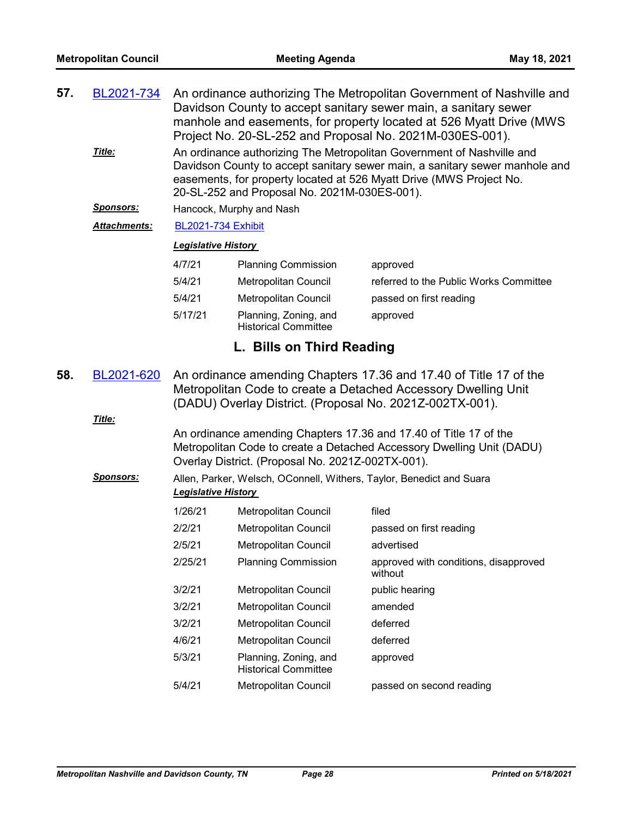| 57. | <u>BL2021-734</u><br>Title: | An ordinance authorizing The Metropolitan Government of Nashville and<br>Davidson County to accept sanitary sewer main, a sanitary sewer<br>manhole and easements, for property located at 526 Myatt Drive (MWS<br>Project No. 20-SL-252 and Proposal No. 2021M-030ES-001).<br>An ordinance authorizing The Metropolitan Government of Nashville and<br>Davidson County to accept sanitary sewer main, a sanitary sewer manhole and<br>easements, for property located at 526 Myatt Drive (MWS Project No.<br>20-SL-252 and Proposal No. 2021M-030ES-001). |                                                                      |                                                  |
|-----|-----------------------------|------------------------------------------------------------------------------------------------------------------------------------------------------------------------------------------------------------------------------------------------------------------------------------------------------------------------------------------------------------------------------------------------------------------------------------------------------------------------------------------------------------------------------------------------------------|----------------------------------------------------------------------|--------------------------------------------------|
|     | <u>Sponsors:</u>            |                                                                                                                                                                                                                                                                                                                                                                                                                                                                                                                                                            | Hancock, Murphy and Nash                                             |                                                  |
|     | <b>Attachments:</b>         | <b>BL2021-734 Exhibit</b>                                                                                                                                                                                                                                                                                                                                                                                                                                                                                                                                  |                                                                      |                                                  |
|     |                             | <b>Legislative History</b>                                                                                                                                                                                                                                                                                                                                                                                                                                                                                                                                 |                                                                      |                                                  |
|     |                             | 4/7/21                                                                                                                                                                                                                                                                                                                                                                                                                                                                                                                                                     | <b>Planning Commission</b>                                           | approved                                         |
|     |                             | 5/4/21                                                                                                                                                                                                                                                                                                                                                                                                                                                                                                                                                     | Metropolitan Council                                                 | referred to the Public Works Committee           |
|     |                             | 5/4/21                                                                                                                                                                                                                                                                                                                                                                                                                                                                                                                                                     | <b>Metropolitan Council</b>                                          | passed on first reading                          |
|     |                             | 5/17/21                                                                                                                                                                                                                                                                                                                                                                                                                                                                                                                                                    | Planning, Zoning, and<br><b>Historical Committee</b>                 | approved                                         |
|     |                             |                                                                                                                                                                                                                                                                                                                                                                                                                                                                                                                                                            | L. Bills on Third Reading                                            |                                                  |
| 58. | BL2021-620                  | An ordinance amending Chapters 17.36 and 17.40 of Title 17 of the<br>Metropolitan Code to create a Detached Accessory Dwelling Unit<br>(DADU) Overlay District. (Proposal No. 2021Z-002TX-001).                                                                                                                                                                                                                                                                                                                                                            |                                                                      |                                                  |
|     | Title:                      | An ordinance amending Chapters 17.36 and 17.40 of Title 17 of the<br>Metropolitan Code to create a Detached Accessory Dwelling Unit (DADU)<br>Overlay District. (Proposal No. 2021Z-002TX-001).                                                                                                                                                                                                                                                                                                                                                            |                                                                      |                                                  |
|     | <b>Sponsors:</b>            | <b>Legislative History</b>                                                                                                                                                                                                                                                                                                                                                                                                                                                                                                                                 | Allen, Parker, Welsch, OConnell, Withers, Taylor, Benedict and Suara |                                                  |
|     |                             | 1/26/21                                                                                                                                                                                                                                                                                                                                                                                                                                                                                                                                                    | Metropolitan Council                                                 | filed                                            |
|     |                             | 2/2/21                                                                                                                                                                                                                                                                                                                                                                                                                                                                                                                                                     | Metropolitan Council                                                 | passed on first reading                          |
|     |                             | 2/5/21                                                                                                                                                                                                                                                                                                                                                                                                                                                                                                                                                     | Metropolitan Council                                                 | advertised                                       |
|     |                             | 2/25/21                                                                                                                                                                                                                                                                                                                                                                                                                                                                                                                                                    | <b>Planning Commission</b>                                           | approved with conditions, disapproved<br>without |
|     |                             | 3/2/21                                                                                                                                                                                                                                                                                                                                                                                                                                                                                                                                                     | Metropolitan Council                                                 | public hearing                                   |
|     |                             | 3/2/21                                                                                                                                                                                                                                                                                                                                                                                                                                                                                                                                                     | Metropolitan Council                                                 | amended                                          |
|     |                             | 3/2/21                                                                                                                                                                                                                                                                                                                                                                                                                                                                                                                                                     | Metropolitan Council                                                 | deferred                                         |
|     |                             | 4/6/21                                                                                                                                                                                                                                                                                                                                                                                                                                                                                                                                                     | Metropolitan Council                                                 | deferred                                         |
|     |                             | 5/3/21                                                                                                                                                                                                                                                                                                                                                                                                                                                                                                                                                     | Planning, Zoning, and<br><b>Historical Committee</b>                 | approved                                         |
|     |                             | 5/4/21                                                                                                                                                                                                                                                                                                                                                                                                                                                                                                                                                     | Metropolitan Council                                                 | passed on second reading                         |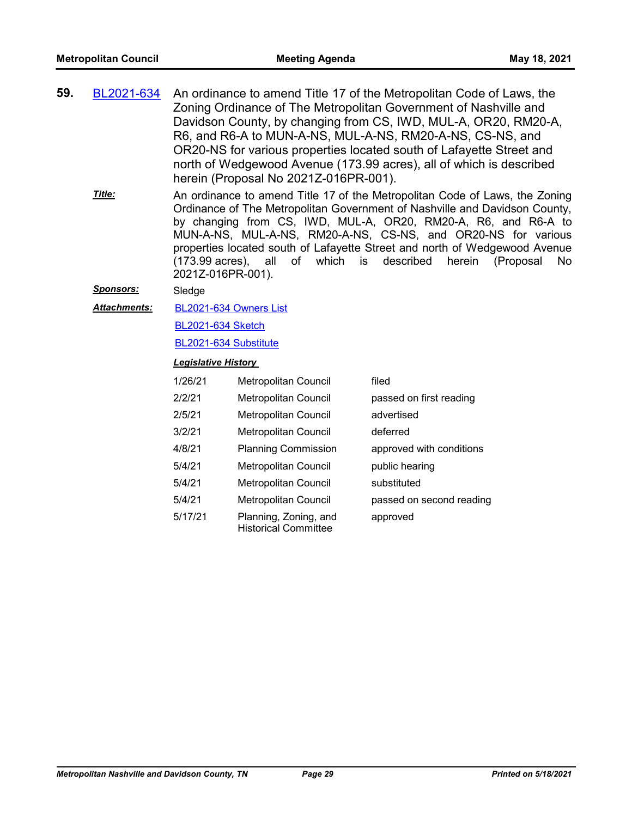- An ordinance to amend Title 17 of the Metropolitan Code of Laws, the Zoning Ordinance of The Metropolitan Government of Nashville and Davidson County, by changing from CS, IWD, MUL-A, OR20, RM20-A, R6, and R6-A to MUN-A-NS, MUL-A-NS, RM20-A-NS, CS-NS, and OR20-NS for various properties located south of Lafayette Street and north of Wedgewood Avenue (173.99 acres), all of which is described herein (Proposal No 2021Z-016PR-001). **59.** [BL2021-634](http://nashville.legistar.com/gateway.aspx?m=l&id=/matter.aspx?key=1879)
	- An ordinance to amend Title 17 of the Metropolitan Code of Laws, the Zoning Ordinance of The Metropolitan Government of Nashville and Davidson County, by changing from CS, IWD, MUL-A, OR20, RM20-A, R6, and R6-A to MUN-A-NS, MUL-A-NS, RM20-A-NS, CS-NS, and OR20-NS for various properties located south of Lafayette Street and north of Wedgewood Avenue (173.99 acres), all of which is described herein (Proposal No 2021Z-016PR-001). *Title:*
	- *Sponsors:* Sledge
	- [BL2021-634 Owners List](http://nashville.legistar.com/gateway.aspx?M=F&ID=e73cdd54-11f6-4bf6-95d5-2fb806584d4d.xlsx) *Attachments:*

[BL2021-634 Sketch](http://nashville.legistar.com/gateway.aspx?M=F&ID=1a48acd4-2a29-4ff4-be33-4137b59c546e.docx)

#### [BL2021-634 Substitute](http://nashville.legistar.com/gateway.aspx?M=F&ID=6e320795-df11-47c7-8d27-1f19d41fd7eb.docx)

| 1/26/21 | <b>Metropolitan Council</b>                          | filed                    |
|---------|------------------------------------------------------|--------------------------|
| 2/2/21  | <b>Metropolitan Council</b>                          | passed on first reading  |
| 2/5/21  | <b>Metropolitan Council</b>                          | advertised               |
| 3/2/21  | <b>Metropolitan Council</b>                          | deferred                 |
| 4/8/21  | <b>Planning Commission</b>                           | approved with conditions |
| 5/4/21  | <b>Metropolitan Council</b>                          | public hearing           |
| 5/4/21  | Metropolitan Council                                 | substituted              |
| 5/4/21  | <b>Metropolitan Council</b>                          | passed on second reading |
| 5/17/21 | Planning, Zoning, and<br><b>Historical Committee</b> | approved                 |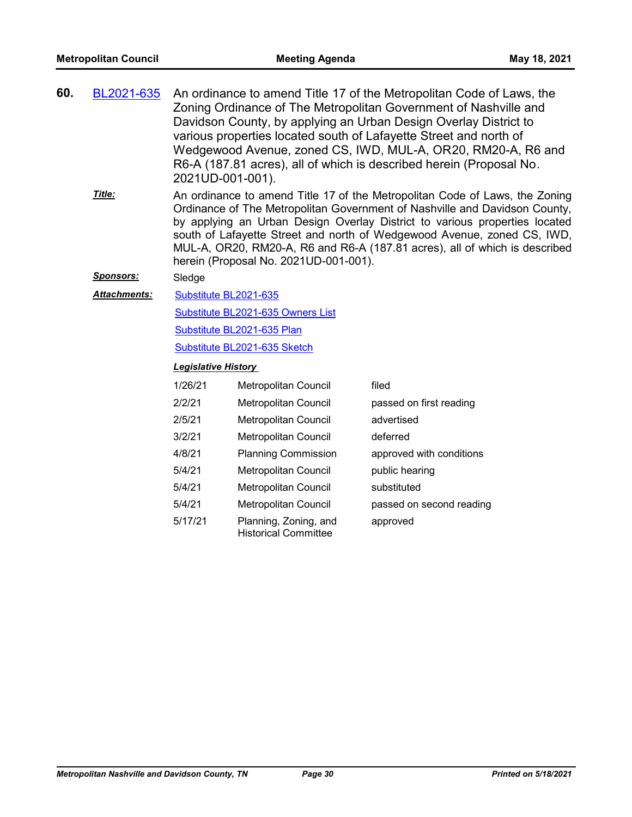| 60. | BL2021-635 | An ordinance to amend Title 17 of the Metropolitan Code of Laws, the<br>Zoning Ordinance of The Metropolitan Government of Nashville and<br>Davidson County, by applying an Urban Design Overlay District to<br>various properties located south of Lafayette Street and north of<br>Wedgewood Avenue, zoned CS, IWD, MUL-A, OR20, RM20-A, R6 and<br>R6-A (187.81 acres), all of which is described herein (Proposal No. |
|-----|------------|--------------------------------------------------------------------------------------------------------------------------------------------------------------------------------------------------------------------------------------------------------------------------------------------------------------------------------------------------------------------------------------------------------------------------|
|     |            | 2021UD-001-001).                                                                                                                                                                                                                                                                                                                                                                                                         |
|     | Title:     | An ordinance to amend Title 17 of the Metropolitan Code of Laws, the Zoning<br>Ordinance of The Motropolitan Covernment of Nachville and Davidson County                                                                                                                                                                                                                                                                 |

Ordinance of The Metropolitan Government of Nashville and Davidson County, by applying an Urban Design Overlay District to various properties located south of Lafayette Street and north of Wedgewood Avenue, zoned CS, IWD, MUL-A, OR20, RM20-A, R6 and R6-A (187.81 acres), all of which is described herein (Proposal No. 2021UD-001-001).

#### *Sponsors:* Sledge

#### [Substitute BL2021-635](http://nashville.legistar.com/gateway.aspx?M=F&ID=3f8ec3b7-8eda-4225-b318-c2ab427872d3.docx) *Attachments:*

[Substitute BL2021-635 Owners List](http://nashville.legistar.com/gateway.aspx?M=F&ID=a6b914eb-21c3-4678-933d-4b54c6ed9129.xlsx)

[Substitute BL2021-635 Plan](http://nashville.legistar.com/gateway.aspx?M=F&ID=f139feb3-0896-4b04-8c69-792ad9fad9a2.pdf)

[Substitute BL2021-635 Sketch](http://nashville.legistar.com/gateway.aspx?M=F&ID=92b201e4-622c-48b0-9778-a7f73539da07.docx)

| 1/26/21 | Metropolitan Council                                 | filed                    |
|---------|------------------------------------------------------|--------------------------|
| 2/2/21  | Metropolitan Council                                 | passed on first reading  |
| 2/5/21  | Metropolitan Council                                 | advertised               |
| 3/2/21  | Metropolitan Council                                 | deferred                 |
| 4/8/21  | <b>Planning Commission</b>                           | approved with conditions |
| 5/4/21  | <b>Metropolitan Council</b>                          | public hearing           |
| 5/4/21  | Metropolitan Council                                 | substituted              |
| 5/4/21  | Metropolitan Council                                 | passed on second reading |
| 5/17/21 | Planning, Zoning, and<br><b>Historical Committee</b> | approved                 |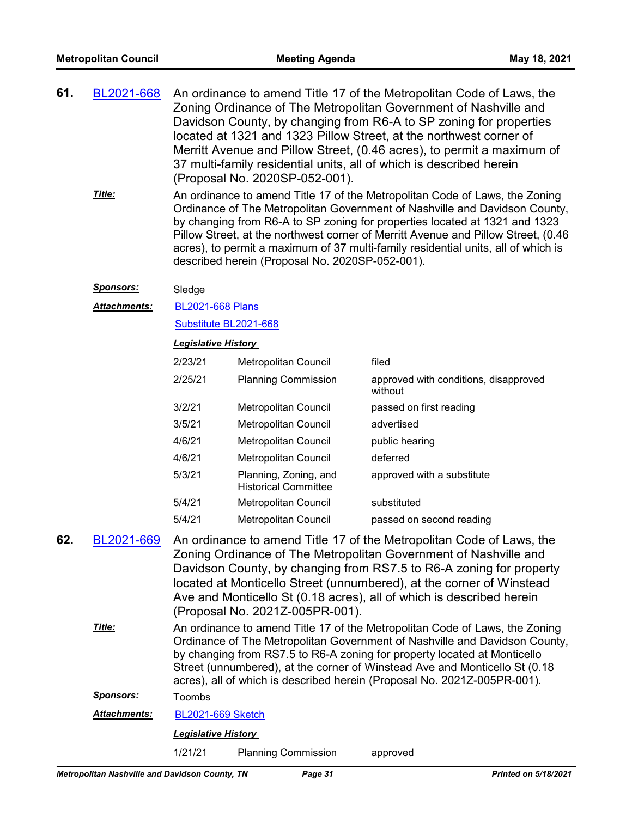- An ordinance to amend Title 17 of the Metropolitan Code of Laws, the Zoning Ordinance of The Metropolitan Government of Nashville and Davidson County, by changing from R6-A to SP zoning for properties located at 1321 and 1323 Pillow Street, at the northwest corner of Merritt Avenue and Pillow Street, (0.46 acres), to permit a maximum of 37 multi-family residential units, all of which is described herein (Proposal No. 2020SP-052-001). **61.** [BL2021-668](http://nashville.legistar.com/gateway.aspx?m=l&id=/matter.aspx?key=1969)
	- An ordinance to amend Title 17 of the Metropolitan Code of Laws, the Zoning Ordinance of The Metropolitan Government of Nashville and Davidson County, by changing from R6-A to SP zoning for properties located at 1321 and 1323 Pillow Street, at the northwest corner of Merritt Avenue and Pillow Street, (0.46 acres), to permit a maximum of 37 multi-family residential units, all of which is described herein (Proposal No. 2020SP-052-001). *Title:*

#### *Sponsors:* Sledge

[BL2021-668 Plans](http://nashville.legistar.com/gateway.aspx?M=F&ID=a34845f2-bb3e-44a5-884e-6dafbcb4aeba.pdf) *Attachments:*

#### [Substitute BL2021-668](http://nashville.legistar.com/gateway.aspx?M=F&ID=dba4c3c0-2433-4570-a004-923aeb4283b1.docx)

#### *Legislative History*

| 2/23/21 | Metropolitan Council                                 | filed                                            |
|---------|------------------------------------------------------|--------------------------------------------------|
| 2/25/21 | <b>Planning Commission</b>                           | approved with conditions, disapproved<br>without |
| 3/2/21  | Metropolitan Council                                 | passed on first reading                          |
| 3/5/21  | Metropolitan Council                                 | advertised                                       |
| 4/6/21  | Metropolitan Council                                 | public hearing                                   |
| 4/6/21  | Metropolitan Council                                 | deferred                                         |
| 5/3/21  | Planning, Zoning, and<br><b>Historical Committee</b> | approved with a substitute                       |
| 5/4/21  | Metropolitan Council                                 | substituted                                      |
| 5/4/21  | Metropolitan Council                                 | passed on second reading                         |

An ordinance to amend Title 17 of the Metropolitan Code of Laws, the Zoning Ordinance of The Metropolitan Government of Nashville and Davidson County, by changing from RS7.5 to R6-A zoning for property located at Monticello Street (unnumbered), at the corner of Winstead Ave and Monticello St (0.18 acres), all of which is described herein (Proposal No. 2021Z-005PR-001). **62.** [BL2021-669](http://nashville.legistar.com/gateway.aspx?m=l&id=/matter.aspx?key=1854) An ordinance to amend Title 17 of the Metropolitan Code of Laws, the Zoning Ordinance of The Metropolitan Government of Nashville and Davidson County, by changing from RS7.5 to R6-A zoning for property located at Monticello Street (unnumbered), at the corner of Winstead Ave and Monticello St (0.18 acres), all of which is described herein (Proposal No. 2021Z-005PR-001). *Title: Sponsors:* Toombs *Attachments:* [BL2021-669 Sketch](http://nashville.legistar.com/gateway.aspx?M=F&ID=e9dd58a6-307a-466b-93c7-8d5ac921fc9f.docx)

*Legislative History* 

1/21/21 Planning Commission approved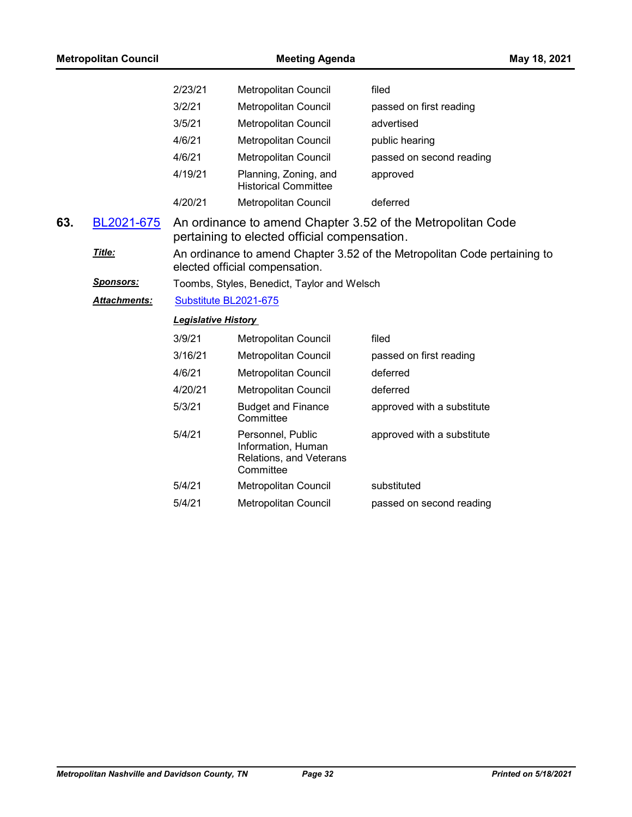| <b>Metropolitan Council</b> |                  |                                                                                                             | May 18, 2021                                                                                                |                            |  |
|-----------------------------|------------------|-------------------------------------------------------------------------------------------------------------|-------------------------------------------------------------------------------------------------------------|----------------------------|--|
|                             |                  | 2/23/21                                                                                                     | Metropolitan Council                                                                                        | filed                      |  |
|                             |                  | 3/2/21                                                                                                      | <b>Metropolitan Council</b>                                                                                 | passed on first reading    |  |
|                             |                  | 3/5/21                                                                                                      | Metropolitan Council                                                                                        | advertised                 |  |
|                             |                  | 4/6/21                                                                                                      | Metropolitan Council                                                                                        | public hearing             |  |
|                             |                  | 4/6/21                                                                                                      | <b>Metropolitan Council</b>                                                                                 | passed on second reading   |  |
|                             |                  | 4/19/21                                                                                                     | Planning, Zoning, and<br><b>Historical Committee</b>                                                        | approved                   |  |
|                             |                  | 4/20/21                                                                                                     | Metropolitan Council                                                                                        | deferred                   |  |
| 63.                         | BL2021-675       |                                                                                                             | An ordinance to amend Chapter 3.52 of the Metropolitan Code<br>pertaining to elected official compensation. |                            |  |
|                             | Title:           | An ordinance to amend Chapter 3.52 of the Metropolitan Code pertaining to<br>elected official compensation. |                                                                                                             |                            |  |
|                             | <b>Sponsors:</b> | Toombs, Styles, Benedict, Taylor and Welsch                                                                 |                                                                                                             |                            |  |
|                             | Attachments:     | Substitute BL2021-675                                                                                       |                                                                                                             |                            |  |
|                             |                  | <b>Legislative History</b>                                                                                  |                                                                                                             |                            |  |
|                             |                  | 3/9/21                                                                                                      | Metropolitan Council                                                                                        | filed                      |  |
|                             |                  | 3/16/21                                                                                                     | Metropolitan Council                                                                                        | passed on first reading    |  |
|                             |                  | 4/6/21                                                                                                      | Metropolitan Council                                                                                        | deferred                   |  |
|                             |                  | 4/20/21                                                                                                     | Metropolitan Council                                                                                        | deferred                   |  |
|                             |                  | 5/3/21                                                                                                      | <b>Budget and Finance</b><br>Committee                                                                      | approved with a substitute |  |
|                             |                  | 5/4/21                                                                                                      | Personnel, Public<br>Information, Human<br>Relations, and Veterans<br>Committee                             | approved with a substitute |  |
|                             |                  | 5/4/21                                                                                                      | Metropolitan Council                                                                                        | substituted                |  |
|                             |                  | 5/4/21                                                                                                      | Metropolitan Council                                                                                        | passed on second reading   |  |
|                             |                  |                                                                                                             |                                                                                                             |                            |  |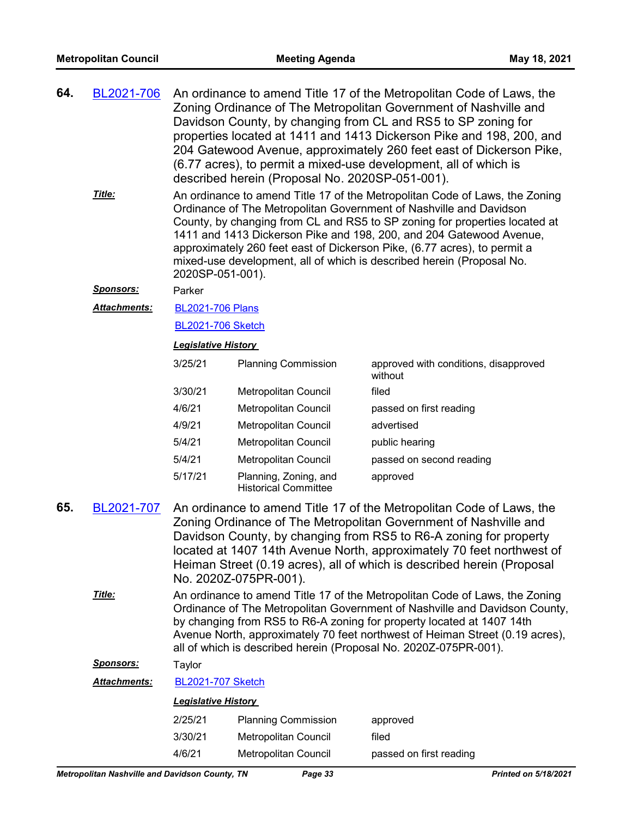| 64. | BL2021-706 An ordinance to amend Title 17 of the Metropolitan Code of Laws, the |
|-----|---------------------------------------------------------------------------------|
|     | Zoning Ordinance of The Metropolitan Government of Nashville and                |
|     | Davidson County, by changing from CL and RS5 to SP zoning for                   |
|     | properties located at 1411 and 1413 Dickerson Pike and 198, 200, and            |
|     | 204 Gatewood Avenue, approximately 260 feet east of Dickerson Pike,             |
|     | (6.77 acres), to permit a mixed-use development, all of which is                |
|     | described herein (Proposal No. 2020SP-051-001).                                 |
|     |                                                                                 |

An ordinance to amend Title 17 of the Metropolitan Code of Laws, the Zoning Ordinance of The Metropolitan Government of Nashville and Davidson County, by changing from CL and RS5 to SP zoning for properties located at 1411 and 1413 Dickerson Pike and 198, 200, and 204 Gatewood Avenue, approximately 260 feet east of Dickerson Pike, (6.77 acres), to permit a mixed-use development, all of which is described herein (Proposal No. 2020SP-051-001). *Title:*

#### *Sponsors:* Parker

[BL2021-706 Plans](http://nashville.legistar.com/gateway.aspx?M=F&ID=25d2d3fb-9b7e-4916-9d87-5a4f74091c39.pdf) *Attachments:*

#### [BL2021-706 Sketch](http://nashville.legistar.com/gateway.aspx?M=F&ID=6c29f10b-228a-4ee9-9aea-a7927a06f20e.docx)

#### *Legislative History*

| 3/25/21 | <b>Planning Commission</b>                           | approved with conditions, disapproved<br>without |
|---------|------------------------------------------------------|--------------------------------------------------|
| 3/30/21 | Metropolitan Council                                 | filed                                            |
| 4/6/21  | Metropolitan Council                                 | passed on first reading                          |
| 4/9/21  | Metropolitan Council                                 | advertised                                       |
| 5/4/21  | Metropolitan Council                                 | public hearing                                   |
| 5/4/21  | Metropolitan Council                                 | passed on second reading                         |
| 5/17/21 | Planning, Zoning, and<br><b>Historical Committee</b> | approved                                         |

- An ordinance to amend Title 17 of the Metropolitan Code of Laws, the Zoning Ordinance of The Metropolitan Government of Nashville and Davidson County, by changing from RS5 to R6-A zoning for property located at 1407 14th Avenue North, approximately 70 feet northwest of Heiman Street (0.19 acres), all of which is described herein (Proposal No. 2020Z-075PR-001). **65.** [BL2021-707](http://nashville.legistar.com/gateway.aspx?m=l&id=/matter.aspx?key=2089)
	- An ordinance to amend Title 17 of the Metropolitan Code of Laws, the Zoning Ordinance of The Metropolitan Government of Nashville and Davidson County, by changing from RS5 to R6-A zoning for property located at 1407 14th Avenue North, approximately 70 feet northwest of Heiman Street (0.19 acres), all of which is described herein (Proposal No. 2020Z-075PR-001). *Title:*

*Sponsors:* Taylor

| <b>Attachments:</b> | <b>BL2021-707 Sketch</b>   |                            |                         |  |
|---------------------|----------------------------|----------------------------|-------------------------|--|
|                     | <b>Legislative History</b> |                            |                         |  |
|                     | 2/25/21                    | <b>Planning Commission</b> | approved                |  |
|                     | 3/30/21                    | Metropolitan Council       | filed                   |  |
|                     | 4/6/21                     | Metropolitan Council       | passed on first reading |  |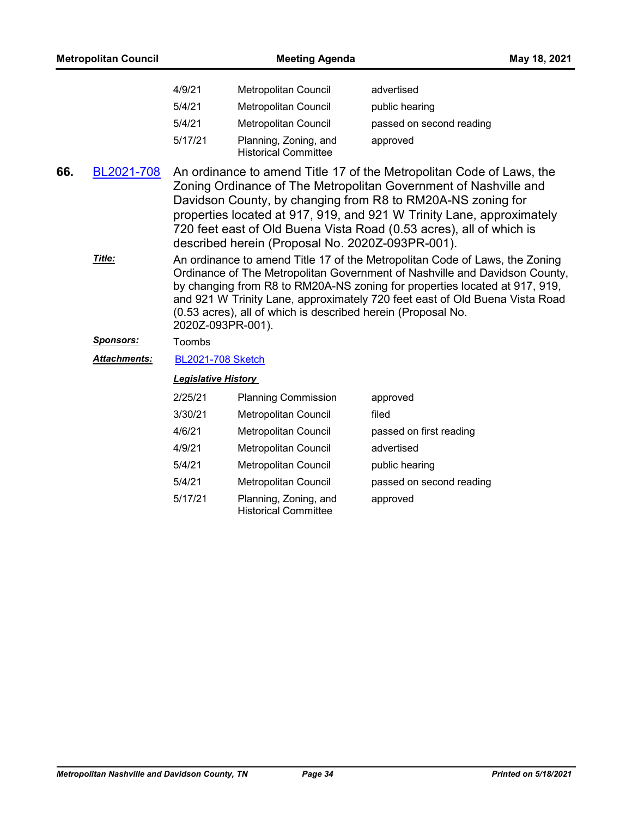| <b>Metropolitan Council</b> |                            | <b>Meeting Agenda</b><br>May 18, 2021                                                                                                                                                                                                                                                                                                                                                                                                                                                                                                                                                                                                                                                                                                                                                                                      |                          |  |  |
|-----------------------------|----------------------------|----------------------------------------------------------------------------------------------------------------------------------------------------------------------------------------------------------------------------------------------------------------------------------------------------------------------------------------------------------------------------------------------------------------------------------------------------------------------------------------------------------------------------------------------------------------------------------------------------------------------------------------------------------------------------------------------------------------------------------------------------------------------------------------------------------------------------|--------------------------|--|--|
|                             | 4/9/21                     | Metropolitan Council                                                                                                                                                                                                                                                                                                                                                                                                                                                                                                                                                                                                                                                                                                                                                                                                       | advertised               |  |  |
|                             | 5/4/21                     | Metropolitan Council                                                                                                                                                                                                                                                                                                                                                                                                                                                                                                                                                                                                                                                                                                                                                                                                       | public hearing           |  |  |
|                             | 5/4/21                     | <b>Metropolitan Council</b>                                                                                                                                                                                                                                                                                                                                                                                                                                                                                                                                                                                                                                                                                                                                                                                                | passed on second reading |  |  |
|                             | 5/17/21                    | Planning, Zoning, and<br><b>Historical Committee</b>                                                                                                                                                                                                                                                                                                                                                                                                                                                                                                                                                                                                                                                                                                                                                                       | approved                 |  |  |
| 66.<br>BL2021-708<br>Title: |                            | An ordinance to amend Title 17 of the Metropolitan Code of Laws, the<br>Zoning Ordinance of The Metropolitan Government of Nashville and<br>Davidson County, by changing from R8 to RM20A-NS zoning for<br>properties located at 917, 919, and 921 W Trinity Lane, approximately<br>720 feet east of Old Buena Vista Road (0.53 acres), all of which is<br>described herein (Proposal No. 2020Z-093PR-001).<br>An ordinance to amend Title 17 of the Metropolitan Code of Laws, the Zoning<br>Ordinance of The Metropolitan Government of Nashville and Davidson County,<br>by changing from R8 to RM20A-NS zoning for properties located at 917, 919,<br>and 921 W Trinity Lane, approximately 720 feet east of Old Buena Vista Road<br>(0.53 acres), all of which is described herein (Proposal No.<br>2020Z-093PR-001). |                          |  |  |
| <b>Sponsors:</b>            | Toombs                     |                                                                                                                                                                                                                                                                                                                                                                                                                                                                                                                                                                                                                                                                                                                                                                                                                            |                          |  |  |
| Attachments:                | <b>BL2021-708 Sketch</b>   |                                                                                                                                                                                                                                                                                                                                                                                                                                                                                                                                                                                                                                                                                                                                                                                                                            |                          |  |  |
|                             | <b>Legislative History</b> |                                                                                                                                                                                                                                                                                                                                                                                                                                                                                                                                                                                                                                                                                                                                                                                                                            |                          |  |  |
|                             | 2/25/21                    | <b>Planning Commission</b>                                                                                                                                                                                                                                                                                                                                                                                                                                                                                                                                                                                                                                                                                                                                                                                                 | approved                 |  |  |
|                             | 3/30/21                    | Metropolitan Council                                                                                                                                                                                                                                                                                                                                                                                                                                                                                                                                                                                                                                                                                                                                                                                                       | filed                    |  |  |
|                             | 4/6/21                     | Metropolitan Council                                                                                                                                                                                                                                                                                                                                                                                                                                                                                                                                                                                                                                                                                                                                                                                                       | passed on first reading  |  |  |
|                             | 4/9/21                     | Metropolitan Council                                                                                                                                                                                                                                                                                                                                                                                                                                                                                                                                                                                                                                                                                                                                                                                                       | advertised               |  |  |
|                             | 5/4/21                     | <b>Metropolitan Council</b>                                                                                                                                                                                                                                                                                                                                                                                                                                                                                                                                                                                                                                                                                                                                                                                                | public hearing           |  |  |
|                             | 5/4/21                     | Metropolitan Council                                                                                                                                                                                                                                                                                                                                                                                                                                                                                                                                                                                                                                                                                                                                                                                                       | passed on second reading |  |  |
|                             | 5/17/21                    | Planning, Zoning, and<br><b>Historical Committee</b>                                                                                                                                                                                                                                                                                                                                                                                                                                                                                                                                                                                                                                                                                                                                                                       | approved                 |  |  |
|                             |                            |                                                                                                                                                                                                                                                                                                                                                                                                                                                                                                                                                                                                                                                                                                                                                                                                                            |                          |  |  |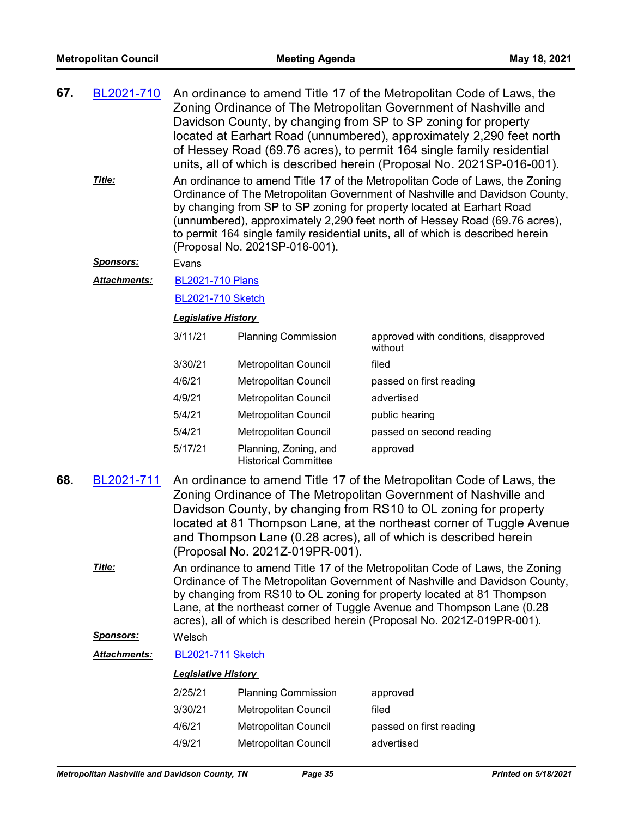| 67. | BL2021-710<br>An ordinance to amend Title 17 of the Metropolitan Code of Laws, the<br>Zoning Ordinance of The Metropolitan Government of Nashville and<br>Davidson County, by changing from SP to SP zoning for property<br>located at Earhart Road (unnumbered), approximately 2,290 feet north<br>of Hessey Road (69.76 acres), to permit 164 single family residential<br>units, all of which is described herein (Proposal No. 2021SP-016-001). |                                                                                                                                                                                                                                                                                                                                                                                                                                       |                                                      |                                                  |  |
|-----|-----------------------------------------------------------------------------------------------------------------------------------------------------------------------------------------------------------------------------------------------------------------------------------------------------------------------------------------------------------------------------------------------------------------------------------------------------|---------------------------------------------------------------------------------------------------------------------------------------------------------------------------------------------------------------------------------------------------------------------------------------------------------------------------------------------------------------------------------------------------------------------------------------|------------------------------------------------------|--------------------------------------------------|--|
|     | Title:                                                                                                                                                                                                                                                                                                                                                                                                                                              | An ordinance to amend Title 17 of the Metropolitan Code of Laws, the Zoning<br>Ordinance of The Metropolitan Government of Nashville and Davidson County,<br>by changing from SP to SP zoning for property located at Earhart Road<br>(unnumbered), approximately 2,290 feet north of Hessey Road (69.76 acres),<br>to permit 164 single family residential units, all of which is described herein<br>(Proposal No. 2021SP-016-001). |                                                      |                                                  |  |
|     | Sponsors:                                                                                                                                                                                                                                                                                                                                                                                                                                           | Evans                                                                                                                                                                                                                                                                                                                                                                                                                                 |                                                      |                                                  |  |
|     | Attachments:                                                                                                                                                                                                                                                                                                                                                                                                                                        | <b>BL2021-710 Plans</b>                                                                                                                                                                                                                                                                                                                                                                                                               |                                                      |                                                  |  |
|     |                                                                                                                                                                                                                                                                                                                                                                                                                                                     | <b>BL2021-710 Sketch</b>                                                                                                                                                                                                                                                                                                                                                                                                              |                                                      |                                                  |  |
|     |                                                                                                                                                                                                                                                                                                                                                                                                                                                     | <b>Legislative History</b>                                                                                                                                                                                                                                                                                                                                                                                                            |                                                      |                                                  |  |
|     |                                                                                                                                                                                                                                                                                                                                                                                                                                                     | 3/11/21                                                                                                                                                                                                                                                                                                                                                                                                                               | <b>Planning Commission</b>                           | approved with conditions, disapproved<br>without |  |
|     |                                                                                                                                                                                                                                                                                                                                                                                                                                                     | 3/30/21                                                                                                                                                                                                                                                                                                                                                                                                                               | Metropolitan Council                                 | filed                                            |  |
|     |                                                                                                                                                                                                                                                                                                                                                                                                                                                     | 4/6/21                                                                                                                                                                                                                                                                                                                                                                                                                                | Metropolitan Council                                 | passed on first reading                          |  |
|     |                                                                                                                                                                                                                                                                                                                                                                                                                                                     | 4/9/21                                                                                                                                                                                                                                                                                                                                                                                                                                | Metropolitan Council                                 | advertised                                       |  |
|     |                                                                                                                                                                                                                                                                                                                                                                                                                                                     | 5/4/21                                                                                                                                                                                                                                                                                                                                                                                                                                | Metropolitan Council                                 | public hearing                                   |  |
|     |                                                                                                                                                                                                                                                                                                                                                                                                                                                     | 5/4/21                                                                                                                                                                                                                                                                                                                                                                                                                                | Metropolitan Council                                 | passed on second reading                         |  |
|     |                                                                                                                                                                                                                                                                                                                                                                                                                                                     | 5/17/21                                                                                                                                                                                                                                                                                                                                                                                                                               | Planning, Zoning, and<br><b>Historical Committee</b> | approved                                         |  |
| 68. | BL2021-711<br>An ordinance to amend Title 17 of the Metropolitan Code of Laws, the<br>Zoning Ordinance of The Metropolitan Government of Nashville and<br>Davidson County, by changing from RS10 to OL zoning for property<br>located at 81 Thompson Lane, at the northeast corner of Tuggle Avenue<br>and Thompson Lane (0.28 acres), all of which is described herein<br>(Proposal No. 2021Z-019PR-001).                                          |                                                                                                                                                                                                                                                                                                                                                                                                                                       |                                                      |                                                  |  |
|     | Title:                                                                                                                                                                                                                                                                                                                                                                                                                                              | An ordinance to amend Title 17 of the Metropolitan Code of Laws, the Zoning<br>Ordinance of The Metropolitan Government of Nashville and Davidson County,                                                                                                                                                                                                                                                                             |                                                      |                                                  |  |

by changing from RS10 to OL zoning for property located at 81 Thompson Lane, at the northeast corner of Tuggle Avenue and Thompson Lane (0.28 acres), all of which is described herein (Proposal No. 2021Z-019PR-001).

## *Sponsors:* Welsch

#### *Attachments:* [BL2021-711 Sketch](http://nashville.legistar.com/gateway.aspx?M=F&ID=6e7cde0b-c4b5-4832-8fde-bffd6b898724.docx)

| 2/25/21 | <b>Planning Commission</b>  | approved                |
|---------|-----------------------------|-------------------------|
| 3/30/21 | Metropolitan Council        | filed                   |
| 4/6/21  | Metropolitan Council        | passed on first reading |
| 4/9/21  | <b>Metropolitan Council</b> | advertised              |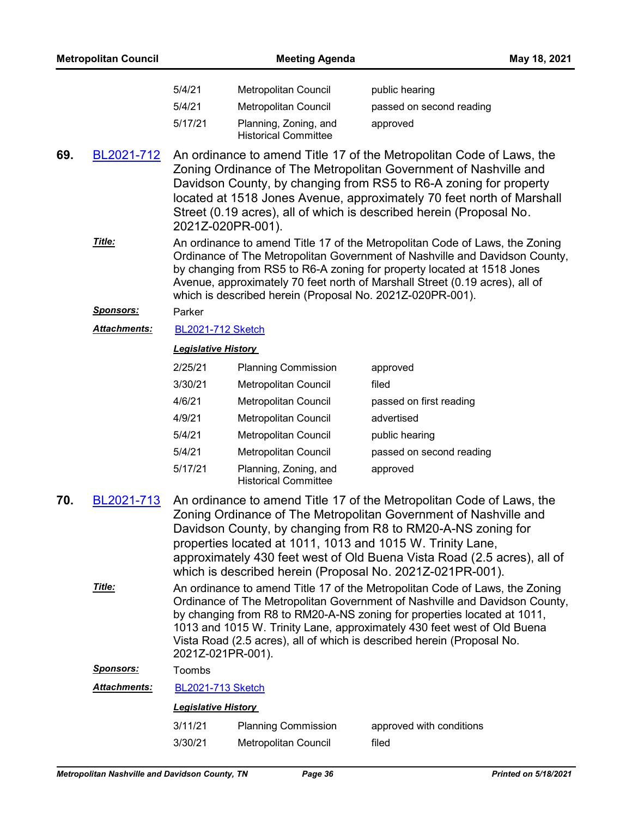| <b>Metropolitan Council</b> |                  |                                                                                                                                                                                                                                                                                                                                                                                                                | <b>Meeting Agenda</b><br>May 18, 2021                     |                                                                                                                                                                                                                                                                                                                                                                                                                |
|-----------------------------|------------------|----------------------------------------------------------------------------------------------------------------------------------------------------------------------------------------------------------------------------------------------------------------------------------------------------------------------------------------------------------------------------------------------------------------|-----------------------------------------------------------|----------------------------------------------------------------------------------------------------------------------------------------------------------------------------------------------------------------------------------------------------------------------------------------------------------------------------------------------------------------------------------------------------------------|
|                             |                  | 5/4/21                                                                                                                                                                                                                                                                                                                                                                                                         | Metropolitan Council                                      | public hearing                                                                                                                                                                                                                                                                                                                                                                                                 |
|                             |                  | 5/4/21                                                                                                                                                                                                                                                                                                                                                                                                         | Metropolitan Council                                      | passed on second reading                                                                                                                                                                                                                                                                                                                                                                                       |
|                             |                  | 5/17/21                                                                                                                                                                                                                                                                                                                                                                                                        | Planning, Zoning, and<br><b>Historical Committee</b>      | approved                                                                                                                                                                                                                                                                                                                                                                                                       |
| 69.                         | BL2021-712       |                                                                                                                                                                                                                                                                                                                                                                                                                | 2021Z-020PR-001).                                         | An ordinance to amend Title 17 of the Metropolitan Code of Laws, the<br>Zoning Ordinance of The Metropolitan Government of Nashville and<br>Davidson County, by changing from RS5 to R6-A zoning for property<br>located at 1518 Jones Avenue, approximately 70 feet north of Marshall<br>Street (0.19 acres), all of which is described herein (Proposal No.                                                  |
|                             | Title:           |                                                                                                                                                                                                                                                                                                                                                                                                                | which is described herein (Proposal No. 2021Z-020PR-001). | An ordinance to amend Title 17 of the Metropolitan Code of Laws, the Zoning<br>Ordinance of The Metropolitan Government of Nashville and Davidson County,<br>by changing from RS5 to R6-A zoning for property located at 1518 Jones<br>Avenue, approximately 70 feet north of Marshall Street (0.19 acres), all of                                                                                             |
|                             | <b>Sponsors:</b> | Parker                                                                                                                                                                                                                                                                                                                                                                                                         |                                                           |                                                                                                                                                                                                                                                                                                                                                                                                                |
|                             | Attachments:     | <b>BL2021-712 Sketch</b>                                                                                                                                                                                                                                                                                                                                                                                       |                                                           |                                                                                                                                                                                                                                                                                                                                                                                                                |
|                             |                  | <b>Legislative History</b>                                                                                                                                                                                                                                                                                                                                                                                     |                                                           |                                                                                                                                                                                                                                                                                                                                                                                                                |
|                             |                  | 2/25/21                                                                                                                                                                                                                                                                                                                                                                                                        | <b>Planning Commission</b>                                | approved                                                                                                                                                                                                                                                                                                                                                                                                       |
|                             |                  | 3/30/21                                                                                                                                                                                                                                                                                                                                                                                                        | Metropolitan Council                                      | filed                                                                                                                                                                                                                                                                                                                                                                                                          |
|                             |                  | 4/6/21                                                                                                                                                                                                                                                                                                                                                                                                         | Metropolitan Council                                      | passed on first reading                                                                                                                                                                                                                                                                                                                                                                                        |
|                             |                  | 4/9/21                                                                                                                                                                                                                                                                                                                                                                                                         | Metropolitan Council                                      | advertised                                                                                                                                                                                                                                                                                                                                                                                                     |
|                             |                  | 5/4/21                                                                                                                                                                                                                                                                                                                                                                                                         | Metropolitan Council                                      | public hearing                                                                                                                                                                                                                                                                                                                                                                                                 |
|                             |                  | 5/4/21                                                                                                                                                                                                                                                                                                                                                                                                         | Metropolitan Council                                      | passed on second reading                                                                                                                                                                                                                                                                                                                                                                                       |
|                             |                  | 5/17/21                                                                                                                                                                                                                                                                                                                                                                                                        | Planning, Zoning, and<br><b>Historical Committee</b>      | approved                                                                                                                                                                                                                                                                                                                                                                                                       |
| 70.                         | BL2021-713       |                                                                                                                                                                                                                                                                                                                                                                                                                |                                                           | An ordinance to amend Title 17 of the Metropolitan Code of Laws, the<br>Zoning Ordinance of The Metropolitan Government of Nashville and<br>Davidson County, by changing from R8 to RM20-A-NS zoning for<br>properties located at 1011, 1013 and 1015 W. Trinity Lane,<br>approximately 430 feet west of Old Buena Vista Road (2.5 acres), all of<br>which is described herein (Proposal No. 2021Z-021PR-001). |
|                             | Title:           | An ordinance to amend Title 17 of the Metropolitan Code of Laws, the Zoning<br>Ordinance of The Metropolitan Government of Nashville and Davidson County,<br>by changing from R8 to RM20-A-NS zoning for properties located at 1011,<br>1013 and 1015 W. Trinity Lane, approximately 430 feet west of Old Buena<br>Vista Road (2.5 acres), all of which is described herein (Proposal No.<br>2021Z-021PR-001). |                                                           |                                                                                                                                                                                                                                                                                                                                                                                                                |
|                             | <u>Sponsors:</u> | Toombs                                                                                                                                                                                                                                                                                                                                                                                                         |                                                           |                                                                                                                                                                                                                                                                                                                                                                                                                |
|                             | Attachments:     | <b>BL2021-713 Sketch</b>                                                                                                                                                                                                                                                                                                                                                                                       |                                                           |                                                                                                                                                                                                                                                                                                                                                                                                                |
|                             |                  | <b>Legislative History</b>                                                                                                                                                                                                                                                                                                                                                                                     |                                                           |                                                                                                                                                                                                                                                                                                                                                                                                                |
|                             |                  | 3/11/21                                                                                                                                                                                                                                                                                                                                                                                                        | <b>Planning Commission</b>                                | approved with conditions                                                                                                                                                                                                                                                                                                                                                                                       |
|                             |                  | 3/30/21                                                                                                                                                                                                                                                                                                                                                                                                        | Metropolitan Council                                      | filed                                                                                                                                                                                                                                                                                                                                                                                                          |
|                             |                  |                                                                                                                                                                                                                                                                                                                                                                                                                |                                                           |                                                                                                                                                                                                                                                                                                                                                                                                                |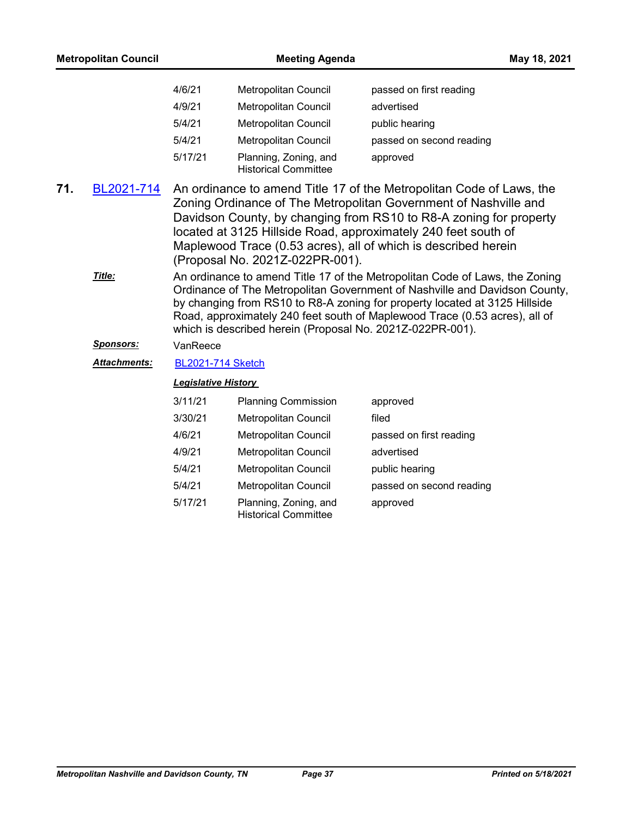| <b>Metropolitan Council</b> |                     | <b>Meeting Agenda</b>                                                                                                                                                                                                                                                                                                                                                                 |                                                           |                                                                                                                                                                                                                                                                                                                       | May 18, 2021 |
|-----------------------------|---------------------|---------------------------------------------------------------------------------------------------------------------------------------------------------------------------------------------------------------------------------------------------------------------------------------------------------------------------------------------------------------------------------------|-----------------------------------------------------------|-----------------------------------------------------------------------------------------------------------------------------------------------------------------------------------------------------------------------------------------------------------------------------------------------------------------------|--------------|
|                             |                     | 4/6/21                                                                                                                                                                                                                                                                                                                                                                                | Metropolitan Council                                      | passed on first reading                                                                                                                                                                                                                                                                                               |              |
|                             |                     | 4/9/21                                                                                                                                                                                                                                                                                                                                                                                | Metropolitan Council                                      | advertised                                                                                                                                                                                                                                                                                                            |              |
|                             |                     | 5/4/21                                                                                                                                                                                                                                                                                                                                                                                | Metropolitan Council                                      | public hearing                                                                                                                                                                                                                                                                                                        |              |
|                             |                     | 5/4/21                                                                                                                                                                                                                                                                                                                                                                                | <b>Metropolitan Council</b>                               | passed on second reading                                                                                                                                                                                                                                                                                              |              |
|                             |                     | 5/17/21                                                                                                                                                                                                                                                                                                                                                                               | Planning, Zoning, and<br><b>Historical Committee</b>      | approved                                                                                                                                                                                                                                                                                                              |              |
| 71.<br>BL2021-714           |                     | An ordinance to amend Title 17 of the Metropolitan Code of Laws, the<br>Zoning Ordinance of The Metropolitan Government of Nashville and<br>Davidson County, by changing from RS10 to R8-A zoning for property<br>located at 3125 Hillside Road, approximately 240 feet south of<br>Maplewood Trace (0.53 acres), all of which is described herein<br>(Proposal No. 2021Z-022PR-001). |                                                           |                                                                                                                                                                                                                                                                                                                       |              |
|                             | Title:              |                                                                                                                                                                                                                                                                                                                                                                                       | which is described herein (Proposal No. 2021Z-022PR-001). | An ordinance to amend Title 17 of the Metropolitan Code of Laws, the Zoning<br>Ordinance of The Metropolitan Government of Nashville and Davidson County,<br>by changing from RS10 to R8-A zoning for property located at 3125 Hillside<br>Road, approximately 240 feet south of Maplewood Trace (0.53 acres), all of |              |
|                             | <u>Sponsors:</u>    | VanReece                                                                                                                                                                                                                                                                                                                                                                              |                                                           |                                                                                                                                                                                                                                                                                                                       |              |
|                             | <b>Attachments:</b> | <b>BL2021-714 Sketch</b>                                                                                                                                                                                                                                                                                                                                                              |                                                           |                                                                                                                                                                                                                                                                                                                       |              |
|                             |                     | <b>Legislative History</b>                                                                                                                                                                                                                                                                                                                                                            |                                                           |                                                                                                                                                                                                                                                                                                                       |              |
|                             |                     | 3/11/21                                                                                                                                                                                                                                                                                                                                                                               | <b>Planning Commission</b>                                | approved                                                                                                                                                                                                                                                                                                              |              |
|                             |                     | 3/30/21                                                                                                                                                                                                                                                                                                                                                                               | Metropolitan Council                                      | filed                                                                                                                                                                                                                                                                                                                 |              |
|                             |                     | 4/6/21                                                                                                                                                                                                                                                                                                                                                                                | Metropolitan Council                                      | passed on first reading                                                                                                                                                                                                                                                                                               |              |
|                             |                     | 4/9/21                                                                                                                                                                                                                                                                                                                                                                                | Metropolitan Council                                      | advertised                                                                                                                                                                                                                                                                                                            |              |
|                             |                     | 5/4/21                                                                                                                                                                                                                                                                                                                                                                                | Metropolitan Council                                      | public hearing                                                                                                                                                                                                                                                                                                        |              |
|                             |                     | 5/4/21                                                                                                                                                                                                                                                                                                                                                                                | Metropolitan Council                                      | passed on second reading                                                                                                                                                                                                                                                                                              |              |
|                             |                     | 5/17/21                                                                                                                                                                                                                                                                                                                                                                               | Planning, Zoning, and<br><b>Historical Committee</b>      | approved                                                                                                                                                                                                                                                                                                              |              |
|                             |                     |                                                                                                                                                                                                                                                                                                                                                                                       |                                                           |                                                                                                                                                                                                                                                                                                                       |              |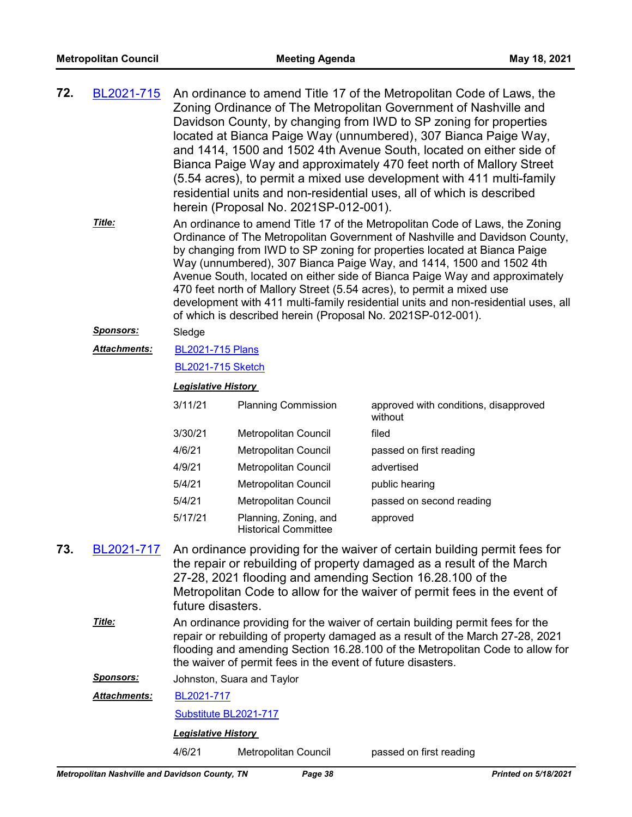| 72. | BL2021-715<br>Title:       | An ordinance to amend Title 17 of the Metropolitan Code of Laws, the<br>Zoning Ordinance of The Metropolitan Government of Nashville and<br>Davidson County, by changing from IWD to SP zoning for properties<br>located at Bianca Paige Way (unnumbered), 307 Bianca Paige Way,<br>and 1414, 1500 and 1502 4th Avenue South, located on either side of<br>Bianca Paige Way and approximately 470 feet north of Mallory Street<br>(5.54 acres), to permit a mixed use development with 411 multi-family<br>residential units and non-residential uses, all of which is described<br>herein (Proposal No. 2021SP-012-001).<br>An ordinance to amend Title 17 of the Metropolitan Code of Laws, the Zoning<br>Ordinance of The Metropolitan Government of Nashville and Davidson County,<br>by changing from IWD to SP zoning for properties located at Bianca Paige<br>Way (unnumbered), 307 Bianca Paige Way, and 1414, 1500 and 1502 4th<br>Avenue South, located on either side of Bianca Paige Way and approximately<br>470 feet north of Mallory Street (5.54 acres), to permit a mixed use<br>development with 411 multi-family residential units and non-residential uses, all<br>of which is described herein (Proposal No. 2021SP-012-001). |                                                      |                                                  |  |  |  |
|-----|----------------------------|-----------------------------------------------------------------------------------------------------------------------------------------------------------------------------------------------------------------------------------------------------------------------------------------------------------------------------------------------------------------------------------------------------------------------------------------------------------------------------------------------------------------------------------------------------------------------------------------------------------------------------------------------------------------------------------------------------------------------------------------------------------------------------------------------------------------------------------------------------------------------------------------------------------------------------------------------------------------------------------------------------------------------------------------------------------------------------------------------------------------------------------------------------------------------------------------------------------------------------------------------------|------------------------------------------------------|--------------------------------------------------|--|--|--|
|     | <b>Sponsors:</b><br>Sledge |                                                                                                                                                                                                                                                                                                                                                                                                                                                                                                                                                                                                                                                                                                                                                                                                                                                                                                                                                                                                                                                                                                                                                                                                                                                     |                                                      |                                                  |  |  |  |
|     | <b>Attachments:</b>        | <b>BL2021-715 Plans</b><br><b>BL2021-715 Sketch</b>                                                                                                                                                                                                                                                                                                                                                                                                                                                                                                                                                                                                                                                                                                                                                                                                                                                                                                                                                                                                                                                                                                                                                                                                 |                                                      |                                                  |  |  |  |
|     |                            |                                                                                                                                                                                                                                                                                                                                                                                                                                                                                                                                                                                                                                                                                                                                                                                                                                                                                                                                                                                                                                                                                                                                                                                                                                                     |                                                      |                                                  |  |  |  |
|     |                            | <b>Legislative History</b>                                                                                                                                                                                                                                                                                                                                                                                                                                                                                                                                                                                                                                                                                                                                                                                                                                                                                                                                                                                                                                                                                                                                                                                                                          |                                                      |                                                  |  |  |  |
|     |                            | 3/11/21                                                                                                                                                                                                                                                                                                                                                                                                                                                                                                                                                                                                                                                                                                                                                                                                                                                                                                                                                                                                                                                                                                                                                                                                                                             | <b>Planning Commission</b>                           | approved with conditions, disapproved<br>without |  |  |  |
|     |                            | 3/30/21                                                                                                                                                                                                                                                                                                                                                                                                                                                                                                                                                                                                                                                                                                                                                                                                                                                                                                                                                                                                                                                                                                                                                                                                                                             | Metropolitan Council                                 | filed                                            |  |  |  |
|     |                            | 4/6/21                                                                                                                                                                                                                                                                                                                                                                                                                                                                                                                                                                                                                                                                                                                                                                                                                                                                                                                                                                                                                                                                                                                                                                                                                                              | Metropolitan Council                                 | passed on first reading                          |  |  |  |
|     |                            | 4/9/21                                                                                                                                                                                                                                                                                                                                                                                                                                                                                                                                                                                                                                                                                                                                                                                                                                                                                                                                                                                                                                                                                                                                                                                                                                              | Metropolitan Council                                 | advertised                                       |  |  |  |
|     |                            | 5/4/21                                                                                                                                                                                                                                                                                                                                                                                                                                                                                                                                                                                                                                                                                                                                                                                                                                                                                                                                                                                                                                                                                                                                                                                                                                              | Metropolitan Council                                 | public hearing                                   |  |  |  |
|     |                            | 5/4/21                                                                                                                                                                                                                                                                                                                                                                                                                                                                                                                                                                                                                                                                                                                                                                                                                                                                                                                                                                                                                                                                                                                                                                                                                                              | <b>Metropolitan Council</b>                          | passed on second reading                         |  |  |  |
|     |                            | 5/17/21                                                                                                                                                                                                                                                                                                                                                                                                                                                                                                                                                                                                                                                                                                                                                                                                                                                                                                                                                                                                                                                                                                                                                                                                                                             | Planning, Zoning, and<br><b>Historical Committee</b> | approved                                         |  |  |  |
| 73. | BL2021-717                 | An ordinance providing for the waiver of certain building permit fees for<br>the repair or rebuilding of property damaged as a result of the March<br>27-28, 2021 flooding and amending Section 16.28.100 of the<br>Metropolitan Code to allow for the waiver of permit fees in the event of<br>future disasters.                                                                                                                                                                                                                                                                                                                                                                                                                                                                                                                                                                                                                                                                                                                                                                                                                                                                                                                                   |                                                      |                                                  |  |  |  |
|     | Title:                     | An ordinance providing for the waiver of certain building permit fees for the<br>repair or rebuilding of property damaged as a result of the March 27-28, 2021<br>flooding and amending Section 16.28.100 of the Metropolitan Code to allow for<br>the waiver of permit fees in the event of future disasters.                                                                                                                                                                                                                                                                                                                                                                                                                                                                                                                                                                                                                                                                                                                                                                                                                                                                                                                                      |                                                      |                                                  |  |  |  |
|     | <u>Sponsors:</u>           | Johnston, Suara and Taylor                                                                                                                                                                                                                                                                                                                                                                                                                                                                                                                                                                                                                                                                                                                                                                                                                                                                                                                                                                                                                                                                                                                                                                                                                          |                                                      |                                                  |  |  |  |
|     | <b>Attachments:</b>        | BL2021-717                                                                                                                                                                                                                                                                                                                                                                                                                                                                                                                                                                                                                                                                                                                                                                                                                                                                                                                                                                                                                                                                                                                                                                                                                                          |                                                      |                                                  |  |  |  |
|     | Substitute BL2021-717      |                                                                                                                                                                                                                                                                                                                                                                                                                                                                                                                                                                                                                                                                                                                                                                                                                                                                                                                                                                                                                                                                                                                                                                                                                                                     |                                                      |                                                  |  |  |  |
|     |                            | <b>Legislative History</b>                                                                                                                                                                                                                                                                                                                                                                                                                                                                                                                                                                                                                                                                                                                                                                                                                                                                                                                                                                                                                                                                                                                                                                                                                          |                                                      |                                                  |  |  |  |

4/6/21 Metropolitan Council passed on first reading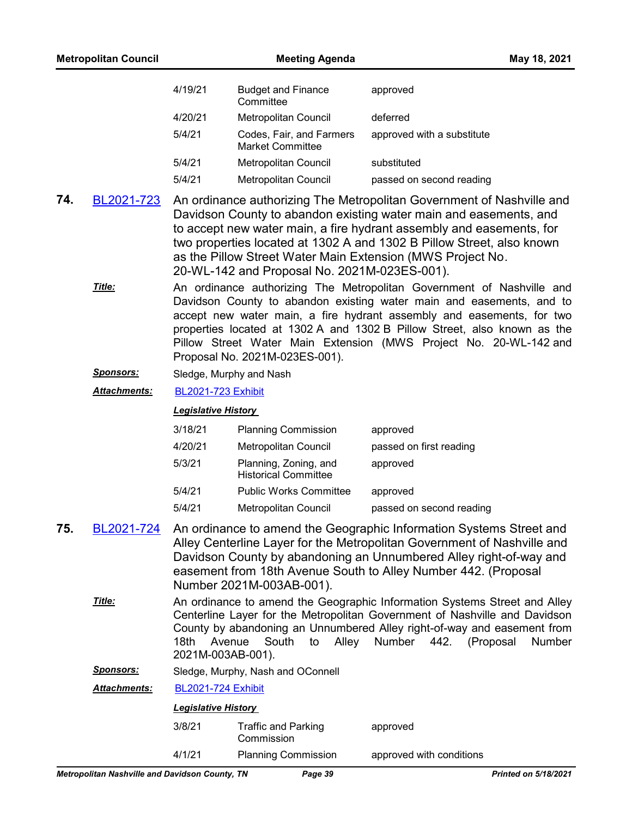| <b>Metropolitan Council</b> |                  |                                                                                                                                                                                                                                                                                                                                                                                                           | May 18, 2021                                         |                            |  |  |  |
|-----------------------------|------------------|-----------------------------------------------------------------------------------------------------------------------------------------------------------------------------------------------------------------------------------------------------------------------------------------------------------------------------------------------------------------------------------------------------------|------------------------------------------------------|----------------------------|--|--|--|
|                             |                  | 4/19/21                                                                                                                                                                                                                                                                                                                                                                                                   | <b>Budget and Finance</b><br>Committee               | approved                   |  |  |  |
|                             |                  | 4/20/21                                                                                                                                                                                                                                                                                                                                                                                                   | Metropolitan Council                                 | deferred                   |  |  |  |
|                             |                  | 5/4/21                                                                                                                                                                                                                                                                                                                                                                                                    | Codes, Fair, and Farmers<br><b>Market Committee</b>  | approved with a substitute |  |  |  |
|                             |                  | 5/4/21                                                                                                                                                                                                                                                                                                                                                                                                    | Metropolitan Council                                 | substituted                |  |  |  |
|                             |                  | 5/4/21                                                                                                                                                                                                                                                                                                                                                                                                    | Metropolitan Council                                 | passed on second reading   |  |  |  |
| 74.                         | BL2021-723       | An ordinance authorizing The Metropolitan Government of Nashville and<br>Davidson County to abandon existing water main and easements, and<br>to accept new water main, a fire hydrant assembly and easements, for<br>two properties located at 1302 A and 1302 B Pillow Street, also known<br>as the Pillow Street Water Main Extension (MWS Project No.<br>20-WL-142 and Proposal No. 2021M-023ES-001). |                                                      |                            |  |  |  |
|                             | Title:           | An ordinance authorizing The Metropolitan Government of Nashville and<br>Davidson County to abandon existing water main and easements, and to<br>accept new water main, a fire hydrant assembly and easements, for two<br>properties located at 1302 A and 1302 B Pillow Street, also known as the<br>Pillow Street Water Main Extension (MWS Project No. 20-WL-142 and                                   |                                                      |                            |  |  |  |
|                             | <b>Sponsors:</b> | Proposal No. 2021M-023ES-001).<br>Sledge, Murphy and Nash                                                                                                                                                                                                                                                                                                                                                 |                                                      |                            |  |  |  |
|                             | Attachments:     | <b>BL2021-723 Exhibit</b><br><b>Legislative History</b>                                                                                                                                                                                                                                                                                                                                                   |                                                      |                            |  |  |  |
|                             |                  |                                                                                                                                                                                                                                                                                                                                                                                                           |                                                      |                            |  |  |  |
|                             |                  | 3/18/21                                                                                                                                                                                                                                                                                                                                                                                                   | <b>Planning Commission</b>                           | approved                   |  |  |  |
|                             |                  | 4/20/21                                                                                                                                                                                                                                                                                                                                                                                                   | Metropolitan Council                                 | passed on first reading    |  |  |  |
|                             |                  | 5/3/21                                                                                                                                                                                                                                                                                                                                                                                                    | Planning, Zoning, and<br><b>Historical Committee</b> | approved                   |  |  |  |
|                             |                  | 5/4/21                                                                                                                                                                                                                                                                                                                                                                                                    | <b>Public Works Committee</b>                        | approved                   |  |  |  |
|                             |                  | 5/4/21                                                                                                                                                                                                                                                                                                                                                                                                    | Metropolitan Council                                 | passed on second reading   |  |  |  |
| 75.                         | BL2021-724       | An ordinance to amend the Geographic Information Systems Street and<br>Alley Centerline Layer for the Metropolitan Government of Nashville and<br>Davidson County by abandoning an Unnumbered Alley right-of-way and<br>easement from 18th Avenue South to Alley Number 442. (Proposal<br>Number 2021M-003AB-001).                                                                                        |                                                      |                            |  |  |  |
|                             | Title:           | An ordinance to amend the Geographic Information Systems Street and Alley<br>Centerline Layer for the Metropolitan Government of Nashville and Davidson<br>County by abandoning an Unnumbered Alley right-of-way and easement from<br>Number 442. (Proposal<br>Avenue<br>South<br>Alley<br>18th<br>Number<br>to<br>2021M-003AB-001).                                                                      |                                                      |                            |  |  |  |
|                             | <u>Sponsors:</u> | Sledge, Murphy, Nash and OConnell                                                                                                                                                                                                                                                                                                                                                                         |                                                      |                            |  |  |  |
|                             | Attachments:     | <b>BL2021-724 Exhibit</b>                                                                                                                                                                                                                                                                                                                                                                                 |                                                      |                            |  |  |  |
|                             |                  | <b>Legislative History</b>                                                                                                                                                                                                                                                                                                                                                                                |                                                      |                            |  |  |  |
|                             |                  | 3/8/21                                                                                                                                                                                                                                                                                                                                                                                                    | <b>Traffic and Parking</b><br>Commission             | approved                   |  |  |  |
|                             |                  | 4/1/21                                                                                                                                                                                                                                                                                                                                                                                                    | <b>Planning Commission</b>                           | approved with conditions   |  |  |  |